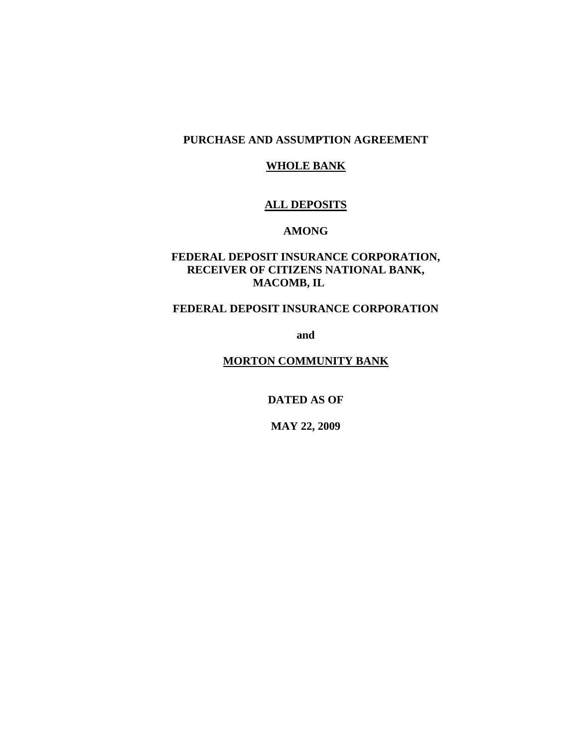#### **PURCHASE AND ASSUMPTION AGREEMENT**

#### **WHOLE BANK**

#### **ALL DEPOSITS**

#### **AMONG**

### **FEDERAL DEPOSIT INSURANCE CORPORATION, RECEIVER OF CITIZENS NATIONAL BANK, MACOMB, IL**

#### **FEDERAL DEPOSIT INSURANCE CORPORATION**

**and** 

#### **MORTON COMMUNITY BANK**

**DATED AS OF**

**MAY 22, 2009**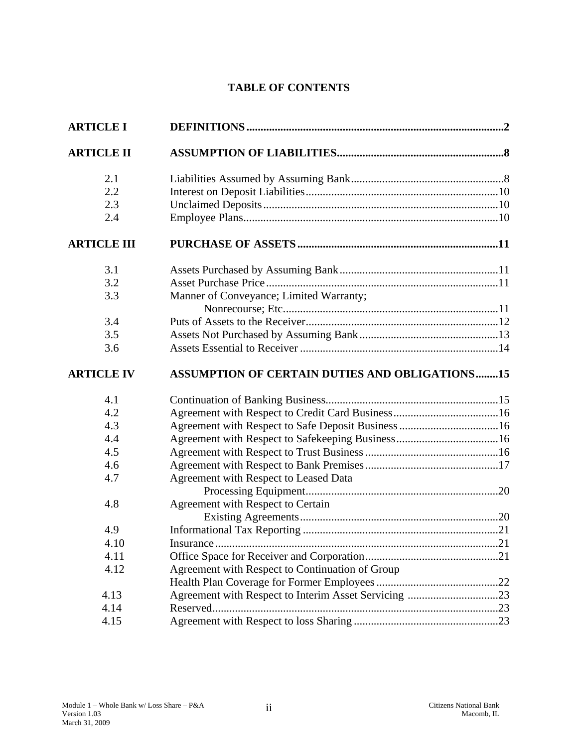# **TABLE OF CONTENTS**

| <b>ARTICLE I</b>   |                                                       |  |
|--------------------|-------------------------------------------------------|--|
| <b>ARTICLE II</b>  |                                                       |  |
| 2.1                |                                                       |  |
| 2.2                |                                                       |  |
| 2.3                |                                                       |  |
| 2.4                |                                                       |  |
| <b>ARTICLE III</b> |                                                       |  |
| 3.1                |                                                       |  |
| 3.2                |                                                       |  |
| 3.3                | Manner of Conveyance; Limited Warranty;               |  |
|                    |                                                       |  |
| 3.4                |                                                       |  |
| 3.5                |                                                       |  |
| 3.6                |                                                       |  |
| <b>ARTICLE IV</b>  | <b>ASSUMPTION OF CERTAIN DUTIES AND OBLIGATIONS15</b> |  |
| 4.1                |                                                       |  |
| 4.2                |                                                       |  |
| 4.3                |                                                       |  |
| 4.4                |                                                       |  |
| 4.5                |                                                       |  |
| 4.6                |                                                       |  |
| 4.7                | Agreement with Respect to Leased Data                 |  |
|                    |                                                       |  |
| 4.8                | Agreement with Respect to Certain                     |  |
|                    |                                                       |  |
| 4.9                |                                                       |  |
| 4.10               |                                                       |  |
| 4.11               |                                                       |  |
| 4.12               | Agreement with Respect to Continuation of Group       |  |
|                    |                                                       |  |
| 4.13               |                                                       |  |
| 4.14               |                                                       |  |
| 4.15               |                                                       |  |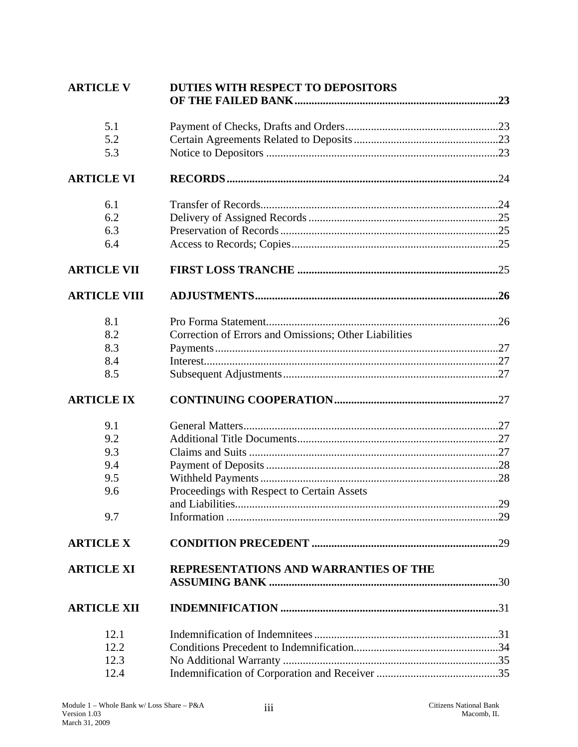| <b>ARTICLE V</b>    | <b>DUTIES WITH RESPECT TO DEPOSITORS</b>              |  |
|---------------------|-------------------------------------------------------|--|
| 5.1                 |                                                       |  |
| 5.2                 |                                                       |  |
| 5.3                 |                                                       |  |
|                     |                                                       |  |
| <b>ARTICLE VI</b>   |                                                       |  |
| 6.1                 |                                                       |  |
| 6.2                 |                                                       |  |
| 6.3                 |                                                       |  |
| 6.4                 |                                                       |  |
| <b>ARTICLE VII</b>  |                                                       |  |
| <b>ARTICLE VIII</b> |                                                       |  |
| 8.1                 |                                                       |  |
| 8.2                 | Correction of Errors and Omissions; Other Liabilities |  |
| 8.3                 |                                                       |  |
| 8.4                 |                                                       |  |
| 8.5                 |                                                       |  |
| <b>ARTICLE IX</b>   |                                                       |  |
| 9.1                 |                                                       |  |
| 9.2                 |                                                       |  |
| 9.3                 |                                                       |  |
| 9.4                 |                                                       |  |
| 9.5                 |                                                       |  |
| 9.6                 | Proceedings with Respect to Certain Assets            |  |
|                     |                                                       |  |
| 9.7                 |                                                       |  |
| <b>ARTICLE X</b>    |                                                       |  |
| <b>ARTICLE XI</b>   | REPRESENTATIONS AND WARRANTIES OF THE                 |  |
| <b>ARTICLE XII</b>  |                                                       |  |
| 12.1                |                                                       |  |
| 12.2                |                                                       |  |
| 12.3                |                                                       |  |
| 12.4                |                                                       |  |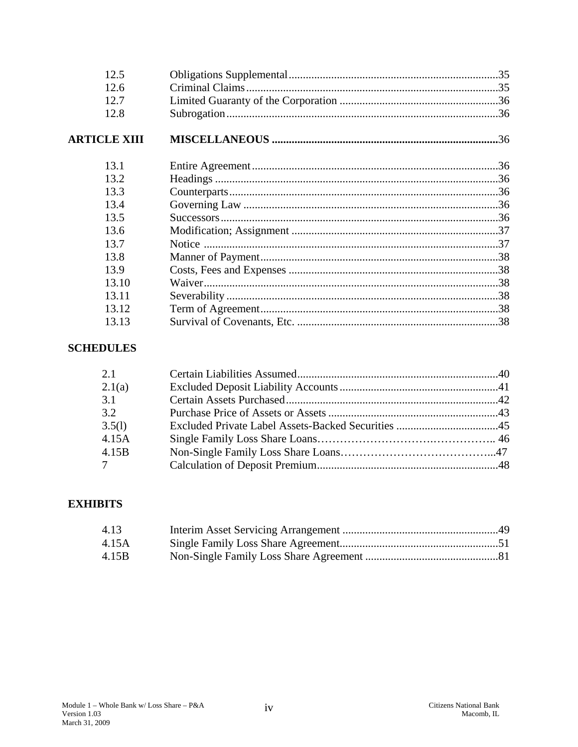| 12.5                |  |
|---------------------|--|
| 12.6                |  |
| 12.7                |  |
| 12.8                |  |
| <b>ARTICLE XIII</b> |  |
| 13.1                |  |
| 13.2                |  |
| 13.3                |  |
| 13.4                |  |
| 13.5                |  |
| 13.6                |  |
| 13.7                |  |
| 13.8                |  |
| 13.9                |  |
| 13.10               |  |
| 13.11               |  |
| 13.12               |  |
| 13.13               |  |

## **SCHEDULES**

| 2.1              |  |
|------------------|--|
| 2.1(a)           |  |
| 3.1              |  |
| 3.2              |  |
| 3.5(l)           |  |
| 4.15A            |  |
| 4.15B            |  |
| $7 \overline{ }$ |  |

# **EXHIBITS**

| 4.13  |  |
|-------|--|
| 4.15A |  |
| 4.15B |  |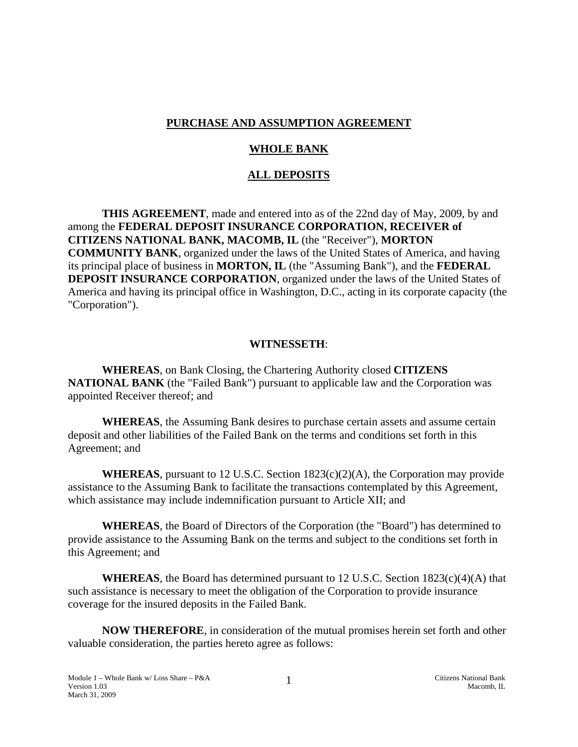#### **PURCHASE AND ASSUMPTION AGREEMENT**

## **WHOLE BANK**

## **ALL DEPOSITS**

 **THIS AGREEMENT**, made and entered into as of the 22nd day of May, 2009, by and among the **FEDERAL DEPOSIT INSURANCE CORPORATION, RECEIVER of CITIZENS NATIONAL BANK, MACOMB, IL** (the "Receiver"), **MORTON COMMUNITY BANK**, organized under the laws of the United States of America, and having its principal place of business in **MORTON, IL** (the "Assuming Bank"), and the **FEDERAL DEPOSIT INSURANCE CORPORATION**, organized under the laws of the United States of America and having its principal office in Washington, D.C., acting in its corporate capacity (the "Corporation").

#### **WITNESSETH**:

**WHEREAS**, on Bank Closing, the Chartering Authority closed **CITIZENS NATIONAL BANK** (the "Failed Bank") pursuant to applicable law and the Corporation was appointed Receiver thereof; and

**WHEREAS**, the Assuming Bank desires to purchase certain assets and assume certain deposit and other liabilities of the Failed Bank on the terms and conditions set forth in this Agreement; and

**WHEREAS**, pursuant to 12 U.S.C. Section 1823(c)(2)(A), the Corporation may provide assistance to the Assuming Bank to facilitate the transactions contemplated by this Agreement, which assistance may include indemnification pursuant to Article XII; and

**WHEREAS**, the Board of Directors of the Corporation (the "Board") has determined to provide assistance to the Assuming Bank on the terms and subject to the conditions set forth in this Agreement; and

**WHEREAS**, the Board has determined pursuant to 12 U.S.C. Section 1823(c)(4)(A) that such assistance is necessary to meet the obligation of the Corporation to provide insurance coverage for the insured deposits in the Failed Bank.

 **NOW THEREFORE**, in consideration of the mutual promises herein set forth and other valuable consideration, the parties hereto agree as follows: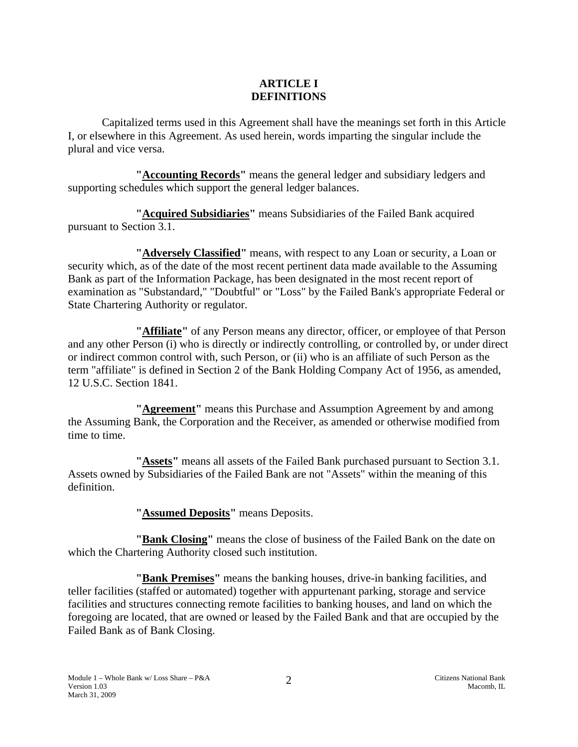## **ARTICLE I DEFINITIONS**

<span id="page-5-0"></span>Capitalized terms used in this Agreement shall have the meanings set forth in this Article I, or elsewhere in this Agreement. As used herein, words imparting the singular include the plural and vice versa.

**"Accounting Records"** means the general ledger and subsidiary ledgers and supporting schedules which support the general ledger balances.

**"Acquired Subsidiaries"** means Subsidiaries of the Failed Bank acquired pursuant to Section 3.1.

**"Adversely Classified"** means, with respect to any Loan or security, a Loan or security which, as of the date of the most recent pertinent data made available to the Assuming Bank as part of the Information Package, has been designated in the most recent report of examination as "Substandard," "Doubtful" or "Loss" by the Failed Bank's appropriate Federal or State Chartering Authority or regulator.

**"Affiliate"** of any Person means any director, officer, or employee of that Person and any other Person (i) who is directly or indirectly controlling, or controlled by, or under direct or indirect common control with, such Person, or (ii) who is an affiliate of such Person as the term "affiliate" is defined in Section 2 of the Bank Holding Company Act of 1956, as amended, 12 U.S.C. Section 1841.

**"Agreement"** means this Purchase and Assumption Agreement by and among the Assuming Bank, the Corporation and the Receiver, as amended or otherwise modified from time to time.

**"Assets"** means all assets of the Failed Bank purchased pursuant to Section 3.1. Assets owned by Subsidiaries of the Failed Bank are not "Assets" within the meaning of this definition.

**"Assumed Deposits"** means Deposits.

**"Bank Closing"** means the close of business of the Failed Bank on the date on which the Chartering Authority closed such institution.

**"Bank Premises"** means the banking houses, drive-in banking facilities, and teller facilities (staffed or automated) together with appurtenant parking, storage and service facilities and structures connecting remote facilities to banking houses, and land on which the foregoing are located, that are owned or leased by the Failed Bank and that are occupied by the Failed Bank as of Bank Closing.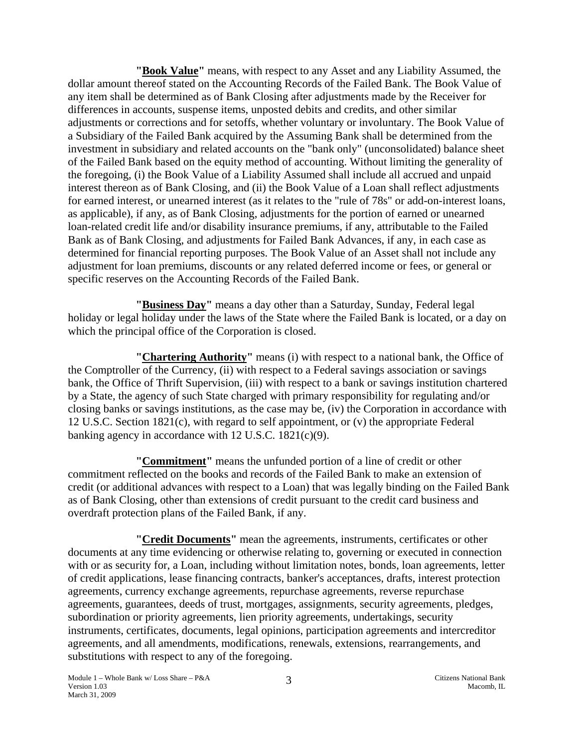**"Book Value"** means, with respect to any Asset and any Liability Assumed, the dollar amount thereof stated on the Accounting Records of the Failed Bank. The Book Value of any item shall be determined as of Bank Closing after adjustments made by the Receiver for differences in accounts, suspense items, unposted debits and credits, and other similar adjustments or corrections and for setoffs, whether voluntary or involuntary. The Book Value of a Subsidiary of the Failed Bank acquired by the Assuming Bank shall be determined from the investment in subsidiary and related accounts on the "bank only" (unconsolidated) balance sheet of the Failed Bank based on the equity method of accounting. Without limiting the generality of the foregoing, (i) the Book Value of a Liability Assumed shall include all accrued and unpaid interest thereon as of Bank Closing, and (ii) the Book Value of a Loan shall reflect adjustments for earned interest, or unearned interest (as it relates to the "rule of 78s" or add-on-interest loans, as applicable), if any, as of Bank Closing, adjustments for the portion of earned or unearned loan-related credit life and/or disability insurance premiums, if any, attributable to the Failed Bank as of Bank Closing, and adjustments for Failed Bank Advances, if any, in each case as determined for financial reporting purposes. The Book Value of an Asset shall not include any adjustment for loan premiums, discounts or any related deferred income or fees, or general or specific reserves on the Accounting Records of the Failed Bank.

**"Business Day"** means a day other than a Saturday, Sunday, Federal legal holiday or legal holiday under the laws of the State where the Failed Bank is located, or a day on which the principal office of the Corporation is closed.

**"Chartering Authority"** means (i) with respect to a national bank, the Office of the Comptroller of the Currency, (ii) with respect to a Federal savings association or savings bank, the Office of Thrift Supervision, (iii) with respect to a bank or savings institution chartered by a State, the agency of such State charged with primary responsibility for regulating and/or closing banks or savings institutions, as the case may be, (iv) the Corporation in accordance with 12 U.S.C. Section 1821(c), with regard to self appointment, or (v) the appropriate Federal banking agency in accordance with 12 U.S.C. 1821(c)(9).

**"Commitment"** means the unfunded portion of a line of credit or other commitment reflected on the books and records of the Failed Bank to make an extension of credit (or additional advances with respect to a Loan) that was legally binding on the Failed Bank as of Bank Closing, other than extensions of credit pursuant to the credit card business and overdraft protection plans of the Failed Bank, if any.

**"Credit Documents"** mean the agreements, instruments, certificates or other documents at any time evidencing or otherwise relating to, governing or executed in connection with or as security for, a Loan, including without limitation notes, bonds, loan agreements, letter of credit applications, lease financing contracts, banker's acceptances, drafts, interest protection agreements, currency exchange agreements, repurchase agreements, reverse repurchase agreements, guarantees, deeds of trust, mortgages, assignments, security agreements, pledges, subordination or priority agreements, lien priority agreements, undertakings, security instruments, certificates, documents, legal opinions, participation agreements and intercreditor agreements, and all amendments, modifications, renewals, extensions, rearrangements, and substitutions with respect to any of the foregoing.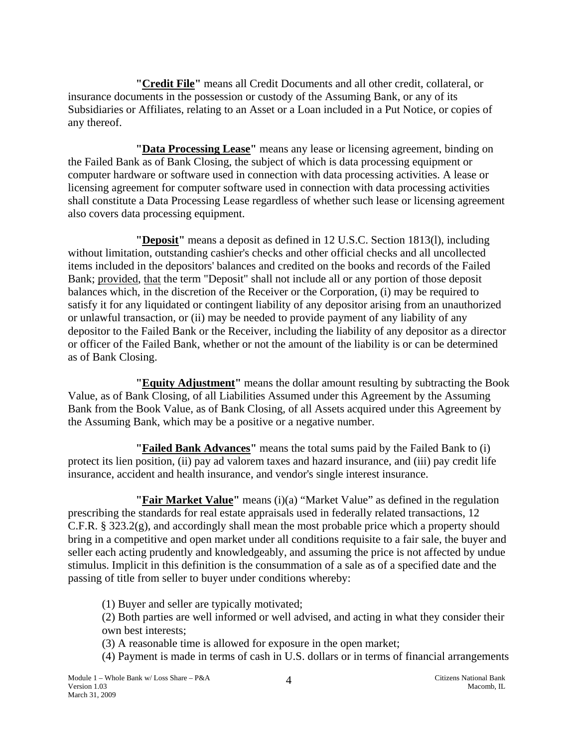**"Credit File"** means all Credit Documents and all other credit, collateral, or insurance documents in the possession or custody of the Assuming Bank, or any of its Subsidiaries or Affiliates, relating to an Asset or a Loan included in a Put Notice, or copies of any thereof.

**"Data Processing Lease"** means any lease or licensing agreement, binding on the Failed Bank as of Bank Closing, the subject of which is data processing equipment or computer hardware or software used in connection with data processing activities. A lease or licensing agreement for computer software used in connection with data processing activities shall constitute a Data Processing Lease regardless of whether such lease or licensing agreement also covers data processing equipment.

**"Deposit"** means a deposit as defined in 12 U.S.C. Section 1813(l), including without limitation, outstanding cashier's checks and other official checks and all uncollected items included in the depositors' balances and credited on the books and records of the Failed Bank; provided, that the term "Deposit" shall not include all or any portion of those deposit balances which, in the discretion of the Receiver or the Corporation, (i) may be required to satisfy it for any liquidated or contingent liability of any depositor arising from an unauthorized or unlawful transaction, or (ii) may be needed to provide payment of any liability of any depositor to the Failed Bank or the Receiver, including the liability of any depositor as a director or officer of the Failed Bank, whether or not the amount of the liability is or can be determined as of Bank Closing.

**"Equity Adjustment"** means the dollar amount resulting by subtracting the Book Value, as of Bank Closing, of all Liabilities Assumed under this Agreement by the Assuming Bank from the Book Value, as of Bank Closing, of all Assets acquired under this Agreement by the Assuming Bank, which may be a positive or a negative number.

**"Failed Bank Advances"** means the total sums paid by the Failed Bank to (i) protect its lien position, (ii) pay ad valorem taxes and hazard insurance, and (iii) pay credit life insurance, accident and health insurance, and vendor's single interest insurance.

**"Fair Market Value"** means (i)(a) "Market Value" as defined in the regulation prescribing the standards for real estate appraisals used in federally related transactions, 12 C.F.R. § 323.2(g), and accordingly shall mean the most probable price which a property should bring in a competitive and open market under all conditions requisite to a fair sale, the buyer and seller each acting prudently and knowledgeably, and assuming the price is not affected by undue stimulus. Implicit in this definition is the consummation of a sale as of a specified date and the passing of title from seller to buyer under conditions whereby:

- (1) Buyer and seller are typically motivated;
- (2) Both parties are well informed or well advised, and acting in what they consider their own best interests;
- (3) A reasonable time is allowed for exposure in the open market;
- (4) Payment is made in terms of cash in U.S. dollars or in terms of financial arrangements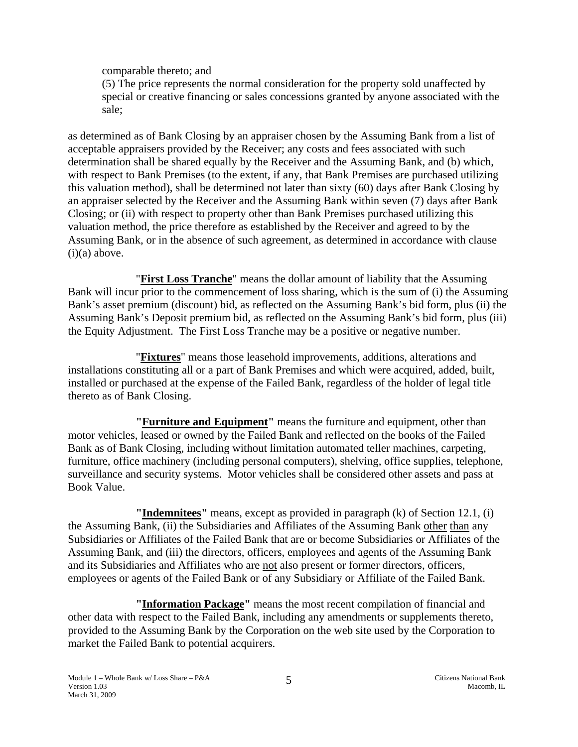comparable thereto; and

(5) The price represents the normal consideration for the property sold unaffected by special or creative financing or sales concessions granted by anyone associated with the sale;

as determined as of Bank Closing by an appraiser chosen by the Assuming Bank from a list of acceptable appraisers provided by the Receiver; any costs and fees associated with such determination shall be shared equally by the Receiver and the Assuming Bank, and (b) which, with respect to Bank Premises (to the extent, if any, that Bank Premises are purchased utilizing this valuation method), shall be determined not later than sixty (60) days after Bank Closing by an appraiser selected by the Receiver and the Assuming Bank within seven (7) days after Bank Closing; or (ii) with respect to property other than Bank Premises purchased utilizing this valuation method, the price therefore as established by the Receiver and agreed to by the Assuming Bank, or in the absence of such agreement, as determined in accordance with clause  $(i)(a)$  above.

"**First Loss Tranche**" means the dollar amount of liability that the Assuming Bank will incur prior to the commencement of loss sharing, which is the sum of (i) the Assuming Bank's asset premium (discount) bid, as reflected on the Assuming Bank's bid form, plus (ii) the Assuming Bank's Deposit premium bid, as reflected on the Assuming Bank's bid form, plus (iii) the Equity Adjustment. The First Loss Tranche may be a positive or negative number.

"**Fixtures**" means those leasehold improvements, additions, alterations and installations constituting all or a part of Bank Premises and which were acquired, added, built, installed or purchased at the expense of the Failed Bank, regardless of the holder of legal title thereto as of Bank Closing.

**"Furniture and Equipment"** means the furniture and equipment, other than motor vehicles, leased or owned by the Failed Bank and reflected on the books of the Failed Bank as of Bank Closing, including without limitation automated teller machines, carpeting, furniture, office machinery (including personal computers), shelving, office supplies, telephone, surveillance and security systems. Motor vehicles shall be considered other assets and pass at Book Value.

**"Indemnitees"** means, except as provided in paragraph (k) of Section 12.1, (i) the Assuming Bank, (ii) the Subsidiaries and Affiliates of the Assuming Bank other than any Subsidiaries or Affiliates of the Failed Bank that are or become Subsidiaries or Affiliates of the Assuming Bank, and (iii) the directors, officers, employees and agents of the Assuming Bank and its Subsidiaries and Affiliates who are not also present or former directors, officers, employees or agents of the Failed Bank or of any Subsidiary or Affiliate of the Failed Bank.

**"Information Package"** means the most recent compilation of financial and other data with respect to the Failed Bank, including any amendments or supplements thereto, provided to the Assuming Bank by the Corporation on the web site used by the Corporation to market the Failed Bank to potential acquirers.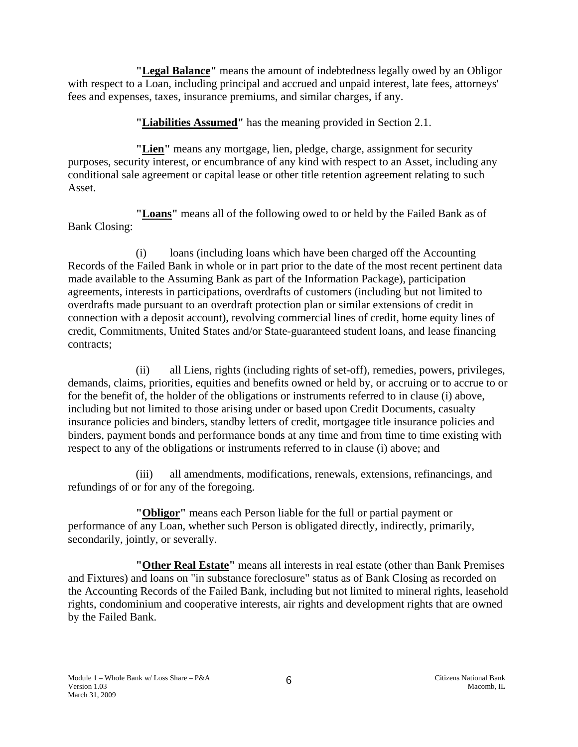**"Legal Balance"** means the amount of indebtedness legally owed by an Obligor with respect to a Loan, including principal and accrued and unpaid interest, late fees, attorneys' fees and expenses, taxes, insurance premiums, and similar charges, if any.

 **"Liabilities Assumed"** has the meaning provided in Section 2.1.

**"Lien"** means any mortgage, lien, pledge, charge, assignment for security purposes, security interest, or encumbrance of any kind with respect to an Asset, including any conditional sale agreement or capital lease or other title retention agreement relating to such Asset.

**"Loans"** means all of the following owed to or held by the Failed Bank as of Bank Closing:

(i) loans (including loans which have been charged off the Accounting Records of the Failed Bank in whole or in part prior to the date of the most recent pertinent data made available to the Assuming Bank as part of the Information Package), participation agreements, interests in participations, overdrafts of customers (including but not limited to overdrafts made pursuant to an overdraft protection plan or similar extensions of credit in connection with a deposit account), revolving commercial lines of credit, home equity lines of credit, Commitments, United States and/or State-guaranteed student loans, and lease financing contracts;

(ii) all Liens, rights (including rights of set-off), remedies, powers, privileges, demands, claims, priorities, equities and benefits owned or held by, or accruing or to accrue to or for the benefit of, the holder of the obligations or instruments referred to in clause (i) above, including but not limited to those arising under or based upon Credit Documents, casualty insurance policies and binders, standby letters of credit, mortgagee title insurance policies and binders, payment bonds and performance bonds at any time and from time to time existing with respect to any of the obligations or instruments referred to in clause (i) above; and

(iii) all amendments, modifications, renewals, extensions, refinancings, and refundings of or for any of the foregoing.

**"Obligor"** means each Person liable for the full or partial payment or performance of any Loan, whether such Person is obligated directly, indirectly, primarily, secondarily, jointly, or severally.

**"Other Real Estate"** means all interests in real estate (other than Bank Premises and Fixtures) and loans on "in substance foreclosure" status as of Bank Closing as recorded on the Accounting Records of the Failed Bank, including but not limited to mineral rights, leasehold rights, condominium and cooperative interests, air rights and development rights that are owned by the Failed Bank.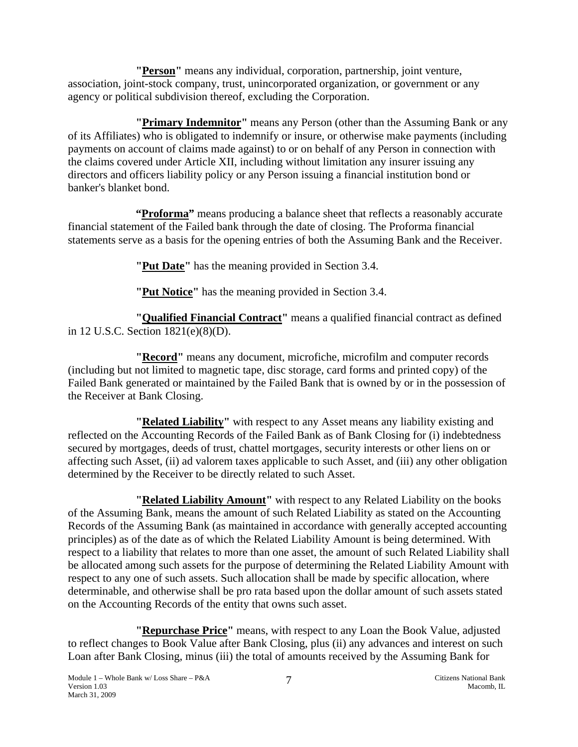**"Person"** means any individual, corporation, partnership, joint venture, association, joint-stock company, trust, unincorporated organization, or government or any agency or political subdivision thereof, excluding the Corporation.

**"Primary Indemnitor"** means any Person (other than the Assuming Bank or any of its Affiliates) who is obligated to indemnify or insure, or otherwise make payments (including payments on account of claims made against) to or on behalf of any Person in connection with the claims covered under Article XII, including without limitation any insurer issuing any directors and officers liability policy or any Person issuing a financial institution bond or banker's blanket bond.

**"Proforma"** means producing a balance sheet that reflects a reasonably accurate financial statement of the Failed bank through the date of closing. The Proforma financial statements serve as a basis for the opening entries of both the Assuming Bank and the Receiver.

**"Put Date"** has the meaning provided in Section 3.4.

**"Put Notice"** has the meaning provided in Section 3.4.

**"Qualified Financial Contract"** means a qualified financial contract as defined in 12 U.S.C. Section 1821(e)(8)(D).

**"Record"** means any document, microfiche, microfilm and computer records (including but not limited to magnetic tape, disc storage, card forms and printed copy) of the Failed Bank generated or maintained by the Failed Bank that is owned by or in the possession of the Receiver at Bank Closing.

**"Related Liability"** with respect to any Asset means any liability existing and reflected on the Accounting Records of the Failed Bank as of Bank Closing for (i) indebtedness secured by mortgages, deeds of trust, chattel mortgages, security interests or other liens on or affecting such Asset, (ii) ad valorem taxes applicable to such Asset, and (iii) any other obligation determined by the Receiver to be directly related to such Asset.

**"Related Liability Amount"** with respect to any Related Liability on the books of the Assuming Bank, means the amount of such Related Liability as stated on the Accounting Records of the Assuming Bank (as maintained in accordance with generally accepted accounting principles) as of the date as of which the Related Liability Amount is being determined. With respect to a liability that relates to more than one asset, the amount of such Related Liability shall be allocated among such assets for the purpose of determining the Related Liability Amount with respect to any one of such assets. Such allocation shall be made by specific allocation, where determinable, and otherwise shall be pro rata based upon the dollar amount of such assets stated on the Accounting Records of the entity that owns such asset.

 **"Repurchase Price"** means, with respect to any Loan the Book Value, adjusted to reflect changes to Book Value after Bank Closing, plus (ii) any advances and interest on such Loan after Bank Closing, minus (iii) the total of amounts received by the Assuming Bank for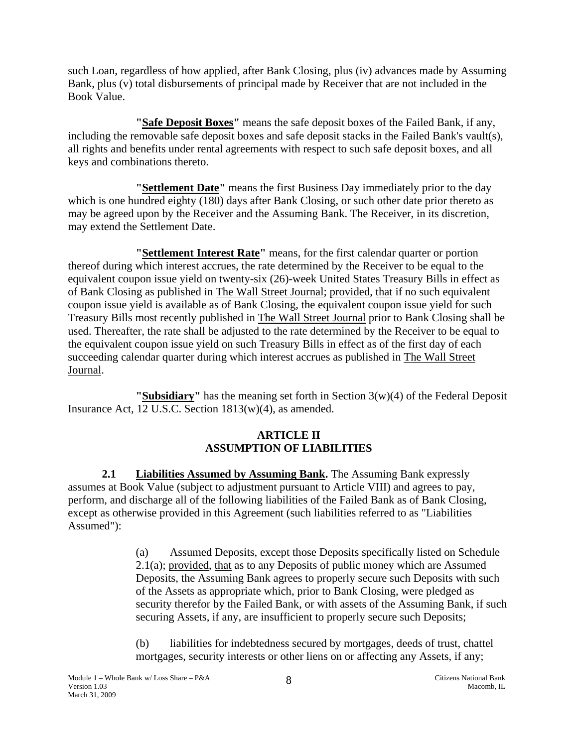<span id="page-11-0"></span>such Loan, regardless of how applied, after Bank Closing, plus (iv) advances made by Assuming Bank, plus (v) total disbursements of principal made by Receiver that are not included in the Book Value.

**"Safe Deposit Boxes"** means the safe deposit boxes of the Failed Bank, if any, including the removable safe deposit boxes and safe deposit stacks in the Failed Bank's vault(s), all rights and benefits under rental agreements with respect to such safe deposit boxes, and all keys and combinations thereto.

**"Settlement Date"** means the first Business Day immediately prior to the day which is one hundred eighty (180) days after Bank Closing, or such other date prior thereto as may be agreed upon by the Receiver and the Assuming Bank. The Receiver, in its discretion, may extend the Settlement Date.

**"Settlement Interest Rate"** means, for the first calendar quarter or portion thereof during which interest accrues, the rate determined by the Receiver to be equal to the equivalent coupon issue yield on twenty-six (26)-week United States Treasury Bills in effect as of Bank Closing as published in The Wall Street Journal; provided, that if no such equivalent coupon issue yield is available as of Bank Closing, the equivalent coupon issue yield for such Treasury Bills most recently published in The Wall Street Journal prior to Bank Closing shall be used. Thereafter, the rate shall be adjusted to the rate determined by the Receiver to be equal to the equivalent coupon issue yield on such Treasury Bills in effect as of the first day of each succeeding calendar quarter during which interest accrues as published in The Wall Street Journal.

**"Subsidiary"** has the meaning set forth in Section 3(w)(4) of the Federal Deposit Insurance Act, 12 U.S.C. Section 1813(w)(4), as amended.

## **ARTICLE II ASSUMPTION OF LIABILITIES**

 **2.1 Liabilities Assumed by Assuming Bank.** The Assuming Bank expressly assumes at Book Value (subject to adjustment pursuant to Article VIII) and agrees to pay, perform, and discharge all of the following liabilities of the Failed Bank as of Bank Closing, except as otherwise provided in this Agreement (such liabilities referred to as "Liabilities Assumed"):

> (a) Assumed Deposits, except those Deposits specifically listed on Schedule 2.1(a); provided, that as to any Deposits of public money which are Assumed Deposits, the Assuming Bank agrees to properly secure such Deposits with such of the Assets as appropriate which, prior to Bank Closing, were pledged as security therefor by the Failed Bank, or with assets of the Assuming Bank, if such securing Assets, if any, are insufficient to properly secure such Deposits;

(b) liabilities for indebtedness secured by mortgages, deeds of trust, chattel mortgages, security interests or other liens on or affecting any Assets, if any;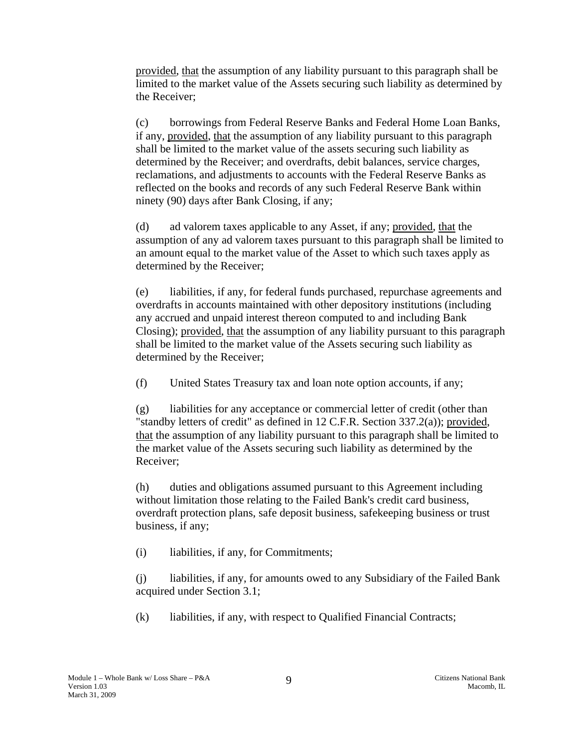provided, that the assumption of any liability pursuant to this paragraph shall be limited to the market value of the Assets securing such liability as determined by the Receiver;

(c) borrowings from Federal Reserve Banks and Federal Home Loan Banks, if any, provided, that the assumption of any liability pursuant to this paragraph shall be limited to the market value of the assets securing such liability as determined by the Receiver; and overdrafts, debit balances, service charges, reclamations, and adjustments to accounts with the Federal Reserve Banks as reflected on the books and records of any such Federal Reserve Bank within ninety (90) days after Bank Closing, if any;

(d) ad valorem taxes applicable to any Asset, if any; provided, that the assumption of any ad valorem taxes pursuant to this paragraph shall be limited to an amount equal to the market value of the Asset to which such taxes apply as determined by the Receiver;

(e) liabilities, if any, for federal funds purchased, repurchase agreements and overdrafts in accounts maintained with other depository institutions (including any accrued and unpaid interest thereon computed to and including Bank Closing); provided, that the assumption of any liability pursuant to this paragraph shall be limited to the market value of the Assets securing such liability as determined by the Receiver;

(f) United States Treasury tax and loan note option accounts, if any;

(g) liabilities for any acceptance or commercial letter of credit (other than "standby letters of credit" as defined in 12 C.F.R. Section 337.2(a)); provided, that the assumption of any liability pursuant to this paragraph shall be limited to the market value of the Assets securing such liability as determined by the Receiver;

(h) duties and obligations assumed pursuant to this Agreement including without limitation those relating to the Failed Bank's credit card business, overdraft protection plans, safe deposit business, safekeeping business or trust business, if any;

(i) liabilities, if any, for Commitments;

(j) liabilities, if any, for amounts owed to any Subsidiary of the Failed Bank acquired under Section 3.1;

(k) liabilities, if any, with respect to Qualified Financial Contracts;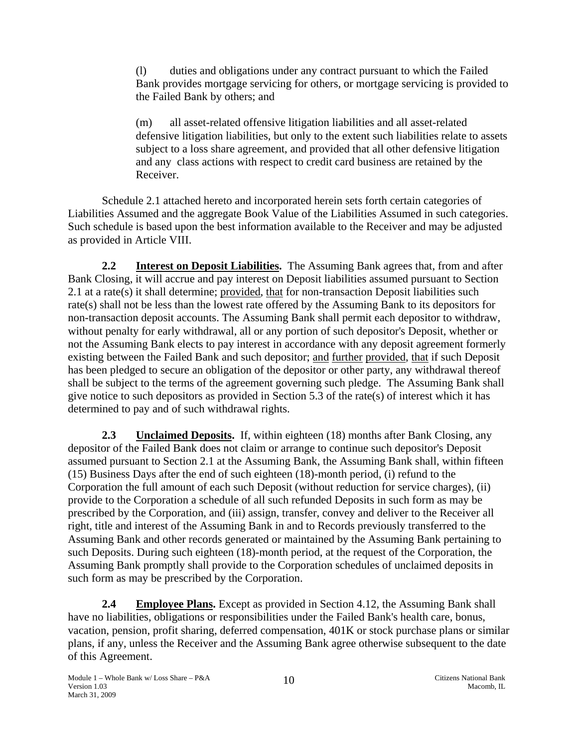<span id="page-13-0"></span>(l) duties and obligations under any contract pursuant to which the Failed Bank provides mortgage servicing for others, or mortgage servicing is provided to the Failed Bank by others; and

(m) all asset-related offensive litigation liabilities and all asset-related defensive litigation liabilities, but only to the extent such liabilities relate to assets subject to a loss share agreement, and provided that all other defensive litigation and any class actions with respect to credit card business are retained by the Receiver.

Schedule 2.1 attached hereto and incorporated herein sets forth certain categories of Liabilities Assumed and the aggregate Book Value of the Liabilities Assumed in such categories. Such schedule is based upon the best information available to the Receiver and may be adjusted as provided in Article VIII.

**2.2 Interest on Deposit Liabilities.** The Assuming Bank agrees that, from and after Bank Closing, it will accrue and pay interest on Deposit liabilities assumed pursuant to Section 2.1 at a rate(s) it shall determine; provided, that for non-transaction Deposit liabilities such rate(s) shall not be less than the lowest rate offered by the Assuming Bank to its depositors for non-transaction deposit accounts. The Assuming Bank shall permit each depositor to withdraw, without penalty for early withdrawal, all or any portion of such depositor's Deposit, whether or not the Assuming Bank elects to pay interest in accordance with any deposit agreement formerly existing between the Failed Bank and such depositor; and further provided, that if such Deposit has been pledged to secure an obligation of the depositor or other party, any withdrawal thereof shall be subject to the terms of the agreement governing such pledge. The Assuming Bank shall give notice to such depositors as provided in Section 5.3 of the rate(s) of interest which it has determined to pay and of such withdrawal rights.

**2.3 Unclaimed Deposits.** If, within eighteen (18) months after Bank Closing, any depositor of the Failed Bank does not claim or arrange to continue such depositor's Deposit assumed pursuant to Section 2.1 at the Assuming Bank, the Assuming Bank shall, within fifteen (15) Business Days after the end of such eighteen (18)-month period, (i) refund to the Corporation the full amount of each such Deposit (without reduction for service charges), (ii) provide to the Corporation a schedule of all such refunded Deposits in such form as may be prescribed by the Corporation, and (iii) assign, transfer, convey and deliver to the Receiver all right, title and interest of the Assuming Bank in and to Records previously transferred to the Assuming Bank and other records generated or maintained by the Assuming Bank pertaining to such Deposits. During such eighteen (18)-month period, at the request of the Corporation, the Assuming Bank promptly shall provide to the Corporation schedules of unclaimed deposits in such form as may be prescribed by the Corporation.

**2.4 Employee Plans.** Except as provided in Section 4.12, the Assuming Bank shall have no liabilities, obligations or responsibilities under the Failed Bank's health care, bonus, vacation, pension, profit sharing, deferred compensation, 401K or stock purchase plans or similar plans, if any, unless the Receiver and the Assuming Bank agree otherwise subsequent to the date of this Agreement.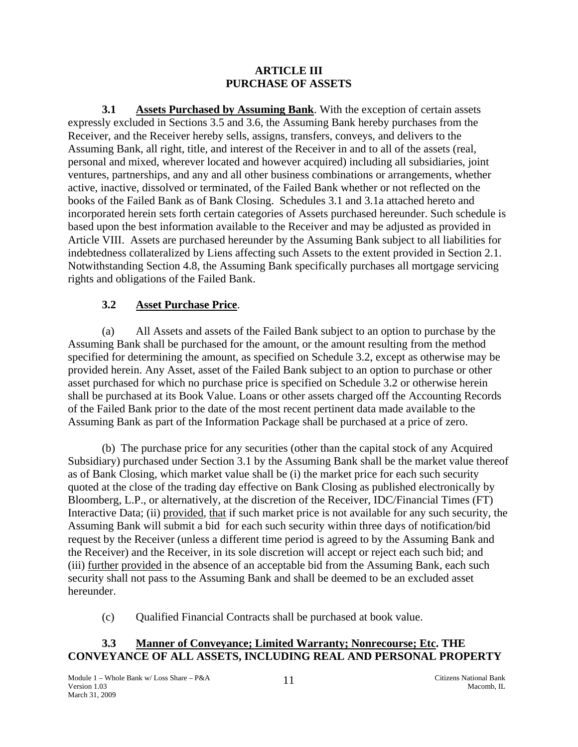#### **ARTICLE III PURCHASE OF ASSETS**

<span id="page-14-0"></span> **3.1 Assets Purchased by Assuming Bank**. With the exception of certain assets expressly excluded in Sections 3.5 and 3.6, the Assuming Bank hereby purchases from the Receiver, and the Receiver hereby sells, assigns, transfers, conveys, and delivers to the Assuming Bank, all right, title, and interest of the Receiver in and to all of the assets (real, personal and mixed, wherever located and however acquired) including all subsidiaries, joint ventures, partnerships, and any and all other business combinations or arrangements, whether active, inactive, dissolved or terminated, of the Failed Bank whether or not reflected on the books of the Failed Bank as of Bank Closing. Schedules 3.1 and 3.1a attached hereto and incorporated herein sets forth certain categories of Assets purchased hereunder. Such schedule is based upon the best information available to the Receiver and may be adjusted as provided in Article VIII. Assets are purchased hereunder by the Assuming Bank subject to all liabilities for indebtedness collateralized by Liens affecting such Assets to the extent provided in Section 2.1. Notwithstanding Section 4.8, the Assuming Bank specifically purchases all mortgage servicing rights and obligations of the Failed Bank.

#### **3.2 Asset Purchase Price**.

(a) All Assets and assets of the Failed Bank subject to an option to purchase by the Assuming Bank shall be purchased for the amount, or the amount resulting from the method specified for determining the amount, as specified on Schedule 3.2, except as otherwise may be provided herein. Any Asset, asset of the Failed Bank subject to an option to purchase or other asset purchased for which no purchase price is specified on Schedule 3.2 or otherwise herein shall be purchased at its Book Value. Loans or other assets charged off the Accounting Records of the Failed Bank prior to the date of the most recent pertinent data made available to the Assuming Bank as part of the Information Package shall be purchased at a price of zero.

(b) The purchase price for any securities (other than the capital stock of any Acquired Subsidiary) purchased under Section 3.1 by the Assuming Bank shall be the market value thereof as of Bank Closing, which market value shall be (i) the market price for each such security quoted at the close of the trading day effective on Bank Closing as published electronically by Bloomberg, L.P., or alternatively, at the discretion of the Receiver, IDC/Financial Times (FT) Interactive Data; (ii) provided, that if such market price is not available for any such security, the Assuming Bank will submit a bid for each such security within three days of notification/bid request by the Receiver (unless a different time period is agreed to by the Assuming Bank and the Receiver) and the Receiver, in its sole discretion will accept or reject each such bid; and (iii) further provided in the absence of an acceptable bid from the Assuming Bank, each such security shall not pass to the Assuming Bank and shall be deemed to be an excluded asset hereunder.

(c) Qualified Financial Contracts shall be purchased at book value.

## **3.3 Manner of Conveyance; Limited Warranty; Nonrecourse; Etc. THE CONVEYANCE OF ALL ASSETS, INCLUDING REAL AND PERSONAL PROPERTY**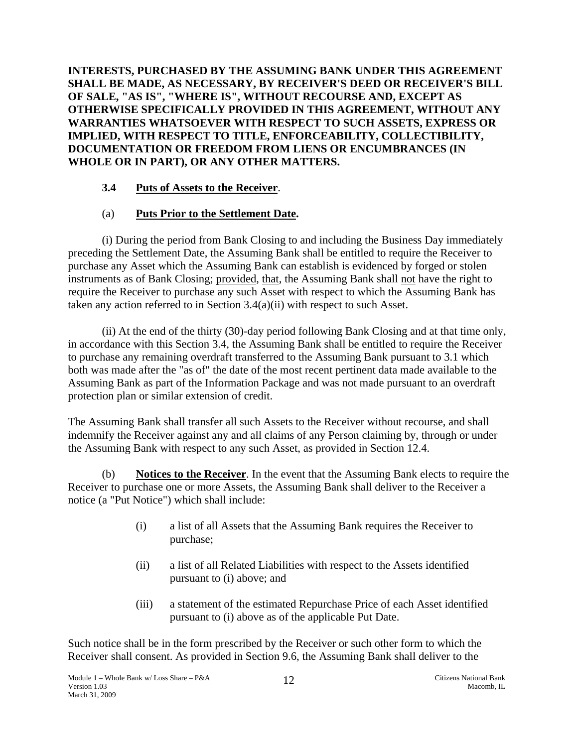<span id="page-15-0"></span>**INTERESTS, PURCHASED BY THE ASSUMING BANK UNDER THIS AGREEMENT SHALL BE MADE, AS NECESSARY, BY RECEIVER'S DEED OR RECEIVER'S BILL OF SALE, "AS IS", "WHERE IS", WITHOUT RECOURSE AND, EXCEPT AS OTHERWISE SPECIFICALLY PROVIDED IN THIS AGREEMENT, WITHOUT ANY WARRANTIES WHATSOEVER WITH RESPECT TO SUCH ASSETS, EXPRESS OR IMPLIED, WITH RESPECT TO TITLE, ENFORCEABILITY, COLLECTIBILITY, DOCUMENTATION OR FREEDOM FROM LIENS OR ENCUMBRANCES (IN WHOLE OR IN PART), OR ANY OTHER MATTERS.** 

## **3.4 Puts of Assets to the Receiver**.

## (a) **Puts Prior to the Settlement Date.**

(i) During the period from Bank Closing to and including the Business Day immediately preceding the Settlement Date, the Assuming Bank shall be entitled to require the Receiver to purchase any Asset which the Assuming Bank can establish is evidenced by forged or stolen instruments as of Bank Closing; provided, that, the Assuming Bank shall not have the right to require the Receiver to purchase any such Asset with respect to which the Assuming Bank has taken any action referred to in Section 3.4(a)(ii) with respect to such Asset.

(ii) At the end of the thirty (30)-day period following Bank Closing and at that time only, in accordance with this Section 3.4, the Assuming Bank shall be entitled to require the Receiver to purchase any remaining overdraft transferred to the Assuming Bank pursuant to 3.1 which both was made after the "as of" the date of the most recent pertinent data made available to the Assuming Bank as part of the Information Package and was not made pursuant to an overdraft protection plan or similar extension of credit.

The Assuming Bank shall transfer all such Assets to the Receiver without recourse, and shall indemnify the Receiver against any and all claims of any Person claiming by, through or under the Assuming Bank with respect to any such Asset, as provided in Section 12.4.

(b) **Notices to the Receiver**. In the event that the Assuming Bank elects to require the Receiver to purchase one or more Assets, the Assuming Bank shall deliver to the Receiver a notice (a "Put Notice") which shall include:

- (i) a list of all Assets that the Assuming Bank requires the Receiver to purchase;
- (ii) a list of all Related Liabilities with respect to the Assets identified pursuant to (i) above; and
- (iii) a statement of the estimated Repurchase Price of each Asset identified pursuant to (i) above as of the applicable Put Date.

Such notice shall be in the form prescribed by the Receiver or such other form to which the Receiver shall consent. As provided in Section 9.6, the Assuming Bank shall deliver to the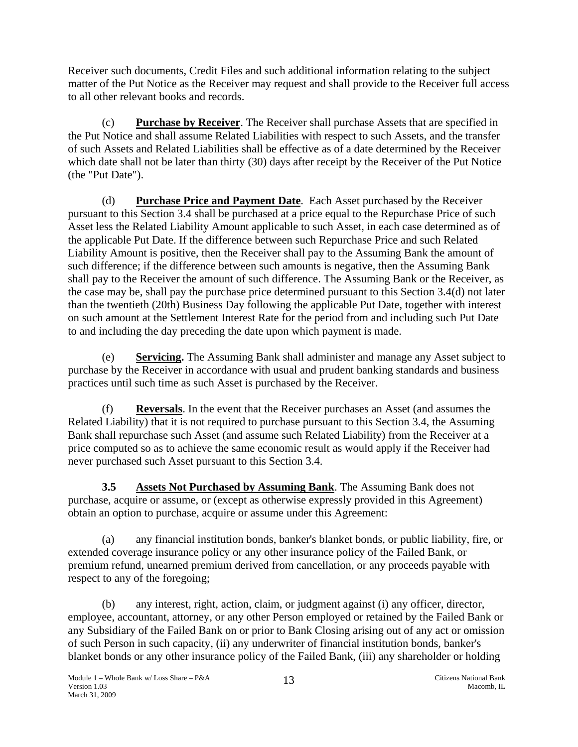<span id="page-16-0"></span>Receiver such documents, Credit Files and such additional information relating to the subject matter of the Put Notice as the Receiver may request and shall provide to the Receiver full access to all other relevant books and records.

(c) **Purchase by Receiver**. The Receiver shall purchase Assets that are specified in the Put Notice and shall assume Related Liabilities with respect to such Assets, and the transfer of such Assets and Related Liabilities shall be effective as of a date determined by the Receiver which date shall not be later than thirty (30) days after receipt by the Receiver of the Put Notice (the "Put Date").

(d) **Purchase Price and Payment Date**. Each Asset purchased by the Receiver pursuant to this Section 3.4 shall be purchased at a price equal to the Repurchase Price of such Asset less the Related Liability Amount applicable to such Asset, in each case determined as of the applicable Put Date. If the difference between such Repurchase Price and such Related Liability Amount is positive, then the Receiver shall pay to the Assuming Bank the amount of such difference; if the difference between such amounts is negative, then the Assuming Bank shall pay to the Receiver the amount of such difference. The Assuming Bank or the Receiver, as the case may be, shall pay the purchase price determined pursuant to this Section 3.4(d) not later than the twentieth (20th) Business Day following the applicable Put Date, together with interest on such amount at the Settlement Interest Rate for the period from and including such Put Date to and including the day preceding the date upon which payment is made.

(e) **Servicing.** The Assuming Bank shall administer and manage any Asset subject to purchase by the Receiver in accordance with usual and prudent banking standards and business practices until such time as such Asset is purchased by the Receiver.

(f) **Reversals**. In the event that the Receiver purchases an Asset (and assumes the Related Liability) that it is not required to purchase pursuant to this Section 3.4, the Assuming Bank shall repurchase such Asset (and assume such Related Liability) from the Receiver at a price computed so as to achieve the same economic result as would apply if the Receiver had never purchased such Asset pursuant to this Section 3.4.

**3.5 Assets Not Purchased by Assuming Bank**. The Assuming Bank does not purchase, acquire or assume, or (except as otherwise expressly provided in this Agreement) obtain an option to purchase, acquire or assume under this Agreement:

(a) any financial institution bonds, banker's blanket bonds, or public liability, fire, or extended coverage insurance policy or any other insurance policy of the Failed Bank, or premium refund, unearned premium derived from cancellation, or any proceeds payable with respect to any of the foregoing;

(b) any interest, right, action, claim, or judgment against (i) any officer, director, employee, accountant, attorney, or any other Person employed or retained by the Failed Bank or any Subsidiary of the Failed Bank on or prior to Bank Closing arising out of any act or omission of such Person in such capacity, (ii) any underwriter of financial institution bonds, banker's blanket bonds or any other insurance policy of the Failed Bank, (iii) any shareholder or holding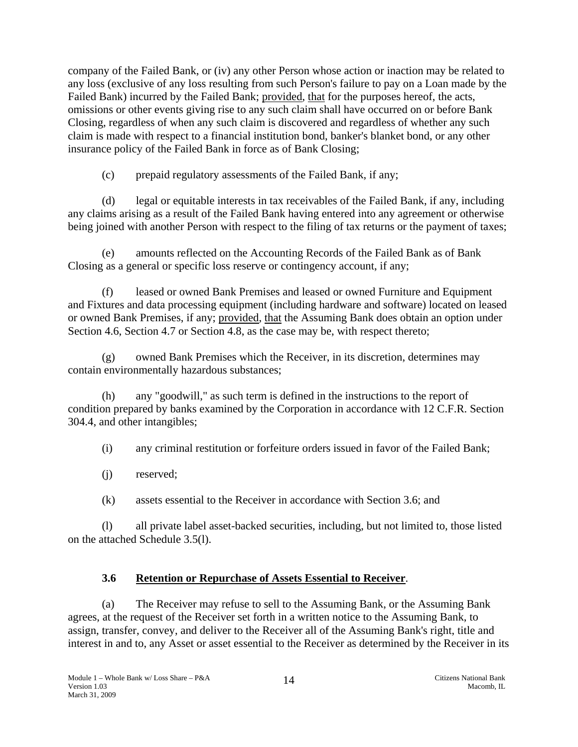<span id="page-17-0"></span>company of the Failed Bank, or (iv) any other Person whose action or inaction may be related to any loss (exclusive of any loss resulting from such Person's failure to pay on a Loan made by the Failed Bank) incurred by the Failed Bank; provided, that for the purposes hereof, the acts, omissions or other events giving rise to any such claim shall have occurred on or before Bank Closing, regardless of when any such claim is discovered and regardless of whether any such claim is made with respect to a financial institution bond, banker's blanket bond, or any other insurance policy of the Failed Bank in force as of Bank Closing;

(c) prepaid regulatory assessments of the Failed Bank, if any;

(d) legal or equitable interests in tax receivables of the Failed Bank, if any, including any claims arising as a result of the Failed Bank having entered into any agreement or otherwise being joined with another Person with respect to the filing of tax returns or the payment of taxes;

(e) amounts reflected on the Accounting Records of the Failed Bank as of Bank Closing as a general or specific loss reserve or contingency account, if any;

(f) leased or owned Bank Premises and leased or owned Furniture and Equipment and Fixtures and data processing equipment (including hardware and software) located on leased or owned Bank Premises, if any; provided, that the Assuming Bank does obtain an option under Section 4.6, Section 4.7 or Section 4.8, as the case may be, with respect thereto;

(g) owned Bank Premises which the Receiver, in its discretion, determines may contain environmentally hazardous substances;

(h) any "goodwill," as such term is defined in the instructions to the report of condition prepared by banks examined by the Corporation in accordance with 12 C.F.R. Section 304.4, and other intangibles;

(i) any criminal restitution or forfeiture orders issued in favor of the Failed Bank;

- (j) reserved;
- (k) assets essential to the Receiver in accordance with Section 3.6; and

(l) all private label asset-backed securities, including, but not limited to, those listed on the attached Schedule 3.5(l).

# **3.6 Retention or Repurchase of Assets Essential to Receiver**.

(a) The Receiver may refuse to sell to the Assuming Bank, or the Assuming Bank agrees, at the request of the Receiver set forth in a written notice to the Assuming Bank, to assign, transfer, convey, and deliver to the Receiver all of the Assuming Bank's right, title and interest in and to, any Asset or asset essential to the Receiver as determined by the Receiver in its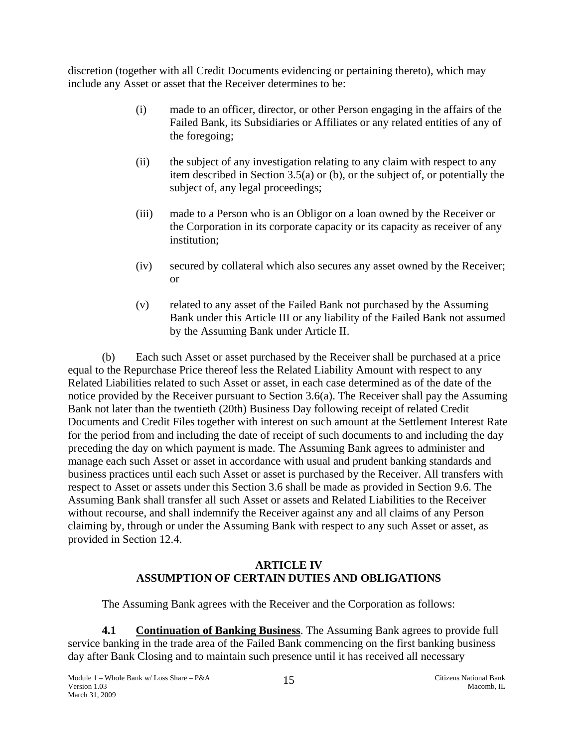<span id="page-18-0"></span>discretion (together with all Credit Documents evidencing or pertaining thereto), which may include any Asset or asset that the Receiver determines to be:

- (i) made to an officer, director, or other Person engaging in the affairs of the Failed Bank, its Subsidiaries or Affiliates or any related entities of any of the foregoing;
- (ii) the subject of any investigation relating to any claim with respect to any item described in Section 3.5(a) or (b), or the subject of, or potentially the subject of, any legal proceedings;
- (iii) made to a Person who is an Obligor on a loan owned by the Receiver or the Corporation in its corporate capacity or its capacity as receiver of any institution;
- (iv) secured by collateral which also secures any asset owned by the Receiver; or
- (v) related to any asset of the Failed Bank not purchased by the Assuming Bank under this Article III or any liability of the Failed Bank not assumed by the Assuming Bank under Article II.

(b) Each such Asset or asset purchased by the Receiver shall be purchased at a price equal to the Repurchase Price thereof less the Related Liability Amount with respect to any Related Liabilities related to such Asset or asset, in each case determined as of the date of the notice provided by the Receiver pursuant to Section 3.6(a). The Receiver shall pay the Assuming Bank not later than the twentieth (20th) Business Day following receipt of related Credit Documents and Credit Files together with interest on such amount at the Settlement Interest Rate for the period from and including the date of receipt of such documents to and including the day preceding the day on which payment is made. The Assuming Bank agrees to administer and manage each such Asset or asset in accordance with usual and prudent banking standards and business practices until each such Asset or asset is purchased by the Receiver. All transfers with respect to Asset or assets under this Section 3.6 shall be made as provided in Section 9.6. The Assuming Bank shall transfer all such Asset or assets and Related Liabilities to the Receiver without recourse, and shall indemnify the Receiver against any and all claims of any Person claiming by, through or under the Assuming Bank with respect to any such Asset or asset, as provided in Section 12.4.

## **ARTICLE IV ASSUMPTION OF CERTAIN DUTIES AND OBLIGATIONS**

The Assuming Bank agrees with the Receiver and the Corporation as follows:

**4.1 Continuation of Banking Business**. The Assuming Bank agrees to provide full service banking in the trade area of the Failed Bank commencing on the first banking business day after Bank Closing and to maintain such presence until it has received all necessary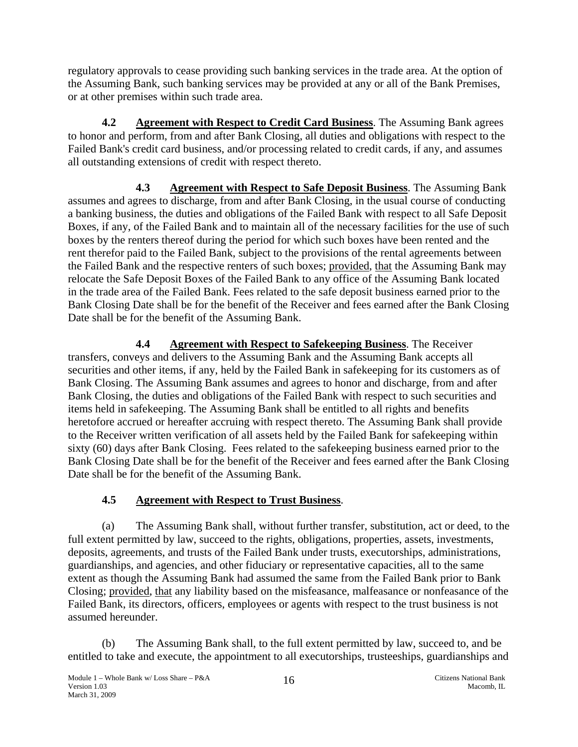<span id="page-19-0"></span>regulatory approvals to cease providing such banking services in the trade area. At the option of the Assuming Bank, such banking services may be provided at any or all of the Bank Premises, or at other premises within such trade area.

**4.2** Agreement with Respect to Credit Card Business. The Assuming Bank agrees to honor and perform, from and after Bank Closing, all duties and obligations with respect to the Failed Bank's credit card business, and/or processing related to credit cards, if any, and assumes all outstanding extensions of credit with respect thereto.

**4.3 Agreement with Respect to Safe Deposit Business**. The Assuming Bank assumes and agrees to discharge, from and after Bank Closing, in the usual course of conducting a banking business, the duties and obligations of the Failed Bank with respect to all Safe Deposit Boxes, if any, of the Failed Bank and to maintain all of the necessary facilities for the use of such boxes by the renters thereof during the period for which such boxes have been rented and the rent therefor paid to the Failed Bank, subject to the provisions of the rental agreements between the Failed Bank and the respective renters of such boxes; provided, that the Assuming Bank may relocate the Safe Deposit Boxes of the Failed Bank to any office of the Assuming Bank located in the trade area of the Failed Bank. Fees related to the safe deposit business earned prior to the Bank Closing Date shall be for the benefit of the Receiver and fees earned after the Bank Closing Date shall be for the benefit of the Assuming Bank.

**4.4 Agreement with Respect to Safekeeping Business**. The Receiver transfers, conveys and delivers to the Assuming Bank and the Assuming Bank accepts all securities and other items, if any, held by the Failed Bank in safekeeping for its customers as of Bank Closing. The Assuming Bank assumes and agrees to honor and discharge, from and after Bank Closing, the duties and obligations of the Failed Bank with respect to such securities and items held in safekeeping. The Assuming Bank shall be entitled to all rights and benefits heretofore accrued or hereafter accruing with respect thereto. The Assuming Bank shall provide to the Receiver written verification of all assets held by the Failed Bank for safekeeping within sixty (60) days after Bank Closing. Fees related to the safekeeping business earned prior to the Bank Closing Date shall be for the benefit of the Receiver and fees earned after the Bank Closing Date shall be for the benefit of the Assuming Bank.

# **4.5 Agreement with Respect to Trust Business**.

(a) The Assuming Bank shall, without further transfer, substitution, act or deed, to the full extent permitted by law, succeed to the rights, obligations, properties, assets, investments, deposits, agreements, and trusts of the Failed Bank under trusts, executorships, administrations, guardianships, and agencies, and other fiduciary or representative capacities, all to the same extent as though the Assuming Bank had assumed the same from the Failed Bank prior to Bank Closing; provided, that any liability based on the misfeasance, malfeasance or nonfeasance of the Failed Bank, its directors, officers, employees or agents with respect to the trust business is not assumed hereunder.

(b) The Assuming Bank shall, to the full extent permitted by law, succeed to, and be entitled to take and execute, the appointment to all executorships, trusteeships, guardianships and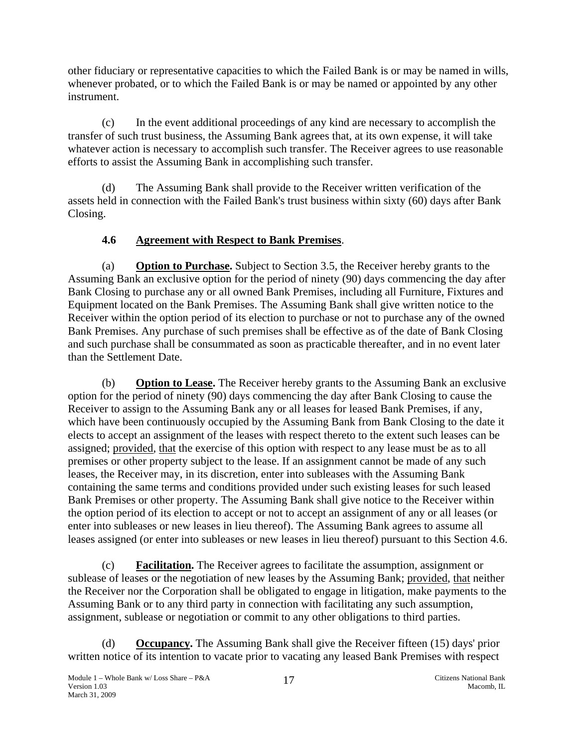<span id="page-20-0"></span>other fiduciary or representative capacities to which the Failed Bank is or may be named in wills, whenever probated, or to which the Failed Bank is or may be named or appointed by any other instrument.

(c) In the event additional proceedings of any kind are necessary to accomplish the transfer of such trust business, the Assuming Bank agrees that, at its own expense, it will take whatever action is necessary to accomplish such transfer. The Receiver agrees to use reasonable efforts to assist the Assuming Bank in accomplishing such transfer.

(d) The Assuming Bank shall provide to the Receiver written verification of the assets held in connection with the Failed Bank's trust business within sixty (60) days after Bank Closing.

## **4.6 Agreement with Respect to Bank Premises**.

(a) **Option to Purchase.** Subject to Section 3.5, the Receiver hereby grants to the Assuming Bank an exclusive option for the period of ninety (90) days commencing the day after Bank Closing to purchase any or all owned Bank Premises, including all Furniture, Fixtures and Equipment located on the Bank Premises. The Assuming Bank shall give written notice to the Receiver within the option period of its election to purchase or not to purchase any of the owned Bank Premises. Any purchase of such premises shall be effective as of the date of Bank Closing and such purchase shall be consummated as soon as practicable thereafter, and in no event later than the Settlement Date.

(b) **Option to Lease.** The Receiver hereby grants to the Assuming Bank an exclusive option for the period of ninety (90) days commencing the day after Bank Closing to cause the Receiver to assign to the Assuming Bank any or all leases for leased Bank Premises, if any, which have been continuously occupied by the Assuming Bank from Bank Closing to the date it elects to accept an assignment of the leases with respect thereto to the extent such leases can be assigned; provided, that the exercise of this option with respect to any lease must be as to all premises or other property subject to the lease. If an assignment cannot be made of any such leases, the Receiver may, in its discretion, enter into subleases with the Assuming Bank containing the same terms and conditions provided under such existing leases for such leased Bank Premises or other property. The Assuming Bank shall give notice to the Receiver within the option period of its election to accept or not to accept an assignment of any or all leases (or enter into subleases or new leases in lieu thereof). The Assuming Bank agrees to assume all leases assigned (or enter into subleases or new leases in lieu thereof) pursuant to this Section 4.6.

(c) **Facilitation.** The Receiver agrees to facilitate the assumption, assignment or sublease of leases or the negotiation of new leases by the Assuming Bank; provided, that neither the Receiver nor the Corporation shall be obligated to engage in litigation, make payments to the Assuming Bank or to any third party in connection with facilitating any such assumption, assignment, sublease or negotiation or commit to any other obligations to third parties.

(d) **Occupancy.** The Assuming Bank shall give the Receiver fifteen (15) days' prior written notice of its intention to vacate prior to vacating any leased Bank Premises with respect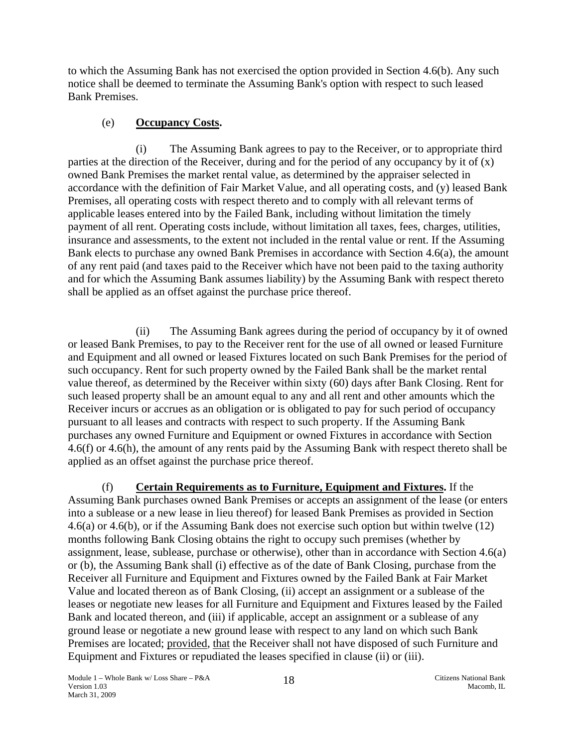to which the Assuming Bank has not exercised the option provided in Section 4.6(b). Any such notice shall be deemed to terminate the Assuming Bank's option with respect to such leased Bank Premises.

## (e) **Occupancy Costs.**

(i) The Assuming Bank agrees to pay to the Receiver, or to appropriate third parties at the direction of the Receiver, during and for the period of any occupancy by it of (x) owned Bank Premises the market rental value, as determined by the appraiser selected in accordance with the definition of Fair Market Value, and all operating costs, and (y) leased Bank Premises, all operating costs with respect thereto and to comply with all relevant terms of applicable leases entered into by the Failed Bank, including without limitation the timely payment of all rent. Operating costs include, without limitation all taxes, fees, charges, utilities, insurance and assessments, to the extent not included in the rental value or rent. If the Assuming Bank elects to purchase any owned Bank Premises in accordance with Section 4.6(a), the amount of any rent paid (and taxes paid to the Receiver which have not been paid to the taxing authority and for which the Assuming Bank assumes liability) by the Assuming Bank with respect thereto shall be applied as an offset against the purchase price thereof.

(ii) The Assuming Bank agrees during the period of occupancy by it of owned or leased Bank Premises, to pay to the Receiver rent for the use of all owned or leased Furniture and Equipment and all owned or leased Fixtures located on such Bank Premises for the period of such occupancy. Rent for such property owned by the Failed Bank shall be the market rental value thereof, as determined by the Receiver within sixty (60) days after Bank Closing. Rent for such leased property shall be an amount equal to any and all rent and other amounts which the Receiver incurs or accrues as an obligation or is obligated to pay for such period of occupancy pursuant to all leases and contracts with respect to such property. If the Assuming Bank purchases any owned Furniture and Equipment or owned Fixtures in accordance with Section 4.6(f) or 4.6(h), the amount of any rents paid by the Assuming Bank with respect thereto shall be applied as an offset against the purchase price thereof.

(f) **Certain Requirements as to Furniture, Equipment and Fixtures.** If the Assuming Bank purchases owned Bank Premises or accepts an assignment of the lease (or enters into a sublease or a new lease in lieu thereof) for leased Bank Premises as provided in Section 4.6(a) or 4.6(b), or if the Assuming Bank does not exercise such option but within twelve (12) months following Bank Closing obtains the right to occupy such premises (whether by assignment, lease, sublease, purchase or otherwise), other than in accordance with Section 4.6(a) or (b), the Assuming Bank shall (i) effective as of the date of Bank Closing, purchase from the Receiver all Furniture and Equipment and Fixtures owned by the Failed Bank at Fair Market Value and located thereon as of Bank Closing, (ii) accept an assignment or a sublease of the leases or negotiate new leases for all Furniture and Equipment and Fixtures leased by the Failed Bank and located thereon, and (iii) if applicable, accept an assignment or a sublease of any ground lease or negotiate a new ground lease with respect to any land on which such Bank Premises are located; provided, that the Receiver shall not have disposed of such Furniture and Equipment and Fixtures or repudiated the leases specified in clause (ii) or (iii).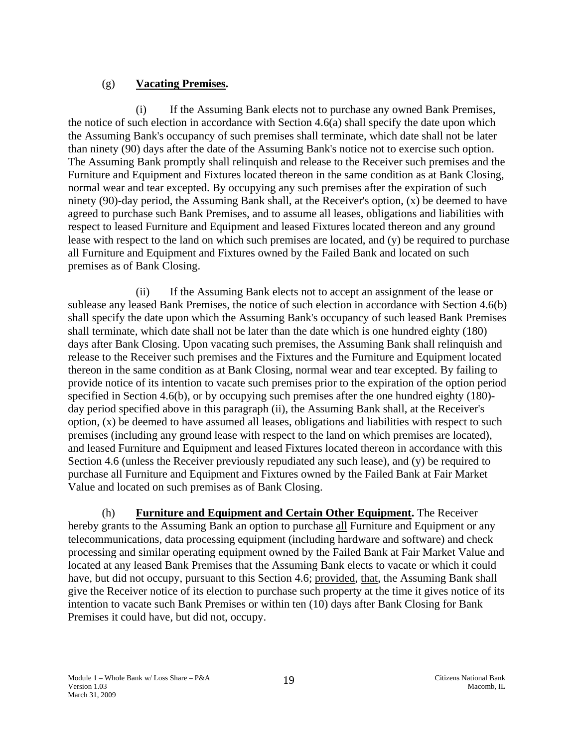## (g) **Vacating Premises.**

(i) If the Assuming Bank elects not to purchase any owned Bank Premises, the notice of such election in accordance with Section 4.6(a) shall specify the date upon which the Assuming Bank's occupancy of such premises shall terminate, which date shall not be later than ninety (90) days after the date of the Assuming Bank's notice not to exercise such option. The Assuming Bank promptly shall relinquish and release to the Receiver such premises and the Furniture and Equipment and Fixtures located thereon in the same condition as at Bank Closing, normal wear and tear excepted. By occupying any such premises after the expiration of such ninety (90)-day period, the Assuming Bank shall, at the Receiver's option, (x) be deemed to have agreed to purchase such Bank Premises, and to assume all leases, obligations and liabilities with respect to leased Furniture and Equipment and leased Fixtures located thereon and any ground lease with respect to the land on which such premises are located, and (y) be required to purchase all Furniture and Equipment and Fixtures owned by the Failed Bank and located on such premises as of Bank Closing.

(ii) If the Assuming Bank elects not to accept an assignment of the lease or sublease any leased Bank Premises, the notice of such election in accordance with Section 4.6(b) shall specify the date upon which the Assuming Bank's occupancy of such leased Bank Premises shall terminate, which date shall not be later than the date which is one hundred eighty (180) days after Bank Closing. Upon vacating such premises, the Assuming Bank shall relinquish and release to the Receiver such premises and the Fixtures and the Furniture and Equipment located thereon in the same condition as at Bank Closing, normal wear and tear excepted. By failing to provide notice of its intention to vacate such premises prior to the expiration of the option period specified in Section 4.6(b), or by occupying such premises after the one hundred eighty (180) day period specified above in this paragraph (ii), the Assuming Bank shall, at the Receiver's option, (x) be deemed to have assumed all leases, obligations and liabilities with respect to such premises (including any ground lease with respect to the land on which premises are located), and leased Furniture and Equipment and leased Fixtures located thereon in accordance with this Section 4.6 (unless the Receiver previously repudiated any such lease), and (y) be required to purchase all Furniture and Equipment and Fixtures owned by the Failed Bank at Fair Market Value and located on such premises as of Bank Closing.

(h) **Furniture and Equipment and Certain Other Equipment.** The Receiver hereby grants to the Assuming Bank an option to purchase all Furniture and Equipment or any telecommunications, data processing equipment (including hardware and software) and check processing and similar operating equipment owned by the Failed Bank at Fair Market Value and located at any leased Bank Premises that the Assuming Bank elects to vacate or which it could have, but did not occupy, pursuant to this Section 4.6; provided, that, the Assuming Bank shall give the Receiver notice of its election to purchase such property at the time it gives notice of its intention to vacate such Bank Premises or within ten (10) days after Bank Closing for Bank Premises it could have, but did not, occupy.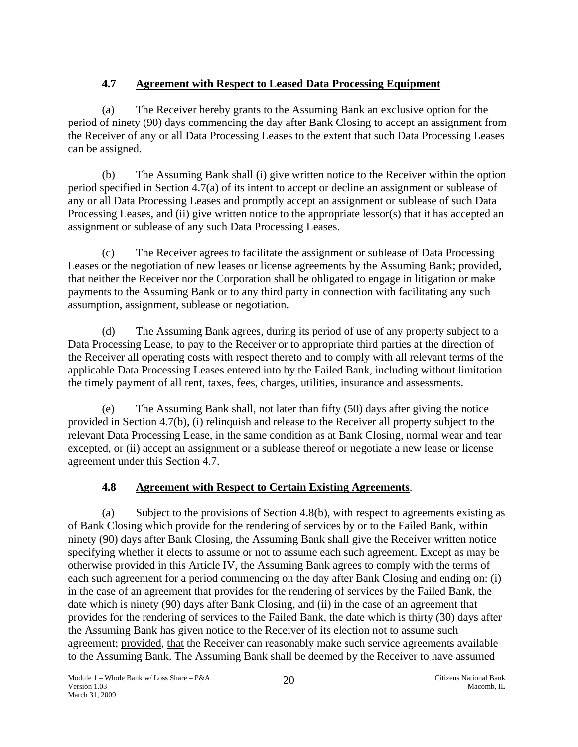# **4.7 Agreement with Respect to Leased Data Processing Equipment**

<span id="page-23-0"></span>(a) The Receiver hereby grants to the Assuming Bank an exclusive option for the period of ninety (90) days commencing the day after Bank Closing to accept an assignment from the Receiver of any or all Data Processing Leases to the extent that such Data Processing Leases can be assigned.

(b) The Assuming Bank shall (i) give written notice to the Receiver within the option period specified in Section 4.7(a) of its intent to accept or decline an assignment or sublease of any or all Data Processing Leases and promptly accept an assignment or sublease of such Data Processing Leases, and (ii) give written notice to the appropriate lessor(s) that it has accepted an assignment or sublease of any such Data Processing Leases.

(c) The Receiver agrees to facilitate the assignment or sublease of Data Processing Leases or the negotiation of new leases or license agreements by the Assuming Bank; provided, that neither the Receiver nor the Corporation shall be obligated to engage in litigation or make payments to the Assuming Bank or to any third party in connection with facilitating any such assumption, assignment, sublease or negotiation.

(d) The Assuming Bank agrees, during its period of use of any property subject to a Data Processing Lease, to pay to the Receiver or to appropriate third parties at the direction of the Receiver all operating costs with respect thereto and to comply with all relevant terms of the applicable Data Processing Leases entered into by the Failed Bank, including without limitation the timely payment of all rent, taxes, fees, charges, utilities, insurance and assessments.

(e) The Assuming Bank shall, not later than fifty (50) days after giving the notice provided in Section 4.7(b), (i) relinquish and release to the Receiver all property subject to the relevant Data Processing Lease, in the same condition as at Bank Closing, normal wear and tear excepted, or (ii) accept an assignment or a sublease thereof or negotiate a new lease or license agreement under this Section 4.7.

# **4.8 Agreement with Respect to Certain Existing Agreements**.

(a) Subject to the provisions of Section 4.8(b), with respect to agreements existing as of Bank Closing which provide for the rendering of services by or to the Failed Bank, within ninety (90) days after Bank Closing, the Assuming Bank shall give the Receiver written notice specifying whether it elects to assume or not to assume each such agreement. Except as may be otherwise provided in this Article IV, the Assuming Bank agrees to comply with the terms of each such agreement for a period commencing on the day after Bank Closing and ending on: (i) in the case of an agreement that provides for the rendering of services by the Failed Bank, the date which is ninety (90) days after Bank Closing, and (ii) in the case of an agreement that provides for the rendering of services to the Failed Bank, the date which is thirty (30) days after the Assuming Bank has given notice to the Receiver of its election not to assume such agreement; provided, that the Receiver can reasonably make such service agreements available to the Assuming Bank. The Assuming Bank shall be deemed by the Receiver to have assumed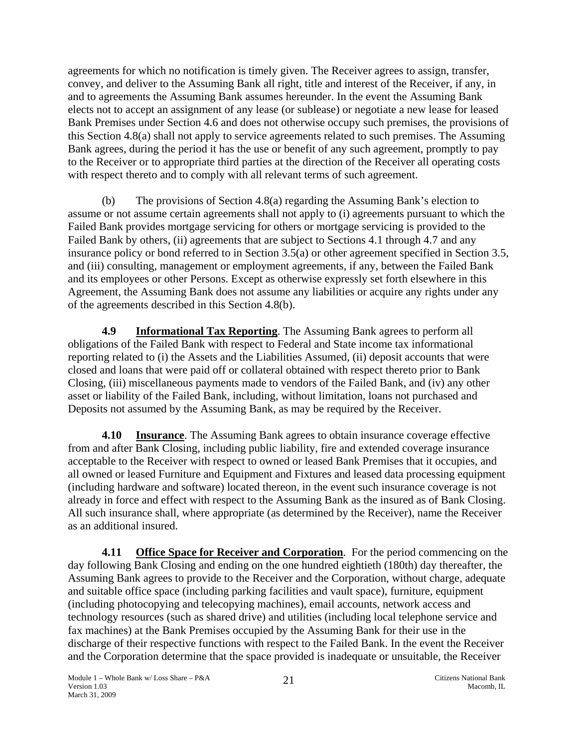<span id="page-24-0"></span>agreements for which no notification is timely given. The Receiver agrees to assign, transfer, convey, and deliver to the Assuming Bank all right, title and interest of the Receiver, if any, in and to agreements the Assuming Bank assumes hereunder. In the event the Assuming Bank elects not to accept an assignment of any lease (or sublease) or negotiate a new lease for leased Bank Premises under Section 4.6 and does not otherwise occupy such premises, the provisions of this Section 4.8(a) shall not apply to service agreements related to such premises. The Assuming Bank agrees, during the period it has the use or benefit of any such agreement, promptly to pay to the Receiver or to appropriate third parties at the direction of the Receiver all operating costs with respect thereto and to comply with all relevant terms of such agreement.

(b) The provisions of Section 4.8(a) regarding the Assuming Bank's election to assume or not assume certain agreements shall not apply to (i) agreements pursuant to which the Failed Bank provides mortgage servicing for others or mortgage servicing is provided to the Failed Bank by others, (ii) agreements that are subject to Sections 4.1 through 4.7 and any insurance policy or bond referred to in Section 3.5(a) or other agreement specified in Section 3.5, and (iii) consulting, management or employment agreements, if any, between the Failed Bank and its employees or other Persons. Except as otherwise expressly set forth elsewhere in this Agreement, the Assuming Bank does not assume any liabilities or acquire any rights under any of the agreements described in this Section 4.8(b).

**4.9** Informational Tax Reporting. The Assuming Bank agrees to perform all obligations of the Failed Bank with respect to Federal and State income tax informational reporting related to (i) the Assets and the Liabilities Assumed, (ii) deposit accounts that were closed and loans that were paid off or collateral obtained with respect thereto prior to Bank Closing, (iii) miscellaneous payments made to vendors of the Failed Bank, and (iv) any other asset or liability of the Failed Bank, including, without limitation, loans not purchased and Deposits not assumed by the Assuming Bank, as may be required by the Receiver.

**4.10 Insurance**. The Assuming Bank agrees to obtain insurance coverage effective from and after Bank Closing, including public liability, fire and extended coverage insurance acceptable to the Receiver with respect to owned or leased Bank Premises that it occupies, and all owned or leased Furniture and Equipment and Fixtures and leased data processing equipment (including hardware and software) located thereon, in the event such insurance coverage is not already in force and effect with respect to the Assuming Bank as the insured as of Bank Closing. All such insurance shall, where appropriate (as determined by the Receiver), name the Receiver as an additional insured.

**4.11 Office Space for Receiver and Corporation**. For the period commencing on the day following Bank Closing and ending on the one hundred eightieth (180th) day thereafter, the Assuming Bank agrees to provide to the Receiver and the Corporation, without charge, adequate and suitable office space (including parking facilities and vault space), furniture, equipment (including photocopying and telecopying machines), email accounts, network access and technology resources (such as shared drive) and utilities (including local telephone service and fax machines) at the Bank Premises occupied by the Assuming Bank for their use in the discharge of their respective functions with respect to the Failed Bank. In the event the Receiver and the Corporation determine that the space provided is inadequate or unsuitable, the Receiver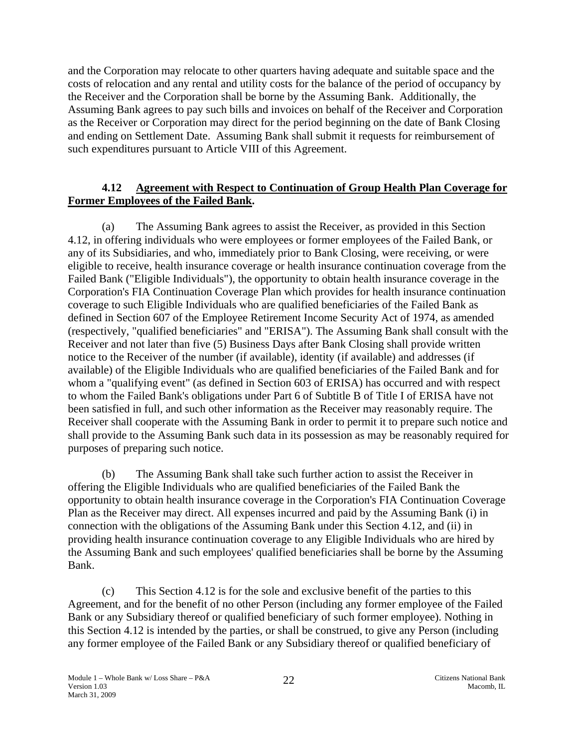<span id="page-25-0"></span>and the Corporation may relocate to other quarters having adequate and suitable space and the costs of relocation and any rental and utility costs for the balance of the period of occupancy by the Receiver and the Corporation shall be borne by the Assuming Bank. Additionally, the Assuming Bank agrees to pay such bills and invoices on behalf of the Receiver and Corporation as the Receiver or Corporation may direct for the period beginning on the date of Bank Closing and ending on Settlement Date. Assuming Bank shall submit it requests for reimbursement of such expenditures pursuant to Article VIII of this Agreement.

### **4.12 Agreement with Respect to Continuation of Group Health Plan Coverage for Former Employees of the Failed Bank.**

(a) The Assuming Bank agrees to assist the Receiver, as provided in this Section 4.12, in offering individuals who were employees or former employees of the Failed Bank, or any of its Subsidiaries, and who, immediately prior to Bank Closing, were receiving, or were eligible to receive, health insurance coverage or health insurance continuation coverage from the Failed Bank ("Eligible Individuals"), the opportunity to obtain health insurance coverage in the Corporation's FIA Continuation Coverage Plan which provides for health insurance continuation coverage to such Eligible Individuals who are qualified beneficiaries of the Failed Bank as defined in Section 607 of the Employee Retirement Income Security Act of 1974, as amended (respectively, "qualified beneficiaries" and "ERISA"). The Assuming Bank shall consult with the Receiver and not later than five (5) Business Days after Bank Closing shall provide written notice to the Receiver of the number (if available), identity (if available) and addresses (if available) of the Eligible Individuals who are qualified beneficiaries of the Failed Bank and for whom a "qualifying event" (as defined in Section 603 of ERISA) has occurred and with respect to whom the Failed Bank's obligations under Part 6 of Subtitle B of Title I of ERISA have not been satisfied in full, and such other information as the Receiver may reasonably require. The Receiver shall cooperate with the Assuming Bank in order to permit it to prepare such notice and shall provide to the Assuming Bank such data in its possession as may be reasonably required for purposes of preparing such notice.

(b) The Assuming Bank shall take such further action to assist the Receiver in offering the Eligible Individuals who are qualified beneficiaries of the Failed Bank the opportunity to obtain health insurance coverage in the Corporation's FIA Continuation Coverage Plan as the Receiver may direct. All expenses incurred and paid by the Assuming Bank (i) in connection with the obligations of the Assuming Bank under this Section 4.12, and (ii) in providing health insurance continuation coverage to any Eligible Individuals who are hired by the Assuming Bank and such employees' qualified beneficiaries shall be borne by the Assuming Bank.

(c) This Section 4.12 is for the sole and exclusive benefit of the parties to this Agreement, and for the benefit of no other Person (including any former employee of the Failed Bank or any Subsidiary thereof or qualified beneficiary of such former employee). Nothing in this Section 4.12 is intended by the parties, or shall be construed, to give any Person (including any former employee of the Failed Bank or any Subsidiary thereof or qualified beneficiary of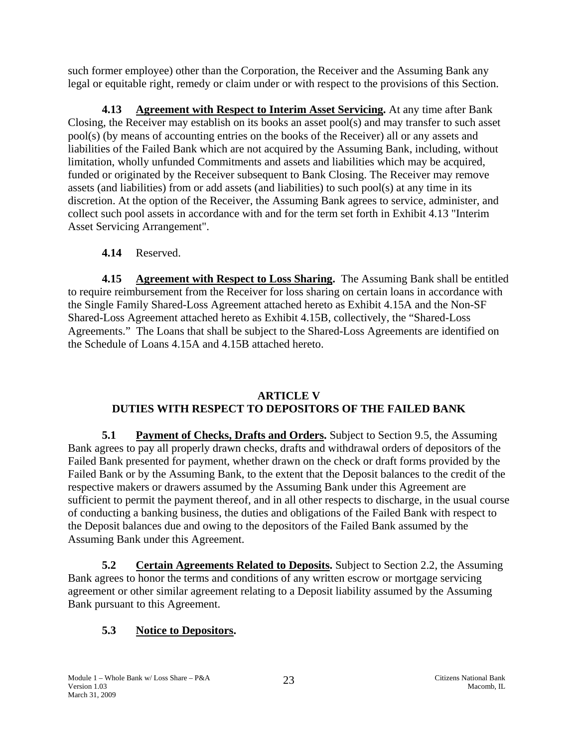<span id="page-26-0"></span>such former employee) other than the Corporation, the Receiver and the Assuming Bank any legal or equitable right, remedy or claim under or with respect to the provisions of this Section.

**4.13 Agreement with Respect to Interim Asset Servicing.** At any time after Bank Closing, the Receiver may establish on its books an asset pool(s) and may transfer to such asset pool(s) (by means of accounting entries on the books of the Receiver) all or any assets and liabilities of the Failed Bank which are not acquired by the Assuming Bank, including, without limitation, wholly unfunded Commitments and assets and liabilities which may be acquired, funded or originated by the Receiver subsequent to Bank Closing. The Receiver may remove assets (and liabilities) from or add assets (and liabilities) to such pool(s) at any time in its discretion. At the option of the Receiver, the Assuming Bank agrees to service, administer, and collect such pool assets in accordance with and for the term set forth in Exhibit 4.13 "Interim Asset Servicing Arrangement".

## **4.14** Reserved.

**4.15 Agreement with Respect to Loss Sharing.** The Assuming Bank shall be entitled to require reimbursement from the Receiver for loss sharing on certain loans in accordance with the Single Family Shared-Loss Agreement attached hereto as Exhibit 4.15A and the Non-SF Shared-Loss Agreement attached hereto as Exhibit 4.15B, collectively, the "Shared-Loss Agreements." The Loans that shall be subject to the Shared-Loss Agreements are identified on the Schedule of Loans 4.15A and 4.15B attached hereto.

## **ARTICLE V DUTIES WITH RESPECT TO DEPOSITORS OF THE FAILED BANK**

**5.1 Payment of Checks, Drafts and Orders.** Subject to Section 9.5, the Assuming Bank agrees to pay all properly drawn checks, drafts and withdrawal orders of depositors of the Failed Bank presented for payment, whether drawn on the check or draft forms provided by the Failed Bank or by the Assuming Bank, to the extent that the Deposit balances to the credit of the respective makers or drawers assumed by the Assuming Bank under this Agreement are sufficient to permit the payment thereof, and in all other respects to discharge, in the usual course of conducting a banking business, the duties and obligations of the Failed Bank with respect to the Deposit balances due and owing to the depositors of the Failed Bank assumed by the Assuming Bank under this Agreement.

**5.2 Certain Agreements Related to Deposits.** Subject to Section 2.2, the Assuming Bank agrees to honor the terms and conditions of any written escrow or mortgage servicing agreement or other similar agreement relating to a Deposit liability assumed by the Assuming Bank pursuant to this Agreement.

# **5.3 Notice to Depositors.**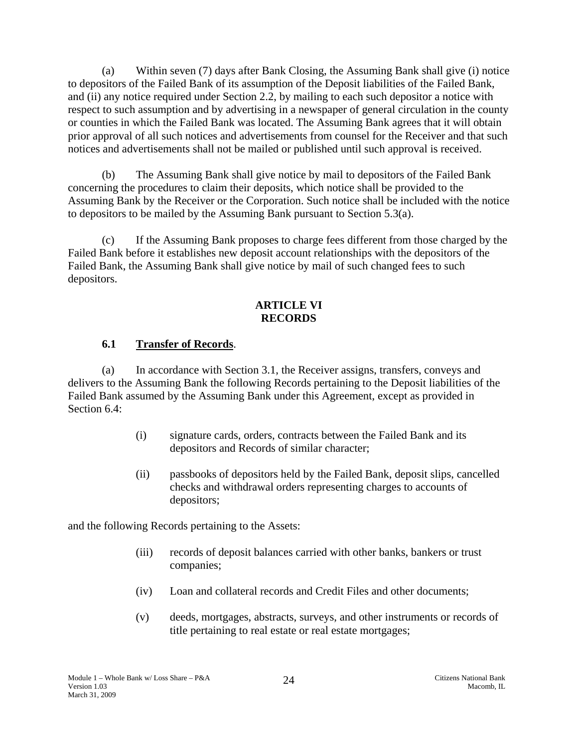<span id="page-27-0"></span>(a) Within seven (7) days after Bank Closing, the Assuming Bank shall give (i) notice to depositors of the Failed Bank of its assumption of the Deposit liabilities of the Failed Bank, and (ii) any notice required under Section 2.2, by mailing to each such depositor a notice with respect to such assumption and by advertising in a newspaper of general circulation in the county or counties in which the Failed Bank was located. The Assuming Bank agrees that it will obtain prior approval of all such notices and advertisements from counsel for the Receiver and that such notices and advertisements shall not be mailed or published until such approval is received.

(b) The Assuming Bank shall give notice by mail to depositors of the Failed Bank concerning the procedures to claim their deposits, which notice shall be provided to the Assuming Bank by the Receiver or the Corporation. Such notice shall be included with the notice to depositors to be mailed by the Assuming Bank pursuant to Section 5.3(a).

(c) If the Assuming Bank proposes to charge fees different from those charged by the Failed Bank before it establishes new deposit account relationships with the depositors of the Failed Bank, the Assuming Bank shall give notice by mail of such changed fees to such depositors.

## **ARTICLE VI RECORDS**

## **6.1 Transfer of Records**.

(a) In accordance with Section 3.1, the Receiver assigns, transfers, conveys and delivers to the Assuming Bank the following Records pertaining to the Deposit liabilities of the Failed Bank assumed by the Assuming Bank under this Agreement, except as provided in Section 6.4:

- (i) signature cards, orders, contracts between the Failed Bank and its depositors and Records of similar character;
- (ii) passbooks of depositors held by the Failed Bank, deposit slips, cancelled checks and withdrawal orders representing charges to accounts of depositors;

and the following Records pertaining to the Assets:

- (iii) records of deposit balances carried with other banks, bankers or trust companies;
- (iv) Loan and collateral records and Credit Files and other documents;
- (v) deeds, mortgages, abstracts, surveys, and other instruments or records of title pertaining to real estate or real estate mortgages;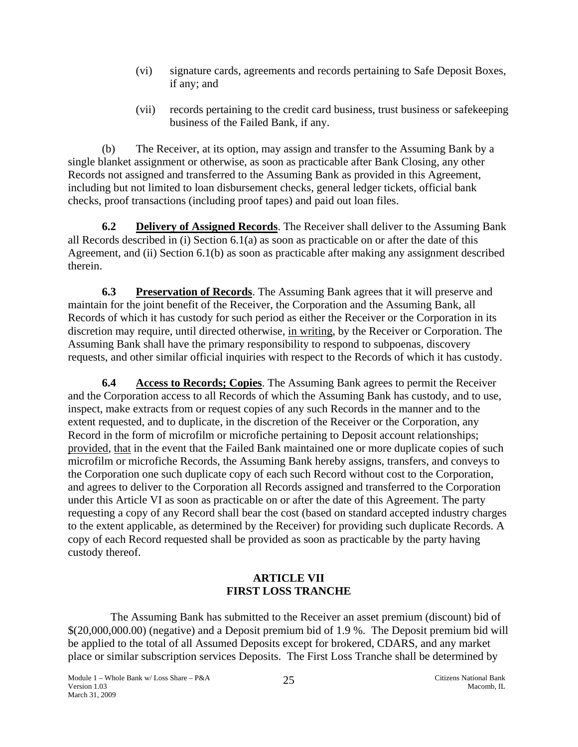- <span id="page-28-0"></span>(vi) signature cards, agreements and records pertaining to Safe Deposit Boxes, if any; and
- (vii) records pertaining to the credit card business, trust business or safekeeping business of the Failed Bank, if any.

(b) The Receiver, at its option, may assign and transfer to the Assuming Bank by a single blanket assignment or otherwise, as soon as practicable after Bank Closing, any other Records not assigned and transferred to the Assuming Bank as provided in this Agreement, including but not limited to loan disbursement checks, general ledger tickets, official bank checks, proof transactions (including proof tapes) and paid out loan files.

**6.2 Delivery of Assigned Records**. The Receiver shall deliver to the Assuming Bank all Records described in (i) Section 6.1(a) as soon as practicable on or after the date of this Agreement, and (ii) Section 6.1(b) as soon as practicable after making any assignment described therein.

**6.3 Preservation of Records**. The Assuming Bank agrees that it will preserve and maintain for the joint benefit of the Receiver, the Corporation and the Assuming Bank, all Records of which it has custody for such period as either the Receiver or the Corporation in its discretion may require, until directed otherwise, in writing, by the Receiver or Corporation. The Assuming Bank shall have the primary responsibility to respond to subpoenas, discovery requests, and other similar official inquiries with respect to the Records of which it has custody.

**6.4** Access to Records; Copies. The Assuming Bank agrees to permit the Receiver and the Corporation access to all Records of which the Assuming Bank has custody, and to use, inspect, make extracts from or request copies of any such Records in the manner and to the extent requested, and to duplicate, in the discretion of the Receiver or the Corporation, any Record in the form of microfilm or microfiche pertaining to Deposit account relationships; provided, that in the event that the Failed Bank maintained one or more duplicate copies of such microfilm or microfiche Records, the Assuming Bank hereby assigns, transfers, and conveys to the Corporation one such duplicate copy of each such Record without cost to the Corporation, and agrees to deliver to the Corporation all Records assigned and transferred to the Corporation under this Article VI as soon as practicable on or after the date of this Agreement. The party requesting a copy of any Record shall bear the cost (based on standard accepted industry charges to the extent applicable, as determined by the Receiver) for providing such duplicate Records. A copy of each Record requested shall be provided as soon as practicable by the party having custody thereof.

## **ARTICLE VII FIRST LOSS TRANCHE**

 The Assuming Bank has submitted to the Receiver an asset premium (discount) bid of \$(20,000,000.00) (negative) and a Deposit premium bid of 1.9 %. The Deposit premium bid will be applied to the total of all Assumed Deposits except for brokered, CDARS, and any market place or similar subscription services Deposits. The First Loss Tranche shall be determined by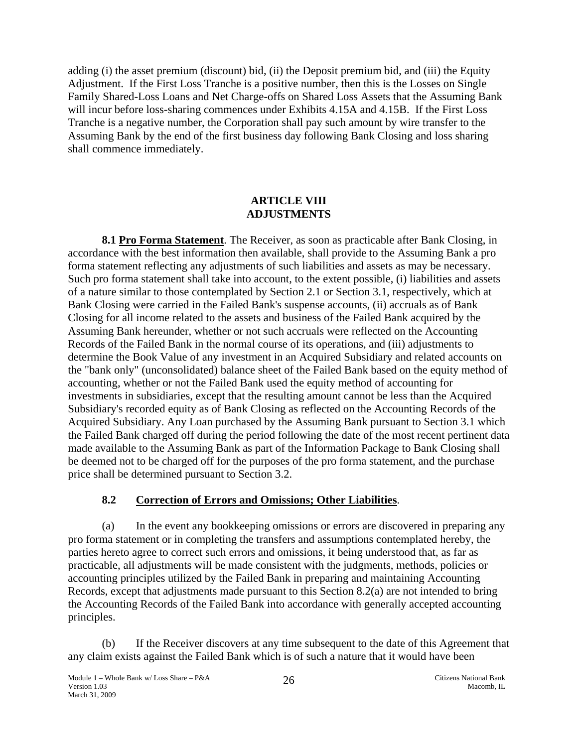<span id="page-29-0"></span>adding (i) the asset premium (discount) bid, (ii) the Deposit premium bid, and (iii) the Equity Adjustment. If the First Loss Tranche is a positive number, then this is the Losses on Single Family Shared-Loss Loans and Net Charge-offs on Shared Loss Assets that the Assuming Bank will incur before loss-sharing commences under Exhibits 4.15A and 4.15B. If the First Loss Tranche is a negative number, the Corporation shall pay such amount by wire transfer to the Assuming Bank by the end of the first business day following Bank Closing and loss sharing shall commence immediately.

#### **ARTICLE VIII ADJUSTMENTS**

**8.1 Pro Forma Statement**. The Receiver, as soon as practicable after Bank Closing, in accordance with the best information then available, shall provide to the Assuming Bank a pro forma statement reflecting any adjustments of such liabilities and assets as may be necessary. Such pro forma statement shall take into account, to the extent possible, (i) liabilities and assets of a nature similar to those contemplated by Section 2.1 or Section 3.1, respectively, which at Bank Closing were carried in the Failed Bank's suspense accounts, (ii) accruals as of Bank Closing for all income related to the assets and business of the Failed Bank acquired by the Assuming Bank hereunder, whether or not such accruals were reflected on the Accounting Records of the Failed Bank in the normal course of its operations, and (iii) adjustments to determine the Book Value of any investment in an Acquired Subsidiary and related accounts on the "bank only" (unconsolidated) balance sheet of the Failed Bank based on the equity method of accounting, whether or not the Failed Bank used the equity method of accounting for investments in subsidiaries, except that the resulting amount cannot be less than the Acquired Subsidiary's recorded equity as of Bank Closing as reflected on the Accounting Records of the Acquired Subsidiary. Any Loan purchased by the Assuming Bank pursuant to Section 3.1 which the Failed Bank charged off during the period following the date of the most recent pertinent data made available to the Assuming Bank as part of the Information Package to Bank Closing shall be deemed not to be charged off for the purposes of the pro forma statement, and the purchase price shall be determined pursuant to Section 3.2.

## **8.2 Correction of Errors and Omissions; Other Liabilities**.

(a) In the event any bookkeeping omissions or errors are discovered in preparing any pro forma statement or in completing the transfers and assumptions contemplated hereby, the parties hereto agree to correct such errors and omissions, it being understood that, as far as practicable, all adjustments will be made consistent with the judgments, methods, policies or accounting principles utilized by the Failed Bank in preparing and maintaining Accounting Records, except that adjustments made pursuant to this Section 8.2(a) are not intended to bring the Accounting Records of the Failed Bank into accordance with generally accepted accounting principles.

(b) If the Receiver discovers at any time subsequent to the date of this Agreement that any claim exists against the Failed Bank which is of such a nature that it would have been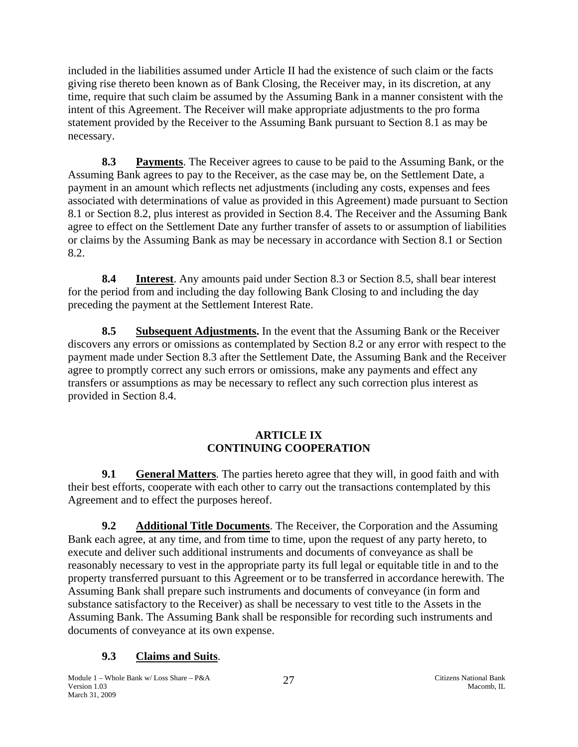<span id="page-30-0"></span>included in the liabilities assumed under Article II had the existence of such claim or the facts giving rise thereto been known as of Bank Closing, the Receiver may, in its discretion, at any time, require that such claim be assumed by the Assuming Bank in a manner consistent with the intent of this Agreement. The Receiver will make appropriate adjustments to the pro forma statement provided by the Receiver to the Assuming Bank pursuant to Section 8.1 as may be necessary.

**8.3 Payments**. The Receiver agrees to cause to be paid to the Assuming Bank, or the Assuming Bank agrees to pay to the Receiver, as the case may be, on the Settlement Date, a payment in an amount which reflects net adjustments (including any costs, expenses and fees associated with determinations of value as provided in this Agreement) made pursuant to Section 8.1 or Section 8.2, plus interest as provided in Section 8.4. The Receiver and the Assuming Bank agree to effect on the Settlement Date any further transfer of assets to or assumption of liabilities or claims by the Assuming Bank as may be necessary in accordance with Section 8.1 or Section 8.2.

**8.4 Interest**. Any amounts paid under Section 8.3 or Section 8.5, shall bear interest for the period from and including the day following Bank Closing to and including the day preceding the payment at the Settlement Interest Rate.

**8.5** Subsequent Adjustments. In the event that the Assuming Bank or the Receiver discovers any errors or omissions as contemplated by Section 8.2 or any error with respect to the payment made under Section 8.3 after the Settlement Date, the Assuming Bank and the Receiver agree to promptly correct any such errors or omissions, make any payments and effect any transfers or assumptions as may be necessary to reflect any such correction plus interest as provided in Section 8.4.

## **ARTICLE IX CONTINUING COOPERATION**

**9.1** General Matters. The parties hereto agree that they will, in good faith and with their best efforts, cooperate with each other to carry out the transactions contemplated by this Agreement and to effect the purposes hereof.

**9.2** Additional Title Documents. The Receiver, the Corporation and the Assuming Bank each agree, at any time, and from time to time, upon the request of any party hereto, to execute and deliver such additional instruments and documents of conveyance as shall be reasonably necessary to vest in the appropriate party its full legal or equitable title in and to the property transferred pursuant to this Agreement or to be transferred in accordance herewith. The Assuming Bank shall prepare such instruments and documents of conveyance (in form and substance satisfactory to the Receiver) as shall be necessary to vest title to the Assets in the Assuming Bank. The Assuming Bank shall be responsible for recording such instruments and documents of conveyance at its own expense.

## **9.3 Claims and Suits**.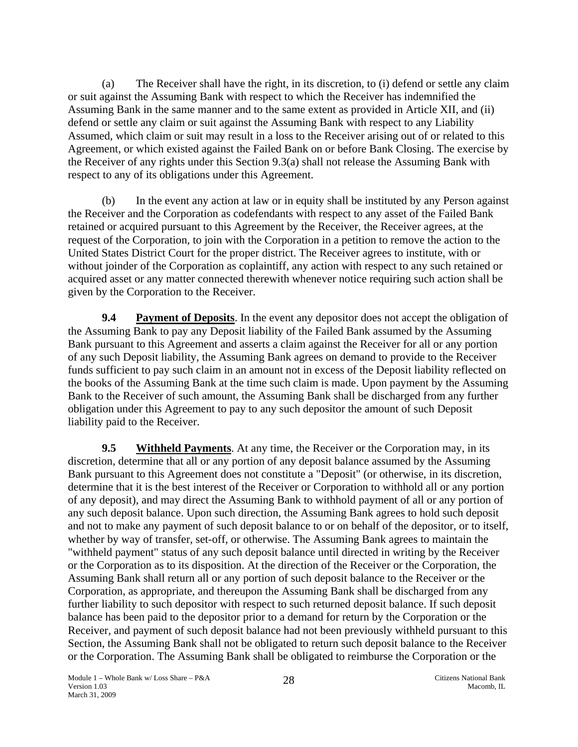<span id="page-31-0"></span>(a) The Receiver shall have the right, in its discretion, to (i) defend or settle any claim or suit against the Assuming Bank with respect to which the Receiver has indemnified the Assuming Bank in the same manner and to the same extent as provided in Article XII, and (ii) defend or settle any claim or suit against the Assuming Bank with respect to any Liability Assumed, which claim or suit may result in a loss to the Receiver arising out of or related to this Agreement, or which existed against the Failed Bank on or before Bank Closing. The exercise by the Receiver of any rights under this Section 9.3(a) shall not release the Assuming Bank with respect to any of its obligations under this Agreement.

(b) In the event any action at law or in equity shall be instituted by any Person against the Receiver and the Corporation as codefendants with respect to any asset of the Failed Bank retained or acquired pursuant to this Agreement by the Receiver, the Receiver agrees, at the request of the Corporation, to join with the Corporation in a petition to remove the action to the United States District Court for the proper district. The Receiver agrees to institute, with or without joinder of the Corporation as coplaintiff, any action with respect to any such retained or acquired asset or any matter connected therewith whenever notice requiring such action shall be given by the Corporation to the Receiver.

**9.4 Payment of Deposits**. In the event any depositor does not accept the obligation of the Assuming Bank to pay any Deposit liability of the Failed Bank assumed by the Assuming Bank pursuant to this Agreement and asserts a claim against the Receiver for all or any portion of any such Deposit liability, the Assuming Bank agrees on demand to provide to the Receiver funds sufficient to pay such claim in an amount not in excess of the Deposit liability reflected on the books of the Assuming Bank at the time such claim is made. Upon payment by the Assuming Bank to the Receiver of such amount, the Assuming Bank shall be discharged from any further obligation under this Agreement to pay to any such depositor the amount of such Deposit liability paid to the Receiver.

**9.5 Withheld Payments**. At any time, the Receiver or the Corporation may, in its discretion, determine that all or any portion of any deposit balance assumed by the Assuming Bank pursuant to this Agreement does not constitute a "Deposit" (or otherwise, in its discretion, determine that it is the best interest of the Receiver or Corporation to withhold all or any portion of any deposit), and may direct the Assuming Bank to withhold payment of all or any portion of any such deposit balance. Upon such direction, the Assuming Bank agrees to hold such deposit and not to make any payment of such deposit balance to or on behalf of the depositor, or to itself, whether by way of transfer, set-off, or otherwise. The Assuming Bank agrees to maintain the "withheld payment" status of any such deposit balance until directed in writing by the Receiver or the Corporation as to its disposition. At the direction of the Receiver or the Corporation, the Assuming Bank shall return all or any portion of such deposit balance to the Receiver or the Corporation, as appropriate, and thereupon the Assuming Bank shall be discharged from any further liability to such depositor with respect to such returned deposit balance. If such deposit balance has been paid to the depositor prior to a demand for return by the Corporation or the Receiver, and payment of such deposit balance had not been previously withheld pursuant to this Section, the Assuming Bank shall not be obligated to return such deposit balance to the Receiver or the Corporation. The Assuming Bank shall be obligated to reimburse the Corporation or the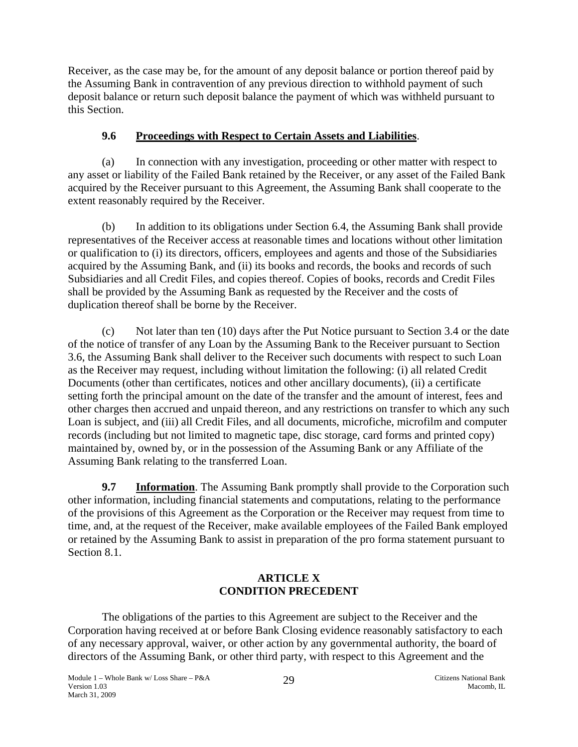<span id="page-32-0"></span>Receiver, as the case may be, for the amount of any deposit balance or portion thereof paid by the Assuming Bank in contravention of any previous direction to withhold payment of such deposit balance or return such deposit balance the payment of which was withheld pursuant to this Section.

## **9.6 Proceedings with Respect to Certain Assets and Liabilities**.

(a) In connection with any investigation, proceeding or other matter with respect to any asset or liability of the Failed Bank retained by the Receiver, or any asset of the Failed Bank acquired by the Receiver pursuant to this Agreement, the Assuming Bank shall cooperate to the extent reasonably required by the Receiver.

(b) In addition to its obligations under Section 6.4, the Assuming Bank shall provide representatives of the Receiver access at reasonable times and locations without other limitation or qualification to (i) its directors, officers, employees and agents and those of the Subsidiaries acquired by the Assuming Bank, and (ii) its books and records, the books and records of such Subsidiaries and all Credit Files, and copies thereof. Copies of books, records and Credit Files shall be provided by the Assuming Bank as requested by the Receiver and the costs of duplication thereof shall be borne by the Receiver.

(c) Not later than ten (10) days after the Put Notice pursuant to Section 3.4 or the date of the notice of transfer of any Loan by the Assuming Bank to the Receiver pursuant to Section 3.6, the Assuming Bank shall deliver to the Receiver such documents with respect to such Loan as the Receiver may request, including without limitation the following: (i) all related Credit Documents (other than certificates, notices and other ancillary documents), (ii) a certificate setting forth the principal amount on the date of the transfer and the amount of interest, fees and other charges then accrued and unpaid thereon, and any restrictions on transfer to which any such Loan is subject, and (iii) all Credit Files, and all documents, microfiche, microfilm and computer records (including but not limited to magnetic tape, disc storage, card forms and printed copy) maintained by, owned by, or in the possession of the Assuming Bank or any Affiliate of the Assuming Bank relating to the transferred Loan.

**9.7** Information. The Assuming Bank promptly shall provide to the Corporation such other information, including financial statements and computations, relating to the performance of the provisions of this Agreement as the Corporation or the Receiver may request from time to time, and, at the request of the Receiver, make available employees of the Failed Bank employed or retained by the Assuming Bank to assist in preparation of the pro forma statement pursuant to Section 8.1.

## **ARTICLE X CONDITION PRECEDENT**

The obligations of the parties to this Agreement are subject to the Receiver and the Corporation having received at or before Bank Closing evidence reasonably satisfactory to each of any necessary approval, waiver, or other action by any governmental authority, the board of directors of the Assuming Bank, or other third party, with respect to this Agreement and the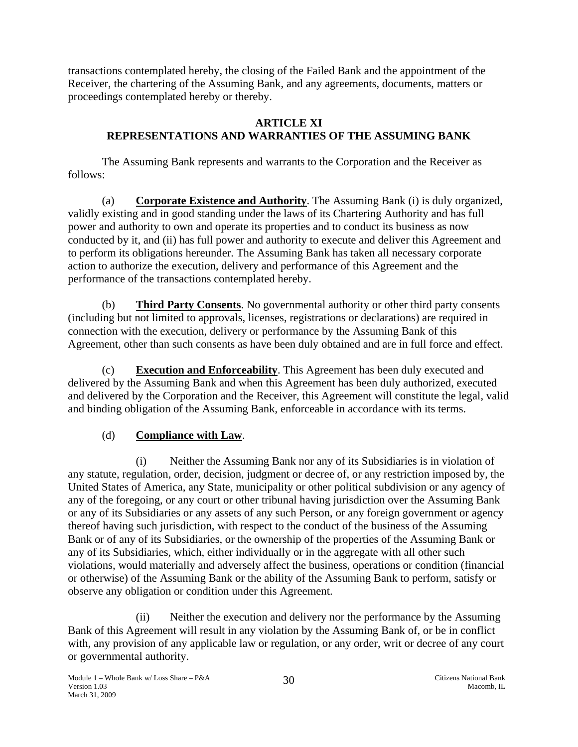<span id="page-33-0"></span>transactions contemplated hereby, the closing of the Failed Bank and the appointment of the Receiver, the chartering of the Assuming Bank, and any agreements, documents, matters or proceedings contemplated hereby or thereby.

#### **ARTICLE XI REPRESENTATIONS AND WARRANTIES OF THE ASSUMING BANK**

The Assuming Bank represents and warrants to the Corporation and the Receiver as follows:

(a) **Corporate Existence and Authority**. The Assuming Bank (i) is duly organized, validly existing and in good standing under the laws of its Chartering Authority and has full power and authority to own and operate its properties and to conduct its business as now conducted by it, and (ii) has full power and authority to execute and deliver this Agreement and to perform its obligations hereunder. The Assuming Bank has taken all necessary corporate action to authorize the execution, delivery and performance of this Agreement and the performance of the transactions contemplated hereby.

(b) **Third Party Consents**. No governmental authority or other third party consents (including but not limited to approvals, licenses, registrations or declarations) are required in connection with the execution, delivery or performance by the Assuming Bank of this Agreement, other than such consents as have been duly obtained and are in full force and effect.

(c) **Execution and Enforceability**. This Agreement has been duly executed and delivered by the Assuming Bank and when this Agreement has been duly authorized, executed and delivered by the Corporation and the Receiver, this Agreement will constitute the legal, valid and binding obligation of the Assuming Bank, enforceable in accordance with its terms.

## (d) **Compliance with Law**.

(i) Neither the Assuming Bank nor any of its Subsidiaries is in violation of any statute, regulation, order, decision, judgment or decree of, or any restriction imposed by, the United States of America, any State, municipality or other political subdivision or any agency of any of the foregoing, or any court or other tribunal having jurisdiction over the Assuming Bank or any of its Subsidiaries or any assets of any such Person, or any foreign government or agency thereof having such jurisdiction, with respect to the conduct of the business of the Assuming Bank or of any of its Subsidiaries, or the ownership of the properties of the Assuming Bank or any of its Subsidiaries, which, either individually or in the aggregate with all other such violations, would materially and adversely affect the business, operations or condition (financial or otherwise) of the Assuming Bank or the ability of the Assuming Bank to perform, satisfy or observe any obligation or condition under this Agreement.

(ii) Neither the execution and delivery nor the performance by the Assuming Bank of this Agreement will result in any violation by the Assuming Bank of, or be in conflict with, any provision of any applicable law or regulation, or any order, writ or decree of any court or governmental authority.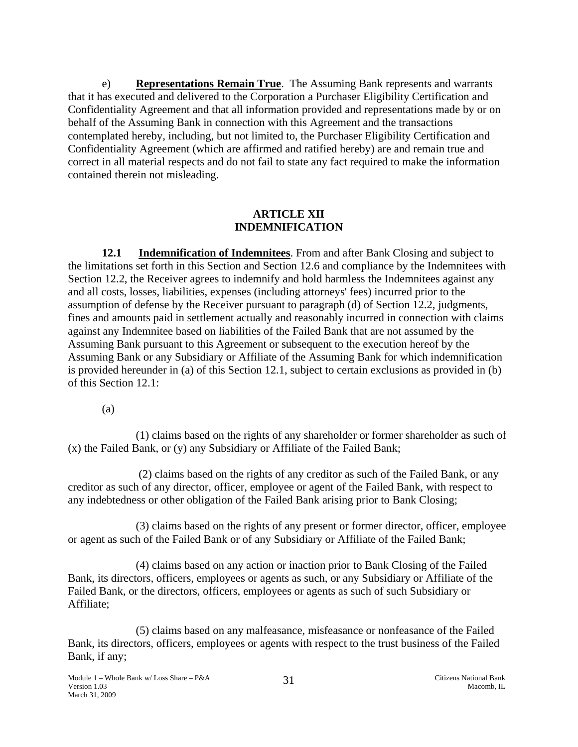e) **Representations Remain True**. The Assuming Bank represents and warrants that it has executed and delivered to the Corporation a Purchaser Eligibility Certification and Confidentiality Agreement and that all information provided and representations made by or on behalf of the Assuming Bank in connection with this Agreement and the transactions contemplated hereby, including, but not limited to, the Purchaser Eligibility Certification and Confidentiality Agreement (which are affirmed and ratified hereby) are and remain true and correct in all material respects and do not fail to state any fact required to make the information contained therein not misleading.

#### **ARTICLE XII INDEMNIFICATION**

**12.1** Indemnification of Indemnitees. From and after Bank Closing and subject to the limitations set forth in this Section and Section 12.6 and compliance by the Indemnitees with Section 12.2, the Receiver agrees to indemnify and hold harmless the Indemnitees against any and all costs, losses, liabilities, expenses (including attorneys' fees) incurred prior to the assumption of defense by the Receiver pursuant to paragraph (d) of Section 12.2, judgments, fines and amounts paid in settlement actually and reasonably incurred in connection with claims against any Indemnitee based on liabilities of the Failed Bank that are not assumed by the Assuming Bank pursuant to this Agreement or subsequent to the execution hereof by the Assuming Bank or any Subsidiary or Affiliate of the Assuming Bank for which indemnification is provided hereunder in (a) of this Section 12.1, subject to certain exclusions as provided in (b) of this Section 12.1:

(a)

(1) claims based on the rights of any shareholder or former shareholder as such of (x) the Failed Bank, or (y) any Subsidiary or Affiliate of the Failed Bank;

(2) claims based on the rights of any creditor as such of the Failed Bank, or any creditor as such of any director, officer, employee or agent of the Failed Bank, with respect to any indebtedness or other obligation of the Failed Bank arising prior to Bank Closing;

(3) claims based on the rights of any present or former director, officer, employee or agent as such of the Failed Bank or of any Subsidiary or Affiliate of the Failed Bank;

(4) claims based on any action or inaction prior to Bank Closing of the Failed Bank, its directors, officers, employees or agents as such, or any Subsidiary or Affiliate of the Failed Bank, or the directors, officers, employees or agents as such of such Subsidiary or Affiliate;

(5) claims based on any malfeasance, misfeasance or nonfeasance of the Failed Bank, its directors, officers, employees or agents with respect to the trust business of the Failed Bank, if any;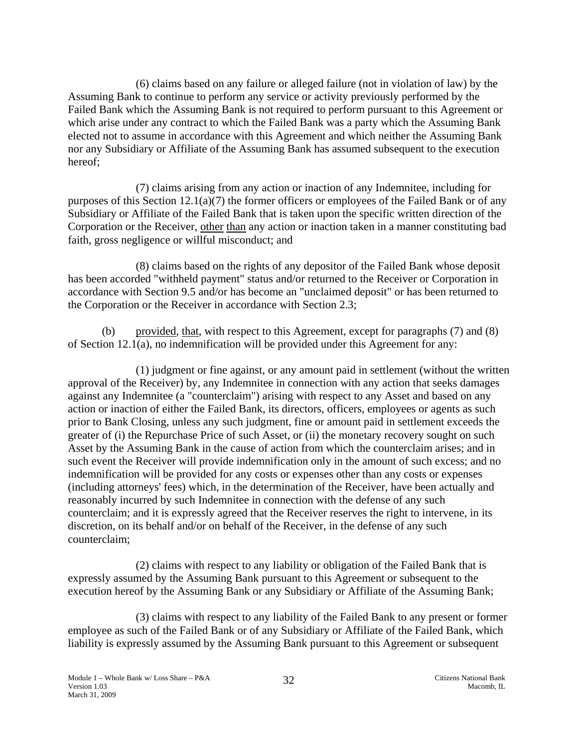(6) claims based on any failure or alleged failure (not in violation of law) by the Assuming Bank to continue to perform any service or activity previously performed by the Failed Bank which the Assuming Bank is not required to perform pursuant to this Agreement or which arise under any contract to which the Failed Bank was a party which the Assuming Bank elected not to assume in accordance with this Agreement and which neither the Assuming Bank nor any Subsidiary or Affiliate of the Assuming Bank has assumed subsequent to the execution hereof;

(7) claims arising from any action or inaction of any Indemnitee, including for purposes of this Section 12.1(a)(7) the former officers or employees of the Failed Bank or of any Subsidiary or Affiliate of the Failed Bank that is taken upon the specific written direction of the Corporation or the Receiver, other than any action or inaction taken in a manner constituting bad faith, gross negligence or willful misconduct; and

(8) claims based on the rights of any depositor of the Failed Bank whose deposit has been accorded "withheld payment" status and/or returned to the Receiver or Corporation in accordance with Section 9.5 and/or has become an "unclaimed deposit" or has been returned to the Corporation or the Receiver in accordance with Section 2.3;

(b) provided, that, with respect to this Agreement, except for paragraphs (7) and (8) of Section 12.1(a), no indemnification will be provided under this Agreement for any:

(1) judgment or fine against, or any amount paid in settlement (without the written approval of the Receiver) by, any Indemnitee in connection with any action that seeks damages against any Indemnitee (a "counterclaim") arising with respect to any Asset and based on any action or inaction of either the Failed Bank, its directors, officers, employees or agents as such prior to Bank Closing, unless any such judgment, fine or amount paid in settlement exceeds the greater of (i) the Repurchase Price of such Asset, or (ii) the monetary recovery sought on such Asset by the Assuming Bank in the cause of action from which the counterclaim arises; and in such event the Receiver will provide indemnification only in the amount of such excess; and no indemnification will be provided for any costs or expenses other than any costs or expenses (including attorneys' fees) which, in the determination of the Receiver, have been actually and reasonably incurred by such Indemnitee in connection with the defense of any such counterclaim; and it is expressly agreed that the Receiver reserves the right to intervene, in its discretion, on its behalf and/or on behalf of the Receiver, in the defense of any such counterclaim;

(2) claims with respect to any liability or obligation of the Failed Bank that is expressly assumed by the Assuming Bank pursuant to this Agreement or subsequent to the execution hereof by the Assuming Bank or any Subsidiary or Affiliate of the Assuming Bank;

(3) claims with respect to any liability of the Failed Bank to any present or former employee as such of the Failed Bank or of any Subsidiary or Affiliate of the Failed Bank, which liability is expressly assumed by the Assuming Bank pursuant to this Agreement or subsequent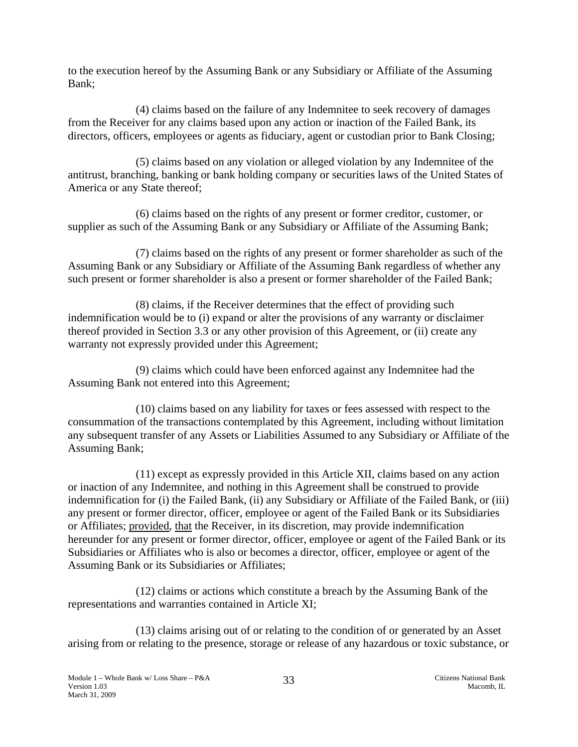to the execution hereof by the Assuming Bank or any Subsidiary or Affiliate of the Assuming Bank;

(4) claims based on the failure of any Indemnitee to seek recovery of damages from the Receiver for any claims based upon any action or inaction of the Failed Bank, its directors, officers, employees or agents as fiduciary, agent or custodian prior to Bank Closing;

(5) claims based on any violation or alleged violation by any Indemnitee of the antitrust, branching, banking or bank holding company or securities laws of the United States of America or any State thereof;

(6) claims based on the rights of any present or former creditor, customer, or supplier as such of the Assuming Bank or any Subsidiary or Affiliate of the Assuming Bank;

(7) claims based on the rights of any present or former shareholder as such of the Assuming Bank or any Subsidiary or Affiliate of the Assuming Bank regardless of whether any such present or former shareholder is also a present or former shareholder of the Failed Bank;

(8) claims, if the Receiver determines that the effect of providing such indemnification would be to (i) expand or alter the provisions of any warranty or disclaimer thereof provided in Section 3.3 or any other provision of this Agreement, or (ii) create any warranty not expressly provided under this Agreement;

(9) claims which could have been enforced against any Indemnitee had the Assuming Bank not entered into this Agreement;

(10) claims based on any liability for taxes or fees assessed with respect to the consummation of the transactions contemplated by this Agreement, including without limitation any subsequent transfer of any Assets or Liabilities Assumed to any Subsidiary or Affiliate of the Assuming Bank;

(11) except as expressly provided in this Article XII, claims based on any action or inaction of any Indemnitee, and nothing in this Agreement shall be construed to provide indemnification for (i) the Failed Bank, (ii) any Subsidiary or Affiliate of the Failed Bank, or (iii) any present or former director, officer, employee or agent of the Failed Bank or its Subsidiaries or Affiliates; provided, that the Receiver, in its discretion, may provide indemnification hereunder for any present or former director, officer, employee or agent of the Failed Bank or its Subsidiaries or Affiliates who is also or becomes a director, officer, employee or agent of the Assuming Bank or its Subsidiaries or Affiliates;

(12) claims or actions which constitute a breach by the Assuming Bank of the representations and warranties contained in Article XI;

(13) claims arising out of or relating to the condition of or generated by an Asset arising from or relating to the presence, storage or release of any hazardous or toxic substance, or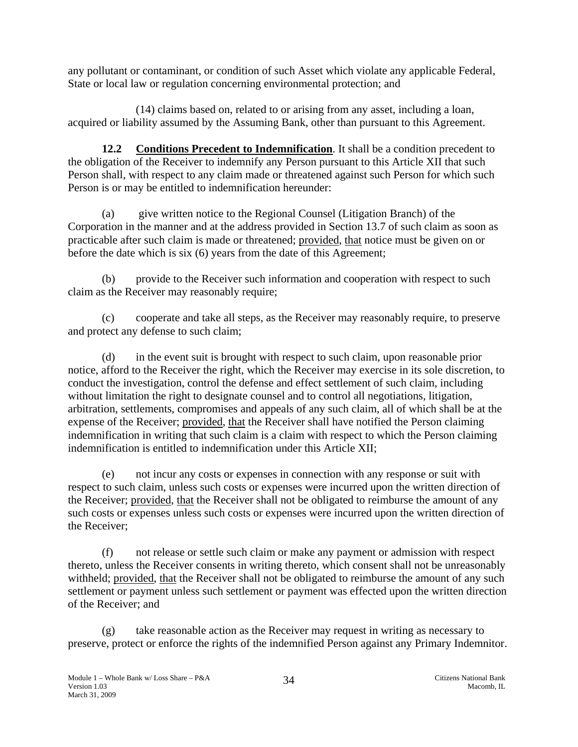any pollutant or contaminant, or condition of such Asset which violate any applicable Federal, State or local law or regulation concerning environmental protection; and

(14) claims based on, related to or arising from any asset, including a loan, acquired or liability assumed by the Assuming Bank, other than pursuant to this Agreement.

**12.2 Conditions Precedent to Indemnification**. It shall be a condition precedent to the obligation of the Receiver to indemnify any Person pursuant to this Article XII that such Person shall, with respect to any claim made or threatened against such Person for which such Person is or may be entitled to indemnification hereunder:

(a) give written notice to the Regional Counsel (Litigation Branch) of the Corporation in the manner and at the address provided in Section 13.7 of such claim as soon as practicable after such claim is made or threatened; provided, that notice must be given on or before the date which is six (6) years from the date of this Agreement;

(b) provide to the Receiver such information and cooperation with respect to such claim as the Receiver may reasonably require;

(c) cooperate and take all steps, as the Receiver may reasonably require, to preserve and protect any defense to such claim;

(d) in the event suit is brought with respect to such claim, upon reasonable prior notice, afford to the Receiver the right, which the Receiver may exercise in its sole discretion, to conduct the investigation, control the defense and effect settlement of such claim, including without limitation the right to designate counsel and to control all negotiations, litigation, arbitration, settlements, compromises and appeals of any such claim, all of which shall be at the expense of the Receiver; provided, that the Receiver shall have notified the Person claiming indemnification in writing that such claim is a claim with respect to which the Person claiming indemnification is entitled to indemnification under this Article XII;

(e) not incur any costs or expenses in connection with any response or suit with respect to such claim, unless such costs or expenses were incurred upon the written direction of the Receiver; provided, that the Receiver shall not be obligated to reimburse the amount of any such costs or expenses unless such costs or expenses were incurred upon the written direction of the Receiver;

(f) not release or settle such claim or make any payment or admission with respect thereto, unless the Receiver consents in writing thereto, which consent shall not be unreasonably withheld; provided, that the Receiver shall not be obligated to reimburse the amount of any such settlement or payment unless such settlement or payment was effected upon the written direction of the Receiver; and

(g) take reasonable action as the Receiver may request in writing as necessary to preserve, protect or enforce the rights of the indemnified Person against any Primary Indemnitor.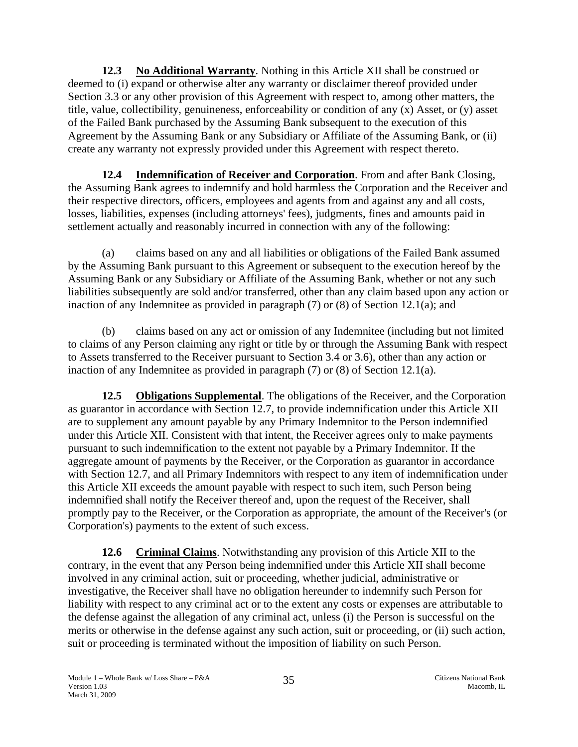**12.3 No Additional Warranty**. Nothing in this Article XII shall be construed or deemed to (i) expand or otherwise alter any warranty or disclaimer thereof provided under Section 3.3 or any other provision of this Agreement with respect to, among other matters, the title, value, collectibility, genuineness, enforceability or condition of any (x) Asset, or (y) asset of the Failed Bank purchased by the Assuming Bank subsequent to the execution of this Agreement by the Assuming Bank or any Subsidiary or Affiliate of the Assuming Bank, or (ii) create any warranty not expressly provided under this Agreement with respect thereto.

**12.4 Indemnification of Receiver and Corporation**. From and after Bank Closing, the Assuming Bank agrees to indemnify and hold harmless the Corporation and the Receiver and their respective directors, officers, employees and agents from and against any and all costs, losses, liabilities, expenses (including attorneys' fees), judgments, fines and amounts paid in settlement actually and reasonably incurred in connection with any of the following:

(a) claims based on any and all liabilities or obligations of the Failed Bank assumed by the Assuming Bank pursuant to this Agreement or subsequent to the execution hereof by the Assuming Bank or any Subsidiary or Affiliate of the Assuming Bank, whether or not any such liabilities subsequently are sold and/or transferred, other than any claim based upon any action or inaction of any Indemnitee as provided in paragraph (7) or (8) of Section 12.1(a); and

(b) claims based on any act or omission of any Indemnitee (including but not limited to claims of any Person claiming any right or title by or through the Assuming Bank with respect to Assets transferred to the Receiver pursuant to Section 3.4 or 3.6), other than any action or inaction of any Indemnitee as provided in paragraph (7) or (8) of Section 12.1(a).

**12.5 Obligations Supplemental**. The obligations of the Receiver, and the Corporation as guarantor in accordance with Section 12.7, to provide indemnification under this Article XII are to supplement any amount payable by any Primary Indemnitor to the Person indemnified under this Article XII. Consistent with that intent, the Receiver agrees only to make payments pursuant to such indemnification to the extent not payable by a Primary Indemnitor. If the aggregate amount of payments by the Receiver, or the Corporation as guarantor in accordance with Section 12.7, and all Primary Indemnitors with respect to any item of indemnification under this Article XII exceeds the amount payable with respect to such item, such Person being indemnified shall notify the Receiver thereof and, upon the request of the Receiver, shall promptly pay to the Receiver, or the Corporation as appropriate, the amount of the Receiver's (or Corporation's) payments to the extent of such excess.

**12.6 Criminal Claims**. Notwithstanding any provision of this Article XII to the contrary, in the event that any Person being indemnified under this Article XII shall become involved in any criminal action, suit or proceeding, whether judicial, administrative or investigative, the Receiver shall have no obligation hereunder to indemnify such Person for liability with respect to any criminal act or to the extent any costs or expenses are attributable to the defense against the allegation of any criminal act, unless (i) the Person is successful on the merits or otherwise in the defense against any such action, suit or proceeding, or (ii) such action, suit or proceeding is terminated without the imposition of liability on such Person.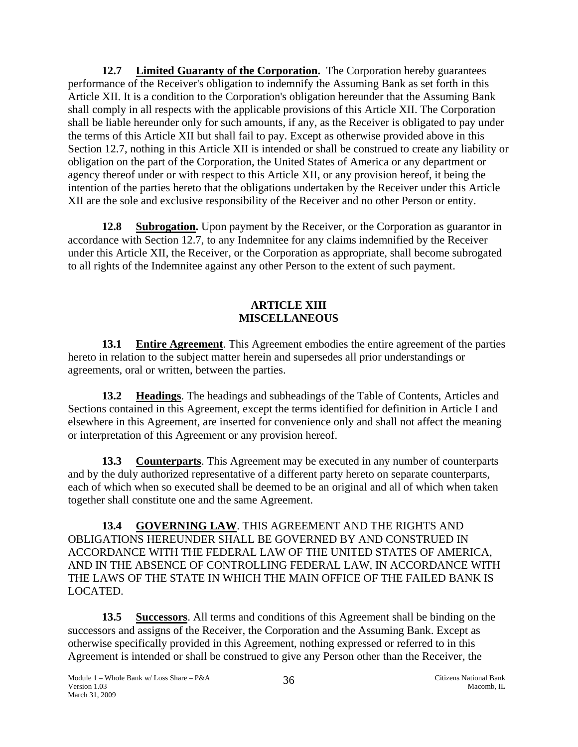**12.7 Limited Guaranty of the Corporation.** The Corporation hereby guarantees performance of the Receiver's obligation to indemnify the Assuming Bank as set forth in this Article XII. It is a condition to the Corporation's obligation hereunder that the Assuming Bank shall comply in all respects with the applicable provisions of this Article XII. The Corporation shall be liable hereunder only for such amounts, if any, as the Receiver is obligated to pay under the terms of this Article XII but shall fail to pay. Except as otherwise provided above in this Section 12.7, nothing in this Article XII is intended or shall be construed to create any liability or obligation on the part of the Corporation, the United States of America or any department or agency thereof under or with respect to this Article XII, or any provision hereof, it being the intention of the parties hereto that the obligations undertaken by the Receiver under this Article XII are the sole and exclusive responsibility of the Receiver and no other Person or entity.

**12.8** Subrogation. Upon payment by the Receiver, or the Corporation as guarantor in accordance with Section 12.7, to any Indemnitee for any claims indemnified by the Receiver under this Article XII, the Receiver, or the Corporation as appropriate, shall become subrogated to all rights of the Indemnitee against any other Person to the extent of such payment.

### **ARTICLE XIII MISCELLANEOUS**

**13.1 Entire Agreement**. This Agreement embodies the entire agreement of the parties hereto in relation to the subject matter herein and supersedes all prior understandings or agreements, oral or written, between the parties.

**13.2 Headings**. The headings and subheadings of the Table of Contents, Articles and Sections contained in this Agreement, except the terms identified for definition in Article I and elsewhere in this Agreement, are inserted for convenience only and shall not affect the meaning or interpretation of this Agreement or any provision hereof.

**13.3 Counterparts**. This Agreement may be executed in any number of counterparts and by the duly authorized representative of a different party hereto on separate counterparts, each of which when so executed shall be deemed to be an original and all of which when taken together shall constitute one and the same Agreement.

**13.4 GOVERNING LAW**. THIS AGREEMENT AND THE RIGHTS AND OBLIGATIONS HEREUNDER SHALL BE GOVERNED BY AND CONSTRUED IN ACCORDANCE WITH THE FEDERAL LAW OF THE UNITED STATES OF AMERICA, AND IN THE ABSENCE OF CONTROLLING FEDERAL LAW, IN ACCORDANCE WITH THE LAWS OF THE STATE IN WHICH THE MAIN OFFICE OF THE FAILED BANK IS LOCATED.

13.5 Successors. All terms and conditions of this Agreement shall be binding on the successors and assigns of the Receiver, the Corporation and the Assuming Bank. Except as otherwise specifically provided in this Agreement, nothing expressed or referred to in this Agreement is intended or shall be construed to give any Person other than the Receiver, the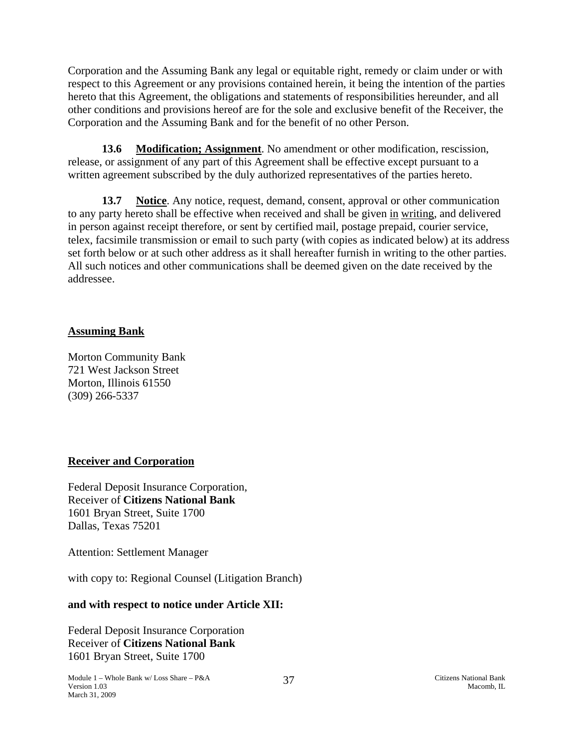Corporation and the Assuming Bank any legal or equitable right, remedy or claim under or with respect to this Agreement or any provisions contained herein, it being the intention of the parties hereto that this Agreement, the obligations and statements of responsibilities hereunder, and all other conditions and provisions hereof are for the sole and exclusive benefit of the Receiver, the Corporation and the Assuming Bank and for the benefit of no other Person.

**13.6 Modification; Assignment**. No amendment or other modification, rescission, release, or assignment of any part of this Agreement shall be effective except pursuant to a written agreement subscribed by the duly authorized representatives of the parties hereto.

**13.7** Notice. Any notice, request, demand, consent, approval or other communication to any party hereto shall be effective when received and shall be given in writing, and delivered in person against receipt therefore, or sent by certified mail, postage prepaid, courier service, telex, facsimile transmission or email to such party (with copies as indicated below) at its address set forth below or at such other address as it shall hereafter furnish in writing to the other parties. All such notices and other communications shall be deemed given on the date received by the addressee.

#### **Assuming Bank**

Morton Community Bank 721 West Jackson Street Morton, Illinois 61550 (309) 266-5337

### **Receiver and Corporation**

 Receiver of **Citizens National Bank** Federal Deposit Insurance Corporation, 1601 Bryan Street, Suite 1700 Dallas, Texas 75201

Attention: Settlement Manager

with copy to: Regional Counsel (Litigation Branch)

#### **and with respect to notice under Article XII:**

Federal Deposit Insurance Corporation Receiver of **Citizens National Bank**  1601 Bryan Street, Suite 1700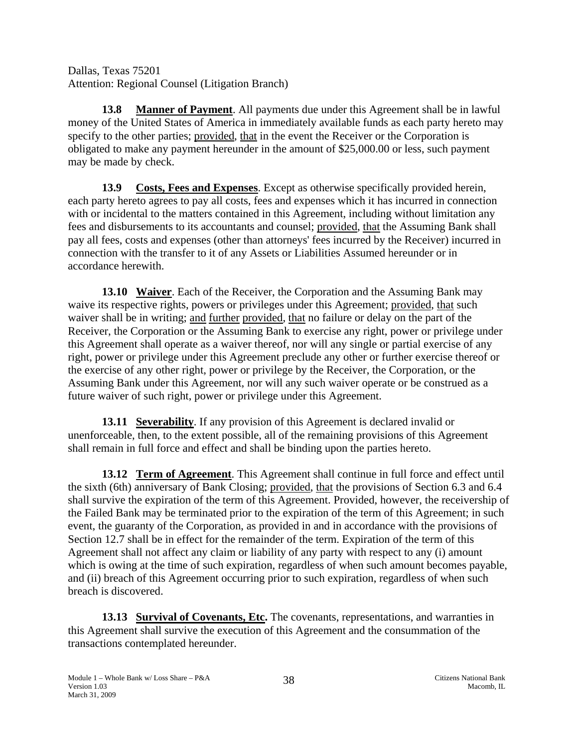Dallas, Texas 75201 Attention: Regional Counsel (Litigation Branch)

 **13.8 Manner of Payment**. All payments due under this Agreement shall be in lawful money of the United States of America in immediately available funds as each party hereto may specify to the other parties; provided, that in the event the Receiver or the Corporation is obligated to make any payment hereunder in the amount of \$25,000.00 or less, such payment may be made by check.

**13.9 Costs, Fees and Expenses**. Except as otherwise specifically provided herein, each party hereto agrees to pay all costs, fees and expenses which it has incurred in connection with or incidental to the matters contained in this Agreement, including without limitation any fees and disbursements to its accountants and counsel; provided, that the Assuming Bank shall pay all fees, costs and expenses (other than attorneys' fees incurred by the Receiver) incurred in connection with the transfer to it of any Assets or Liabilities Assumed hereunder or in accordance herewith.

**13.10 Waiver**. Each of the Receiver, the Corporation and the Assuming Bank may waive its respective rights, powers or privileges under this Agreement; provided, that such waiver shall be in writing; and further provided, that no failure or delay on the part of the Receiver, the Corporation or the Assuming Bank to exercise any right, power or privilege under this Agreement shall operate as a waiver thereof, nor will any single or partial exercise of any right, power or privilege under this Agreement preclude any other or further exercise thereof or the exercise of any other right, power or privilege by the Receiver, the Corporation, or the Assuming Bank under this Agreement, nor will any such waiver operate or be construed as a future waiver of such right, power or privilege under this Agreement.

**13.11 Severability**. If any provision of this Agreement is declared invalid or unenforceable, then, to the extent possible, all of the remaining provisions of this Agreement shall remain in full force and effect and shall be binding upon the parties hereto.

**13.12 Term of Agreement**. This Agreement shall continue in full force and effect until the sixth (6th) anniversary of Bank Closing; provided, that the provisions of Section 6.3 and 6.4 shall survive the expiration of the term of this Agreement. Provided, however, the receivership of the Failed Bank may be terminated prior to the expiration of the term of this Agreement; in such event, the guaranty of the Corporation, as provided in and in accordance with the provisions of Section 12.7 shall be in effect for the remainder of the term. Expiration of the term of this Agreement shall not affect any claim or liability of any party with respect to any (i) amount which is owing at the time of such expiration, regardless of when such amount becomes payable, and (ii) breach of this Agreement occurring prior to such expiration, regardless of when such breach is discovered.

**13.13 Survival of Covenants, Etc.** The covenants, representations, and warranties in this Agreement shall survive the execution of this Agreement and the consummation of the transactions contemplated hereunder.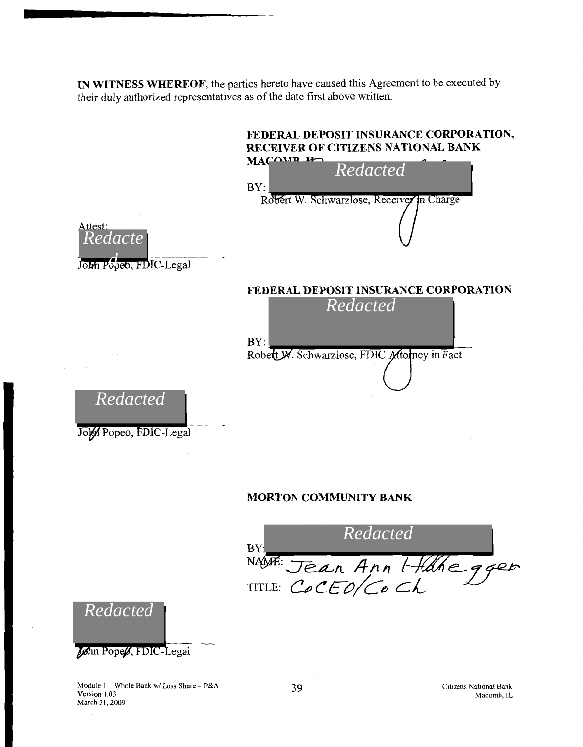**IN WITNESS WHEREOF,** the parties hereto have caused this Agreement to be executed by their duly authorized representatives as of the date first above written.

**FEDERAL DEPOSIT INSURANCE CORPORATION, RECEIVER OF CITlZENS NATIONAL BANK**  MACOMP HO *Redacted*  $BY:$ Robert W. Schwarzlose, Receiver in Charge Attest: *Redacte* John Popeb, FDIC-Legal **FEDERAL DEPOSIT 1NSURANCE CORPORATION**  *Redacted* BY: Robert W. Schwarzlose, FDIC Attorney in Fact *Redacted* John Popeo, FDIC-Legal **MORTON COMMUNITY BANK**  BY:<br>
NA<u>WE:</u> Jean Ann Hahe goes *Redacted*John Popes, FDIC-Legal Module 1 -Whole Bank **w/ Loss** Share -**P&A** Citizens National Bank View 1.03 Macrosoft 1.03 Macrosoft P&A 39 Macrosoft 1.03 Macrosoft 1.03 Macrosoft 1.03 Macrosoft 1.03 Macrosoft 1.03 Macrosoft 1.03 Macrosoft 1.03 Macrosoft 1.03 Macrosoft 1.03 Macrosoft 1.03 Macrosoft 1.03 Macrosoft 1.03

**Version 1.03**<br>March 31, 2009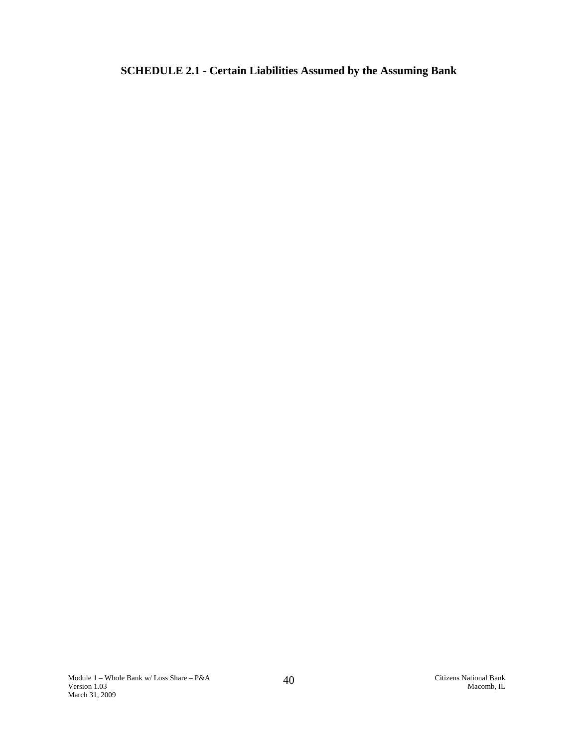**SCHEDULE 2.1 - Certain Liabilities Assumed by the Assuming Bank**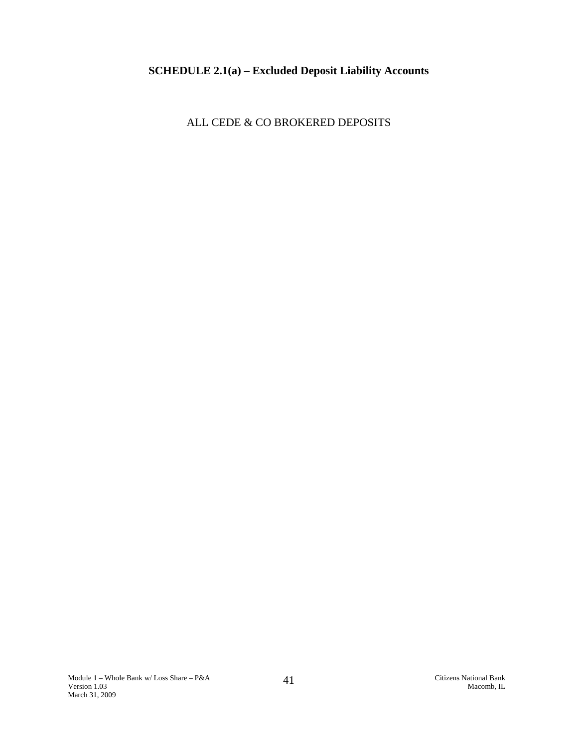## **SCHEDULE 2.1(a) – Excluded Deposit Liability Accounts**

ALL CEDE & CO BROKERED DEPOSITS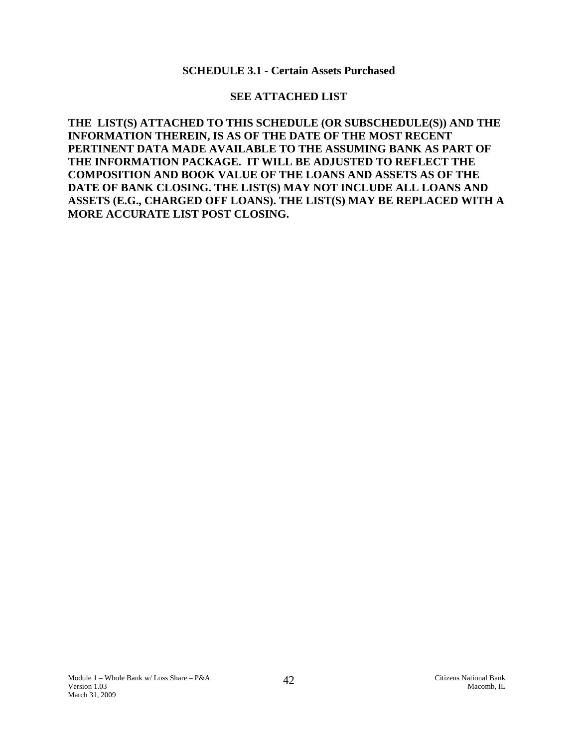#### **SCHEDULE 3.1 - Certain Assets Purchased**

#### **SEE ATTACHED LIST**

THE LIST(S) ATTACHED TO THIS SCHEDULE (OR SUBSCHEDULE(S)) AND THE **INFORMATION THEREIN, IS AS OF THE DATE OF THE MOST RECENT PERTINENT DATA MADE AVAILABLE TO THE ASSUMING BANK AS PART OF THE INFORMATION PACKAGE. IT WILL BE ADJUSTED TO REFLECT THE COMPOSITION AND BOOK VALUE OF THE LOANS AND ASSETS AS OF THE DATE OF BANK CLOSING. THE LIST(S) MAY NOT INCLUDE ALL LOANS AND ASSETS (E.G., CHARGED OFF LOANS). THE LIST(S) MAY BE REPLACED WITH A MORE ACCURATE LIST POST CLOSING.**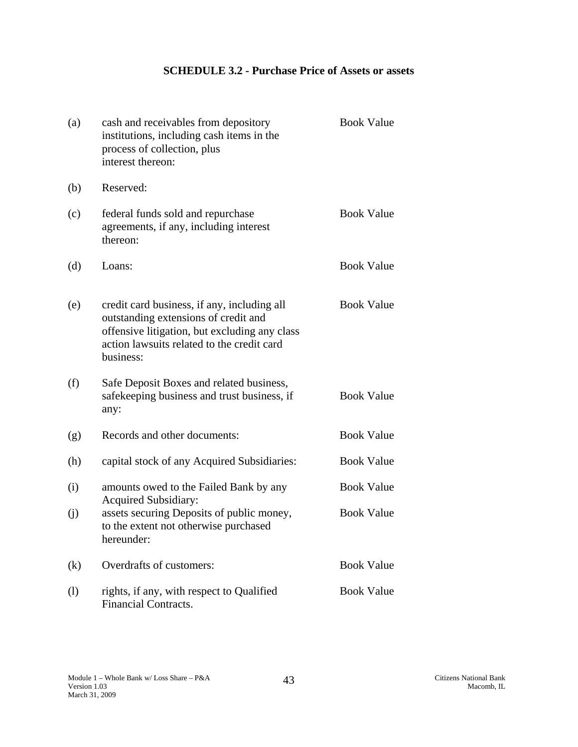## **SCHEDULE 3.2 - Purchase Price of Assets or assets**

| (a) | cash and receivables from depository<br>institutions, including cash items in the<br>process of collection, plus<br>interest thereon:                                                           | <b>Book Value</b> |
|-----|-------------------------------------------------------------------------------------------------------------------------------------------------------------------------------------------------|-------------------|
| (b) | Reserved:                                                                                                                                                                                       |                   |
| (c) | federal funds sold and repurchase<br>agreements, if any, including interest<br>thereon:                                                                                                         | <b>Book Value</b> |
| (d) | Loans:                                                                                                                                                                                          | <b>Book Value</b> |
| (e) | credit card business, if any, including all<br>outstanding extensions of credit and<br>offensive litigation, but excluding any class<br>action lawsuits related to the credit card<br>business: | <b>Book Value</b> |
| (f) | Safe Deposit Boxes and related business,<br>safekeeping business and trust business, if<br>any:                                                                                                 | <b>Book Value</b> |
| (g) | Records and other documents:                                                                                                                                                                    | <b>Book Value</b> |
| (h) | capital stock of any Acquired Subsidiaries:                                                                                                                                                     | <b>Book Value</b> |
| (i) | amounts owed to the Failed Bank by any                                                                                                                                                          | <b>Book Value</b> |
| (i) | <b>Acquired Subsidiary:</b><br>assets securing Deposits of public money,<br>to the extent not otherwise purchased<br>hereunder:                                                                 | <b>Book Value</b> |
| (k) | Overdrafts of customers:                                                                                                                                                                        | <b>Book Value</b> |
| (1) | rights, if any, with respect to Qualified<br><b>Financial Contracts.</b>                                                                                                                        | <b>Book Value</b> |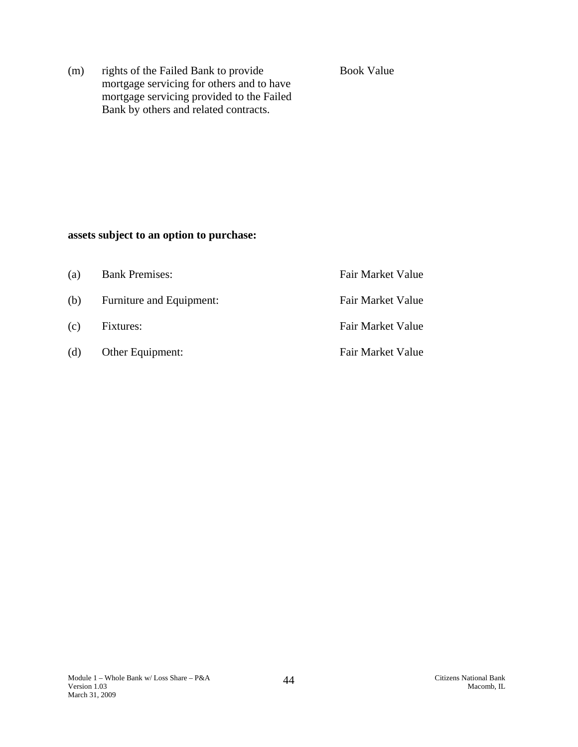(m) rights of the Failed Bank to provide Book Value mortgage servicing for others and to have mortgage servicing provided to the Failed Bank by others and related contracts.

## **assets subject to an option to purchase:**

| (a) | <b>Bank Premises:</b>    | <b>Fair Market Value</b> |
|-----|--------------------------|--------------------------|
| (b) | Furniture and Equipment: | Fair Market Value        |
| (c) | Fixtures:                | Fair Market Value        |
| (d) | Other Equipment:         | <b>Fair Market Value</b> |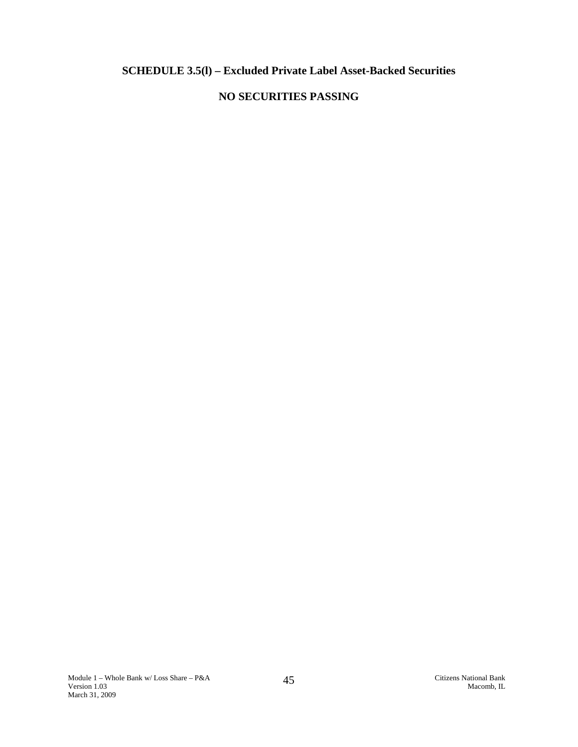### **SCHEDULE 3.5(l) – Excluded Private Label Asset-Backed Securities**

## **NO SECURITIES PASSING**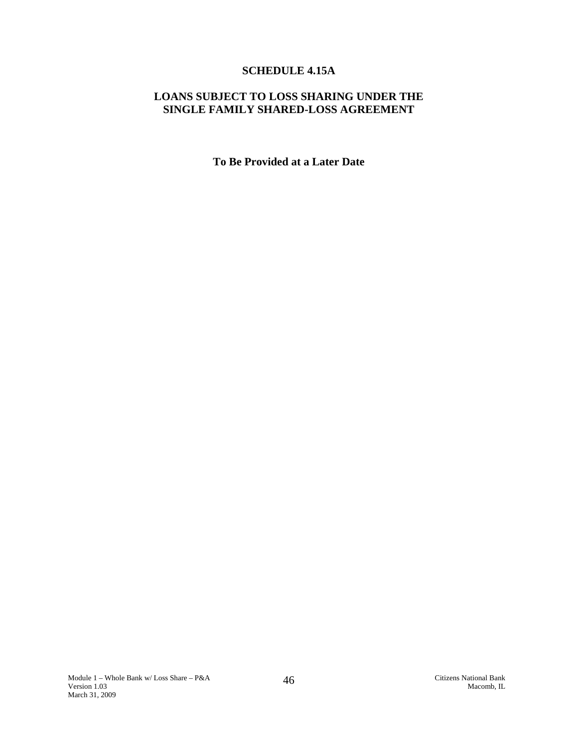#### **SCHEDULE 4.15A**

#### **LOANS SUBJECT TO LOSS SHARING UNDER THE SINGLE FAMILY SHARED-LOSS AGREEMENT**

**To Be Provided at a Later Date**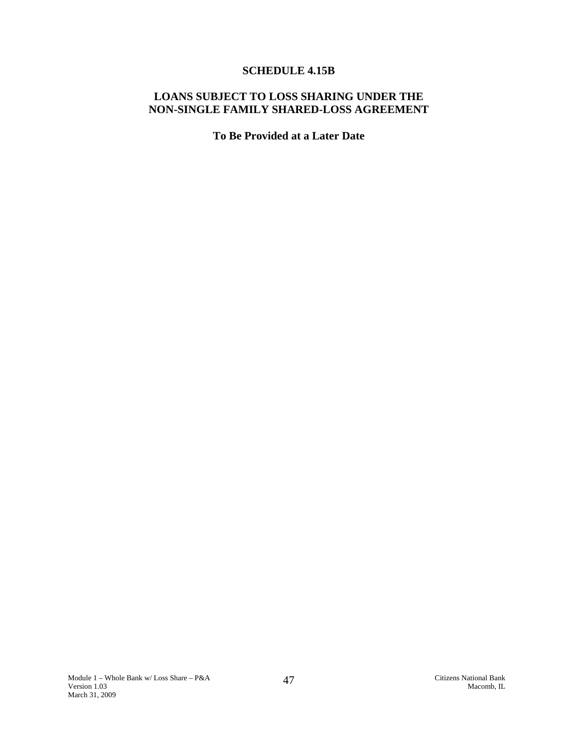#### **SCHEDULE 4.15B**

### **LOANS SUBJECT TO LOSS SHARING UNDER THE NON-SINGLE FAMILY SHARED-LOSS AGREEMENT**

**To Be Provided at a Later Date**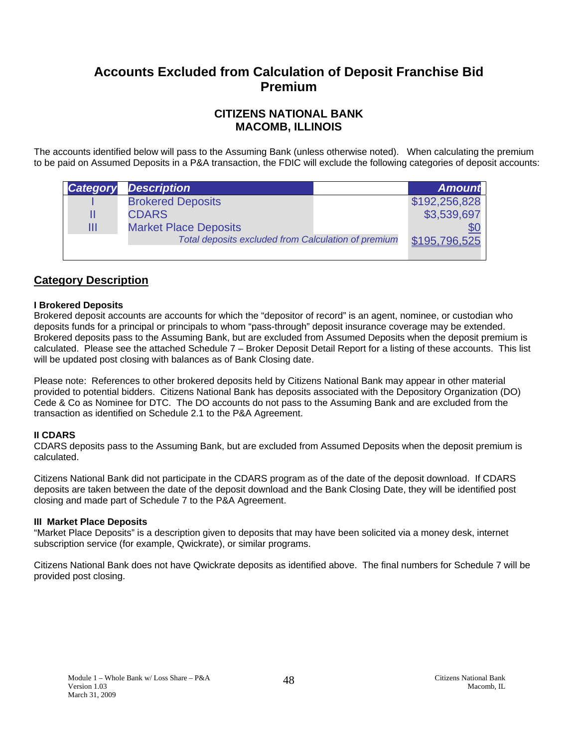## **Premium Accounts Excluded from Calculation of Deposit Franchise Bid**

### **CITIZENS NATIONAL BANK MACOMB, ILLINOIS**

The accounts identified below will pass to the Assuming Bank (unless otherwise noted). When calculating the premium to be paid on Assumed Deposits in a P&A transaction, the FDIC will exclude the following categories of deposit accounts:

| <b>Category</b> | <b>Description</b>                                  | <b>Amount</b> |
|-----------------|-----------------------------------------------------|---------------|
|                 | <b>Brokered Deposits</b>                            | \$192,256,828 |
|                 | <b>CDARS</b>                                        | \$3,539,697   |
| Ш               | <b>Market Place Deposits</b>                        | \$0           |
|                 | Total deposits excluded from Calculation of premium | \$195,796,525 |
|                 |                                                     |               |

#### **Category Description**

#### **I Brokered Deposits**

Brokered deposit accounts are accounts for which the "depositor of record" is an agent, nominee, or custodian who deposits funds for a principal or principals to whom "pass-through" deposit insurance coverage may be extended. Brokered deposits pass to the Assuming Bank, but are excluded from Assumed Deposits when the deposit premium is calculated. Please see the attached Schedule 7 – Broker Deposit Detail Report for a listing of these accounts. This list will be updated post closing with balances as of Bank Closing date.

Please note: References to other brokered deposits held by Citizens National Bank may appear in other material provided to potential bidders. Citizens National Bank has deposits associated with the Depository Organization (DO) Cede & Co as Nominee for DTC. The DO accounts do not pass to the Assuming Bank and are excluded from the transaction as identified on Schedule 2.1 to the P&A Agreement.

#### **II CDARS**

CDARS deposits pass to the Assuming Bank, but are excluded from Assumed Deposits when the deposit premium is calculated.

Citizens National Bank did not participate in the CDARS program as of the date of the deposit download. If CDARS deposits are taken between the date of the deposit download and the Bank Closing Date, they will be identified post closing and made part of Schedule 7 to the P&A Agreement.

#### **III Market Place Deposits**

"Market Place Deposits" is a description given to deposits that may have been solicited via a money desk, internet subscription service (for example, Qwickrate), or similar programs.

Citizens National Bank does not have Qwickrate deposits as identified above. The final numbers for Schedule 7 will be provided post closing.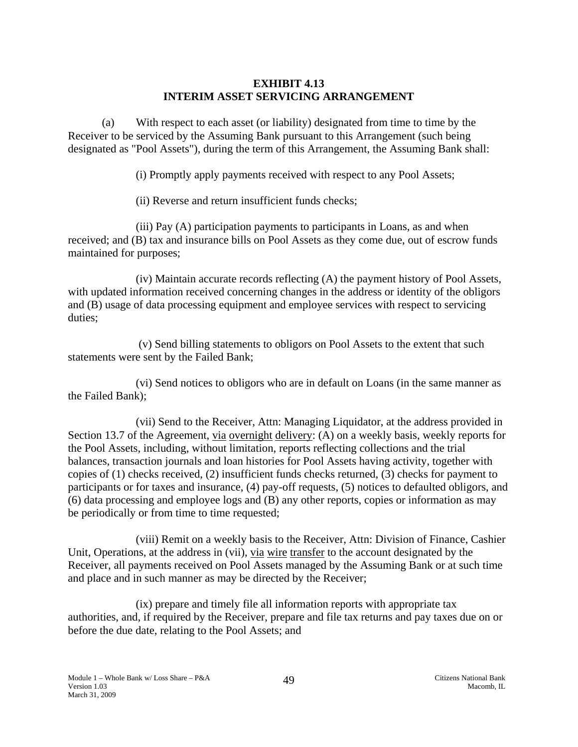#### **EXHIBIT 4.13 INTERIM ASSET SERVICING ARRANGEMENT**

(a) With respect to each asset (or liability) designated from time to time by the Receiver to be serviced by the Assuming Bank pursuant to this Arrangement (such being designated as "Pool Assets"), during the term of this Arrangement, the Assuming Bank shall:

(i) Promptly apply payments received with respect to any Pool Assets;

(ii) Reverse and return insufficient funds checks;

(iii) Pay (A) participation payments to participants in Loans, as and when received; and (B) tax and insurance bills on Pool Assets as they come due, out of escrow funds maintained for purposes;

(iv) Maintain accurate records reflecting (A) the payment history of Pool Assets, with updated information received concerning changes in the address or identity of the obligors and (B) usage of data processing equipment and employee services with respect to servicing duties;

 (v) Send billing statements to obligors on Pool Assets to the extent that such statements were sent by the Failed Bank;

(vi) Send notices to obligors who are in default on Loans (in the same manner as the Failed Bank);

(vii) Send to the Receiver, Attn: Managing Liquidator, at the address provided in Section 13.7 of the Agreement, via overnight delivery: (A) on a weekly basis, weekly reports for the Pool Assets, including, without limitation, reports reflecting collections and the trial balances, transaction journals and loan histories for Pool Assets having activity, together with copies of (1) checks received, (2) insufficient funds checks returned, (3) checks for payment to participants or for taxes and insurance, (4) pay-off requests, (5) notices to defaulted obligors, and (6) data processing and employee logs and (B) any other reports, copies or information as may be periodically or from time to time requested;

(viii) Remit on a weekly basis to the Receiver, Attn: Division of Finance, Cashier Unit, Operations, at the address in (vii), via wire transfer to the account designated by the Receiver, all payments received on Pool Assets managed by the Assuming Bank or at such time and place and in such manner as may be directed by the Receiver;

(ix) prepare and timely file all information reports with appropriate tax authorities, and, if required by the Receiver, prepare and file tax returns and pay taxes due on or before the due date, relating to the Pool Assets; and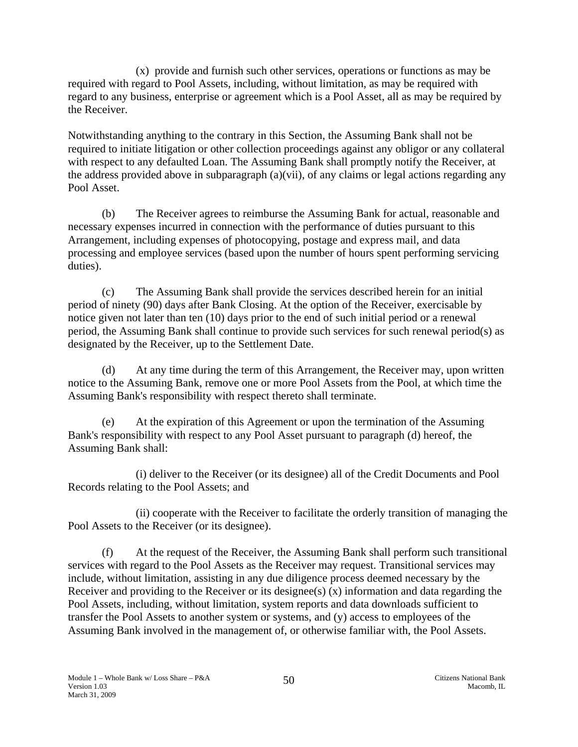(x) provide and furnish such other services, operations or functions as may be required with regard to Pool Assets, including, without limitation, as may be required with regard to any business, enterprise or agreement which is a Pool Asset, all as may be required by the Receiver.

Notwithstanding anything to the contrary in this Section, the Assuming Bank shall not be required to initiate litigation or other collection proceedings against any obligor or any collateral with respect to any defaulted Loan. The Assuming Bank shall promptly notify the Receiver, at the address provided above in subparagraph (a)(vii), of any claims or legal actions regarding any Pool Asset.

(b) The Receiver agrees to reimburse the Assuming Bank for actual, reasonable and necessary expenses incurred in connection with the performance of duties pursuant to this Arrangement, including expenses of photocopying, postage and express mail, and data processing and employee services (based upon the number of hours spent performing servicing duties).

(c) The Assuming Bank shall provide the services described herein for an initial period of ninety (90) days after Bank Closing. At the option of the Receiver, exercisable by notice given not later than ten (10) days prior to the end of such initial period or a renewal period, the Assuming Bank shall continue to provide such services for such renewal period(s) as designated by the Receiver, up to the Settlement Date.

(d) At any time during the term of this Arrangement, the Receiver may, upon written notice to the Assuming Bank, remove one or more Pool Assets from the Pool, at which time the Assuming Bank's responsibility with respect thereto shall terminate.

(e) At the expiration of this Agreement or upon the termination of the Assuming Bank's responsibility with respect to any Pool Asset pursuant to paragraph (d) hereof, the Assuming Bank shall:

(i) deliver to the Receiver (or its designee) all of the Credit Documents and Pool Records relating to the Pool Assets; and

(ii) cooperate with the Receiver to facilitate the orderly transition of managing the Pool Assets to the Receiver (or its designee).

(f) At the request of the Receiver, the Assuming Bank shall perform such transitional services with regard to the Pool Assets as the Receiver may request. Transitional services may include, without limitation, assisting in any due diligence process deemed necessary by the Receiver and providing to the Receiver or its designee(s) (x) information and data regarding the Pool Assets, including, without limitation, system reports and data downloads sufficient to transfer the Pool Assets to another system or systems, and (y) access to employees of the Assuming Bank involved in the management of, or otherwise familiar with, the Pool Assets.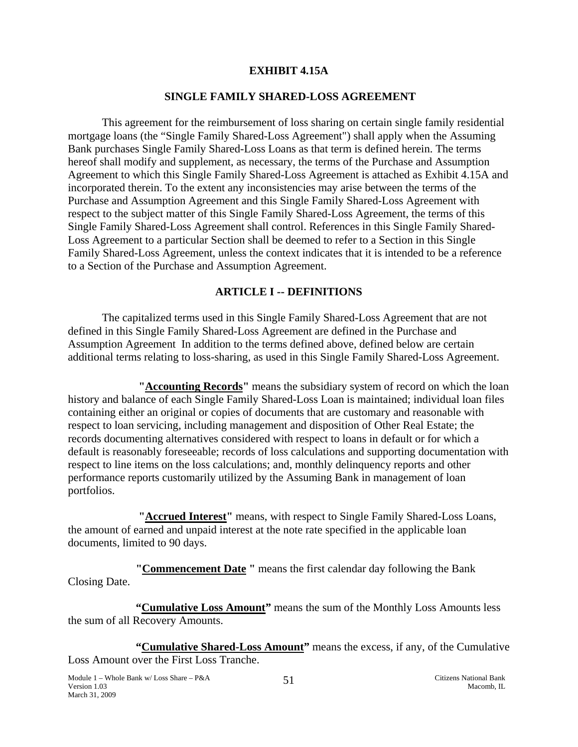#### **EXHIBIT 4.15A**

#### **SINGLE FAMILY SHARED-LOSS AGREEMENT**

This agreement for the reimbursement of loss sharing on certain single family residential mortgage loans (the "Single Family Shared-Loss Agreement") shall apply when the Assuming Bank purchases Single Family Shared-Loss Loans as that term is defined herein. The terms hereof shall modify and supplement, as necessary, the terms of the Purchase and Assumption Agreement to which this Single Family Shared-Loss Agreement is attached as Exhibit 4.15A and incorporated therein. To the extent any inconsistencies may arise between the terms of the Purchase and Assumption Agreement and this Single Family Shared-Loss Agreement with respect to the subject matter of this Single Family Shared-Loss Agreement, the terms of this Single Family Shared-Loss Agreement shall control. References in this Single Family Shared-Loss Agreement to a particular Section shall be deemed to refer to a Section in this Single Family Shared-Loss Agreement, unless the context indicates that it is intended to be a reference to a Section of the Purchase and Assumption Agreement.

#### **ARTICLE I -- DEFINITIONS**

The capitalized terms used in this Single Family Shared-Loss Agreement that are not defined in this Single Family Shared-Loss Agreement are defined in the Purchase and Assumption Agreement In addition to the terms defined above, defined below are certain additional terms relating to loss-sharing, as used in this Single Family Shared-Loss Agreement.

**"Accounting Records"** means the subsidiary system of record on which the loan history and balance of each Single Family Shared-Loss Loan is maintained; individual loan files containing either an original or copies of documents that are customary and reasonable with respect to loan servicing, including management and disposition of Other Real Estate; the records documenting alternatives considered with respect to loans in default or for which a default is reasonably foreseeable; records of loss calculations and supporting documentation with respect to line items on the loss calculations; and, monthly delinquency reports and other performance reports customarily utilized by the Assuming Bank in management of loan portfolios.

**"Accrued Interest"** means, with respect to Single Family Shared-Loss Loans, the amount of earned and unpaid interest at the note rate specified in the applicable loan documents, limited to 90 days.

**"Commencement Date "** means the first calendar day following the Bank Closing Date.

**"Cumulative Loss Amount"** means the sum of the Monthly Loss Amounts less the sum of all Recovery Amounts.

**"Cumulative Shared-Loss Amount"** means the excess, if any, of the Cumulative Loss Amount over the First Loss Tranche.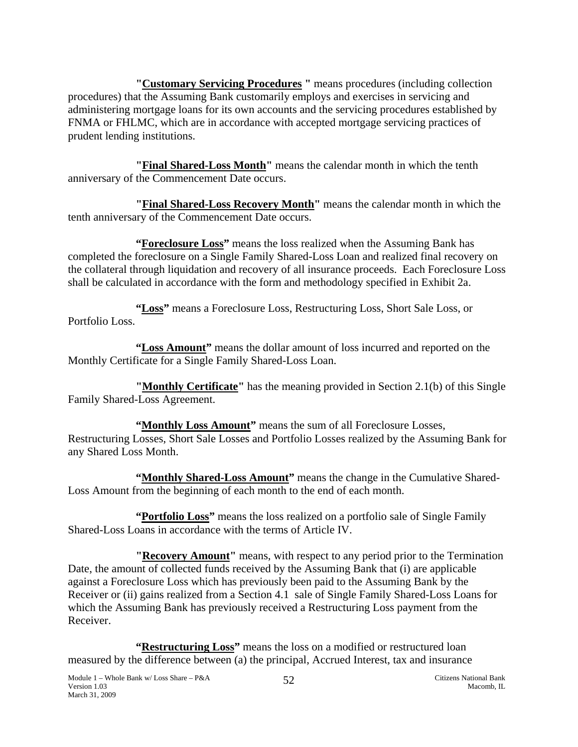**"Customary Servicing Procedures "** means procedures (including collection procedures) that the Assuming Bank customarily employs and exercises in servicing and administering mortgage loans for its own accounts and the servicing procedures established by FNMA or FHLMC, which are in accordance with accepted mortgage servicing practices of prudent lending institutions.

 anniversary of the Commencement Date occurs. **"Final Shared-Loss Month"** means the calendar month in which the tenth

**"Final Shared-Loss Recovery Month"** means the calendar month in which the tenth anniversary of the Commencement Date occurs.

**"Foreclosure Loss"** means the loss realized when the Assuming Bank has completed the foreclosure on a Single Family Shared-Loss Loan and realized final recovery on the collateral through liquidation and recovery of all insurance proceeds. Each Foreclosure Loss shall be calculated in accordance with the form and methodology specified in Exhibit 2a.

**"Loss"** means a Foreclosure Loss, Restructuring Loss, Short Sale Loss, or Portfolio Loss.

**"Loss Amount"** means the dollar amount of loss incurred and reported on the Monthly Certificate for a Single Family Shared-Loss Loan.

**"Monthly Certificate"** has the meaning provided in Section 2.1(b) of this Single Family Shared-Loss Agreement.

"Monthly Loss Amount" means the sum of all Foreclosure Losses, Restructuring Losses, Short Sale Losses and Portfolio Losses realized by the Assuming Bank for any Shared Loss Month.

**"Monthly Shared-Loss Amount"** means the change in the Cumulative Shared-Loss Amount from the beginning of each month to the end of each month.

**"Portfolio Loss"** means the loss realized on a portfolio sale of Single Family Shared-Loss Loans in accordance with the terms of Article IV.

**"Recovery Amount"** means, with respect to any period prior to the Termination Date, the amount of collected funds received by the Assuming Bank that (i) are applicable against a Foreclosure Loss which has previously been paid to the Assuming Bank by the Receiver or (ii) gains realized from a Section 4.1 sale of Single Family Shared-Loss Loans for which the Assuming Bank has previously received a Restructuring Loss payment from the Receiver.

"Restructuring Loss" means the loss on a modified or restructured loan measured by the difference between (a) the principal, Accrued Interest, tax and insurance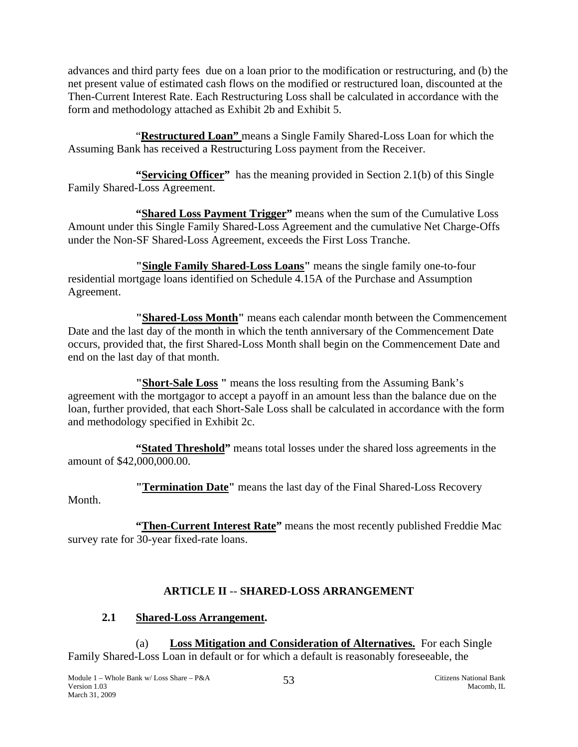advances and third party fees due on a loan prior to the modification or restructuring, and (b) the net present value of estimated cash flows on the modified or restructured loan, discounted at the Then-Current Interest Rate. Each Restructuring Loss shall be calculated in accordance with the form and methodology attached as Exhibit 2b and Exhibit 5.

"**Restructured Loan"** means a Single Family Shared-Loss Loan for which the Assuming Bank has received a Restructuring Loss payment from the Receiver.

**"Servicing Officer"** has the meaning provided in Section 2.1(b) of this Single Family Shared-Loss Agreement.

"Shared Loss Payment Trigger" means when the sum of the Cumulative Loss Amount under this Single Family Shared-Loss Agreement and the cumulative Net Charge-Offs under the Non-SF Shared-Loss Agreement, exceeds the First Loss Tranche.

**"Single Family Shared-Loss Loans"** means the single family one-to-four residential mortgage loans identified on Schedule 4.15A of the Purchase and Assumption Agreement.

**"Shared-Loss Month"** means each calendar month between the Commencement Date and the last day of the month in which the tenth anniversary of the Commencement Date occurs, provided that, the first Shared-Loss Month shall begin on the Commencement Date and end on the last day of that month.

**"Short-Sale Loss "** means the loss resulting from the Assuming Bank's agreement with the mortgagor to accept a payoff in an amount less than the balance due on the loan, further provided, that each Short-Sale Loss shall be calculated in accordance with the form and methodology specified in Exhibit 2c.

**"Stated Threshold"** means total losses under the shared loss agreements in the amount of \$42,000,000.00.

**"Termination Date"** means the last day of the Final Shared-Loss Recovery

Month.

**"Then-Current Interest Rate"** means the most recently published Freddie Mac survey rate for 30-year fixed-rate loans.

## **ARTICLE II** -- **SHARED-LOSS ARRANGEMENT**

### **2.1 Shared-Loss Arrangement.**

 (a) **Loss Mitigation and Consideration of Alternatives.** For each Single Family Shared-Loss Loan in default or for which a default is reasonably foreseeable, the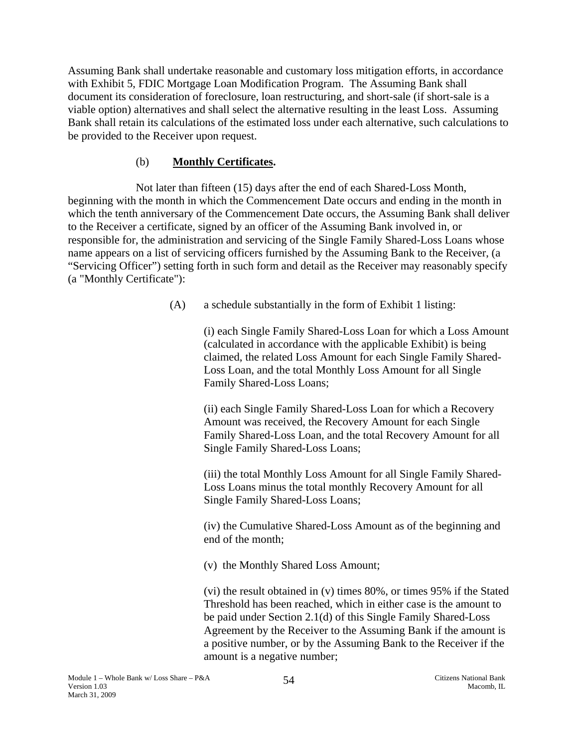Assuming Bank shall undertake reasonable and customary loss mitigation efforts, in accordance with Exhibit 5, FDIC Mortgage Loan Modification Program. The Assuming Bank shall document its consideration of foreclosure, loan restructuring, and short-sale (if short-sale is a viable option) alternatives and shall select the alternative resulting in the least Loss. Assuming Bank shall retain its calculations of the estimated loss under each alternative, such calculations to be provided to the Receiver upon request.

### (b) **Monthly Certificates.**

Not later than fifteen (15) days after the end of each Shared-Loss Month, beginning with the month in which the Commencement Date occurs and ending in the month in which the tenth anniversary of the Commencement Date occurs, the Assuming Bank shall deliver to the Receiver a certificate, signed by an officer of the Assuming Bank involved in, or responsible for, the administration and servicing of the Single Family Shared-Loss Loans whose name appears on a list of servicing officers furnished by the Assuming Bank to the Receiver, (a "Servicing Officer") setting forth in such form and detail as the Receiver may reasonably specify (a "Monthly Certificate"):

(A) a schedule substantially in the form of Exhibit 1 listing:

(i) each Single Family Shared-Loss Loan for which a Loss Amount (calculated in accordance with the applicable Exhibit) is being claimed, the related Loss Amount for each Single Family Shared-Loss Loan, and the total Monthly Loss Amount for all Single Family Shared-Loss Loans;

(ii) each Single Family Shared-Loss Loan for which a Recovery Amount was received, the Recovery Amount for each Single Family Shared-Loss Loan, and the total Recovery Amount for all Single Family Shared-Loss Loans;

(iii) the total Monthly Loss Amount for all Single Family Shared-Loss Loans minus the total monthly Recovery Amount for all Single Family Shared-Loss Loans;

(iv) the Cumulative Shared-Loss Amount as of the beginning and end of the month;

(v) the Monthly Shared Loss Amount;

(vi) the result obtained in (v) times 80%, or times 95% if the Stated Threshold has been reached, which in either case is the amount to be paid under Section 2.1(d) of this Single Family Shared-Loss Agreement by the Receiver to the Assuming Bank if the amount is a positive number, or by the Assuming Bank to the Receiver if the amount is a negative number;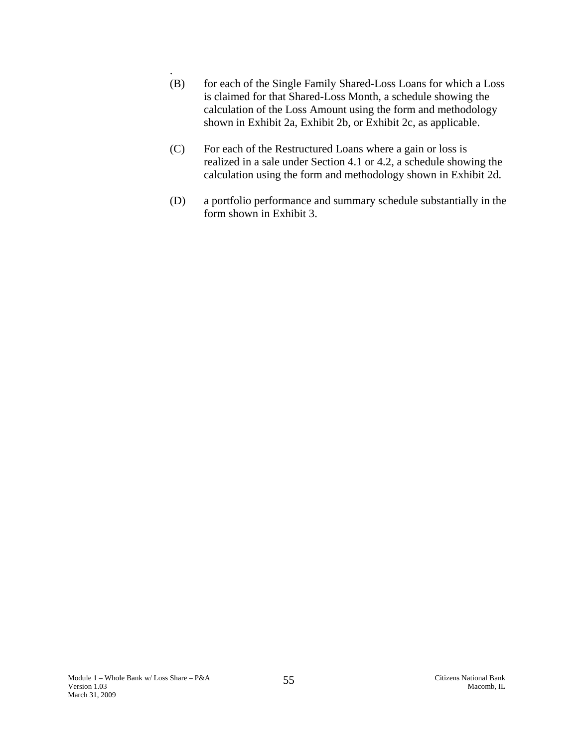- (B) for each of the Single Family Shared-Loss Loans for which a Loss is claimed for that Shared-Loss Month, a schedule showing the calculation of the Loss Amount using the form and methodology shown in Exhibit 2a, Exhibit 2b, or Exhibit 2c, as applicable.
- (C) For each of the Restructured Loans where a gain or loss is realized in a sale under Section 4.1 or 4.2, a schedule showing the calculation using the form and methodology shown in Exhibit 2d.
- (D) a portfolio performance and summary schedule substantially in the form shown in Exhibit 3.

.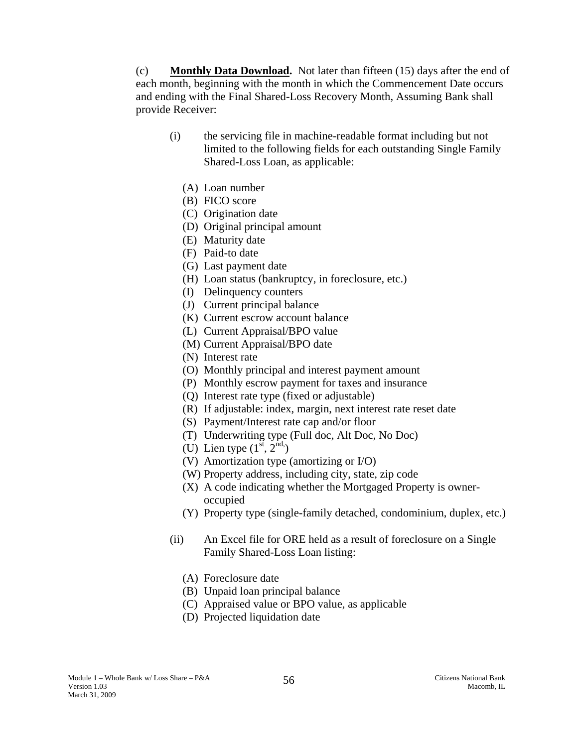(c) **Monthly Data Download.** Not later than fifteen (15) days after the end of each month, beginning with the month in which the Commencement Date occurs and ending with the Final Shared-Loss Recovery Month, Assuming Bank shall provide Receiver:

- (i) the servicing file in machine-readable format including but not limited to the following fields for each outstanding Single Family Shared-Loss Loan, as applicable:
	- (A) Loan number
	- (B) FICO score
	- (C) Origination date
	- (D) Original principal amount
	- (E) Maturity date
	- (F) Paid-to date
	- (G) Last payment date
	- (H) Loan status (bankruptcy, in foreclosure, etc.)
	- (I) Delinquency counters
	- (J) Current principal balance
	- (K) Current escrow account balance
	- (L) Current Appraisal/BPO value
	- (M) Current Appraisal/BPO date
	- (N) Interest rate
	- (O) Monthly principal and interest payment amount
	- (P) Monthly escrow payment for taxes and insurance
	- (Q) Interest rate type (fixed or adjustable)
	- (R) If adjustable: index, margin, next interest rate reset date
	- (S) Payment/Interest rate cap and/or floor
	- (T) Underwriting type (Full doc, Alt Doc, No Doc)
	- (U) Lien type  $(1<sup>st</sup>, 2<sup>nd</sup>)$
	- (V) Amortization type (amortizing or I/O)
	- (W) Property address, including city, state, zip code
	- (X) A code indicating whether the Mortgaged Property is owneroccupied
	- (Y) Property type (single-family detached, condominium, duplex, etc.)
- (ii) An Excel file for ORE held as a result of foreclosure on a Single Family Shared-Loss Loan listing:
	- (A) Foreclosure date
	- (B) Unpaid loan principal balance
	- (C) Appraised value or BPO value, as applicable
	- (D) Projected liquidation date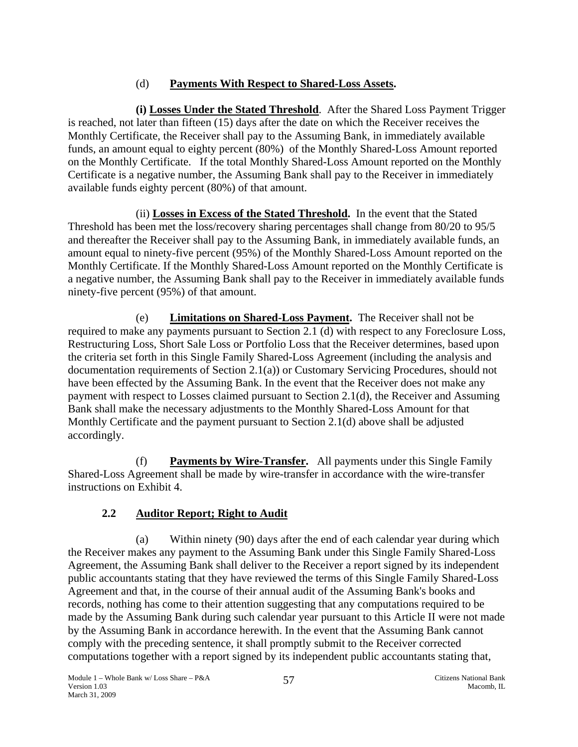## (d) **Payments With Respect to Shared-Loss Assets.**

**(i) Losses Under the Stated Threshold**. After the Shared Loss Payment Trigger is reached, not later than fifteen (15) days after the date on which the Receiver receives the Monthly Certificate, the Receiver shall pay to the Assuming Bank, in immediately available funds, an amount equal to eighty percent (80%) of the Monthly Shared-Loss Amount reported on the Monthly Certificate. If the total Monthly Shared-Loss Amount reported on the Monthly Certificate is a negative number, the Assuming Bank shall pay to the Receiver in immediately available funds eighty percent (80%) of that amount.

(ii) **Losses in Excess of the Stated Threshold.** In the event that the Stated Threshold has been met the loss/recovery sharing percentages shall change from 80/20 to 95/5 and thereafter the Receiver shall pay to the Assuming Bank, in immediately available funds, an amount equal to ninety-five percent (95%) of the Monthly Shared-Loss Amount reported on the Monthly Certificate. If the Monthly Shared-Loss Amount reported on the Monthly Certificate is a negative number, the Assuming Bank shall pay to the Receiver in immediately available funds ninety-five percent (95%) of that amount.

 accordingly. (e) **Limitations on Shared-Loss Payment.** The Receiver shall not be required to make any payments pursuant to Section 2.1 (d) with respect to any Foreclosure Loss, Restructuring Loss, Short Sale Loss or Portfolio Loss that the Receiver determines, based upon the criteria set forth in this Single Family Shared-Loss Agreement (including the analysis and documentation requirements of Section 2.1(a)) or Customary Servicing Procedures, should not have been effected by the Assuming Bank. In the event that the Receiver does not make any payment with respect to Losses claimed pursuant to Section 2.1(d), the Receiver and Assuming Bank shall make the necessary adjustments to the Monthly Shared-Loss Amount for that Monthly Certificate and the payment pursuant to Section 2.1(d) above shall be adjusted

 (f) **Payments by Wire-Transfer.** All payments under this Single Family Shared-Loss Agreement shall be made by wire-transfer in accordance with the wire-transfer instructions on Exhibit 4.

## **2.2 Auditor Report; Right to Audit**

(a) Within ninety (90) days after the end of each calendar year during which the Receiver makes any payment to the Assuming Bank under this Single Family Shared-Loss Agreement, the Assuming Bank shall deliver to the Receiver a report signed by its independent public accountants stating that they have reviewed the terms of this Single Family Shared-Loss Agreement and that, in the course of their annual audit of the Assuming Bank's books and records, nothing has come to their attention suggesting that any computations required to be made by the Assuming Bank during such calendar year pursuant to this Article II were not made by the Assuming Bank in accordance herewith. In the event that the Assuming Bank cannot comply with the preceding sentence, it shall promptly submit to the Receiver corrected computations together with a report signed by its independent public accountants stating that,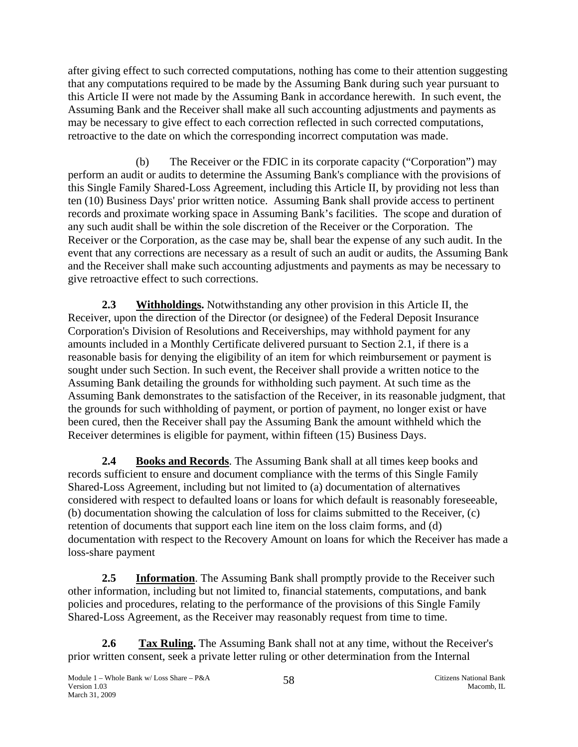after giving effect to such corrected computations, nothing has come to their attention suggesting that any computations required to be made by the Assuming Bank during such year pursuant to this Article II were not made by the Assuming Bank in accordance herewith. In such event, the Assuming Bank and the Receiver shall make all such accounting adjustments and payments as may be necessary to give effect to each correction reflected in such corrected computations, retroactive to the date on which the corresponding incorrect computation was made.

(b) The Receiver or the FDIC in its corporate capacity ("Corporation") may perform an audit or audits to determine the Assuming Bank's compliance with the provisions of this Single Family Shared-Loss Agreement, including this Article II, by providing not less than ten (10) Business Days' prior written notice. Assuming Bank shall provide access to pertinent records and proximate working space in Assuming Bank's facilities. The scope and duration of any such audit shall be within the sole discretion of the Receiver or the Corporation. The Receiver or the Corporation, as the case may be, shall bear the expense of any such audit. In the event that any corrections are necessary as a result of such an audit or audits, the Assuming Bank and the Receiver shall make such accounting adjustments and payments as may be necessary to give retroactive effect to such corrections.

**2.3 Withholdings.** Notwithstanding any other provision in this Article II, the Receiver, upon the direction of the Director (or designee) of the Federal Deposit Insurance Corporation's Division of Resolutions and Receiverships, may withhold payment for any amounts included in a Monthly Certificate delivered pursuant to Section 2.1, if there is a reasonable basis for denying the eligibility of an item for which reimbursement or payment is sought under such Section. In such event, the Receiver shall provide a written notice to the Assuming Bank detailing the grounds for withholding such payment. At such time as the Assuming Bank demonstrates to the satisfaction of the Receiver, in its reasonable judgment, that the grounds for such withholding of payment, or portion of payment, no longer exist or have been cured, then the Receiver shall pay the Assuming Bank the amount withheld which the Receiver determines is eligible for payment, within fifteen (15) Business Days.

**2.4 Books and Records**. The Assuming Bank shall at all times keep books and records sufficient to ensure and document compliance with the terms of this Single Family Shared-Loss Agreement, including but not limited to (a) documentation of alternatives considered with respect to defaulted loans or loans for which default is reasonably foreseeable, (b) documentation showing the calculation of loss for claims submitted to the Receiver, (c) retention of documents that support each line item on the loss claim forms, and (d) documentation with respect to the Recovery Amount on loans for which the Receiver has made a loss-share payment

**2.5 Information**. The Assuming Bank shall promptly provide to the Receiver such other information, including but not limited to, financial statements, computations, and bank policies and procedures, relating to the performance of the provisions of this Single Family Shared-Loss Agreement, as the Receiver may reasonably request from time to time.

**2.6 Tax Ruling.** The Assuming Bank shall not at any time, without the Receiver's prior written consent, seek a private letter ruling or other determination from the Internal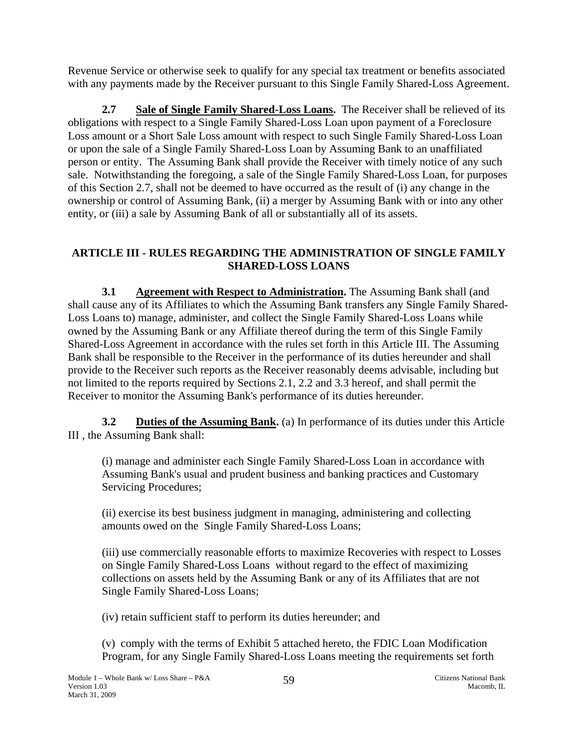Revenue Service or otherwise seek to qualify for any special tax treatment or benefits associated with any payments made by the Receiver pursuant to this Single Family Shared-Loss Agreement.

**2.7 Sale of Single Family Shared-Loss Loans.** The Receiver shall be relieved of its obligations with respect to a Single Family Shared-Loss Loan upon payment of a Foreclosure Loss amount or a Short Sale Loss amount with respect to such Single Family Shared-Loss Loan or upon the sale of a Single Family Shared-Loss Loan by Assuming Bank to an unaffiliated person or entity. The Assuming Bank shall provide the Receiver with timely notice of any such sale. Notwithstanding the foregoing, a sale of the Single Family Shared-Loss Loan, for purposes of this Section 2.7, shall not be deemed to have occurred as the result of (i) any change in the ownership or control of Assuming Bank, (ii) a merger by Assuming Bank with or into any other entity, or (iii) a sale by Assuming Bank of all or substantially all of its assets.

### **ARTICLE III - RULES REGARDING THE ADMINISTRATION OF SINGLE FAMILY SHARED-LOSS LOANS**

**3.1 Agreement with Respect to Administration.** The Assuming Bank shall (and shall cause any of its Affiliates to which the Assuming Bank transfers any Single Family Shared-Loss Loans to) manage, administer, and collect the Single Family Shared-Loss Loans while owned by the Assuming Bank or any Affiliate thereof during the term of this Single Family Shared-Loss Agreement in accordance with the rules set forth in this Article III. The Assuming Bank shall be responsible to the Receiver in the performance of its duties hereunder and shall provide to the Receiver such reports as the Receiver reasonably deems advisable, including but not limited to the reports required by Sections 2.1, 2.2 and 3.3 hereof, and shall permit the Receiver to monitor the Assuming Bank's performance of its duties hereunder.

**3.2 Duties of the Assuming Bank.** (a) In performance of its duties under this Article III , the Assuming Bank shall:

(i) manage and administer each Single Family Shared-Loss Loan in accordance with Assuming Bank's usual and prudent business and banking practices and Customary Servicing Procedures;

(ii) exercise its best business judgment in managing, administering and collecting amounts owed on the Single Family Shared-Loss Loans;

(iii) use commercially reasonable efforts to maximize Recoveries with respect to Losses on Single Family Shared-Loss Loans without regard to the effect of maximizing collections on assets held by the Assuming Bank or any of its Affiliates that are not Single Family Shared-Loss Loans;

(iv) retain sufficient staff to perform its duties hereunder; and

(v) comply with the terms of Exhibit 5 attached hereto, the FDIC Loan Modification Program, for any Single Family Shared-Loss Loans meeting the requirements set forth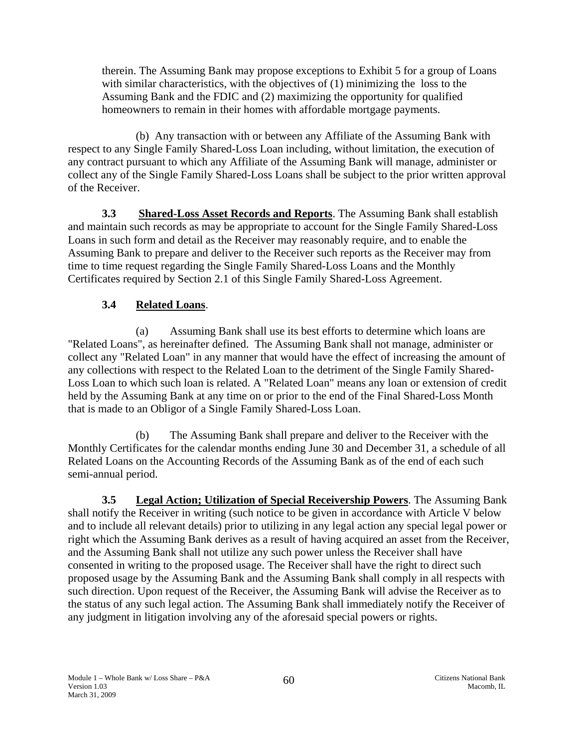therein. The Assuming Bank may propose exceptions to Exhibit 5 for a group of Loans with similar characteristics, with the objectives of (1) minimizing the loss to the Assuming Bank and the FDIC and (2) maximizing the opportunity for qualified homeowners to remain in their homes with affordable mortgage payments.

(b) Any transaction with or between any Affiliate of the Assuming Bank with respect to any Single Family Shared-Loss Loan including, without limitation, the execution of any contract pursuant to which any Affiliate of the Assuming Bank will manage, administer or collect any of the Single Family Shared-Loss Loans shall be subject to the prior written approval of the Receiver.

**3.3 Shared-Loss Asset Records and Reports**. The Assuming Bank shall establish and maintain such records as may be appropriate to account for the Single Family Shared-Loss Loans in such form and detail as the Receiver may reasonably require, and to enable the Assuming Bank to prepare and deliver to the Receiver such reports as the Receiver may from time to time request regarding the Single Family Shared-Loss Loans and the Monthly Certificates required by Section 2.1 of this Single Family Shared-Loss Agreement.

## **3.4 Related Loans**.

(a) Assuming Bank shall use its best efforts to determine which loans are "Related Loans", as hereinafter defined. The Assuming Bank shall not manage, administer or collect any "Related Loan" in any manner that would have the effect of increasing the amount of any collections with respect to the Related Loan to the detriment of the Single Family Shared-Loss Loan to which such loan is related. A "Related Loan" means any loan or extension of credit held by the Assuming Bank at any time on or prior to the end of the Final Shared-Loss Month that is made to an Obligor of a Single Family Shared-Loss Loan.

(b) The Assuming Bank shall prepare and deliver to the Receiver with the Monthly Certificates for the calendar months ending June 30 and December 31, a schedule of all Related Loans on the Accounting Records of the Assuming Bank as of the end of each such semi-annual period.

**3.5 Legal Action; Utilization of Special Receivership Powers**. The Assuming Bank shall notify the Receiver in writing (such notice to be given in accordance with Article V below and to include all relevant details) prior to utilizing in any legal action any special legal power or right which the Assuming Bank derives as a result of having acquired an asset from the Receiver, and the Assuming Bank shall not utilize any such power unless the Receiver shall have consented in writing to the proposed usage. The Receiver shall have the right to direct such proposed usage by the Assuming Bank and the Assuming Bank shall comply in all respects with such direction. Upon request of the Receiver, the Assuming Bank will advise the Receiver as to the status of any such legal action. The Assuming Bank shall immediately notify the Receiver of any judgment in litigation involving any of the aforesaid special powers or rights.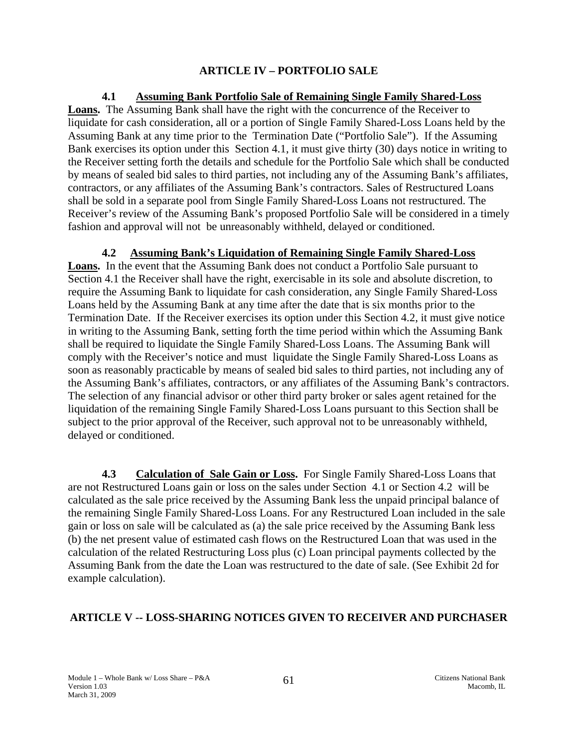### **ARTICLE IV – PORTFOLIO SALE**

**4.1 Assuming Bank Portfolio Sale of Remaining Single Family Shared-Loss Loans.** The Assuming Bank shall have the right with the concurrence of the Receiver to liquidate for cash consideration, all or a portion of Single Family Shared-Loss Loans held by the Assuming Bank at any time prior to the Termination Date ("Portfolio Sale"). If the Assuming Bank exercises its option under this Section 4.1, it must give thirty (30) days notice in writing to the Receiver setting forth the details and schedule for the Portfolio Sale which shall be conducted by means of sealed bid sales to third parties, not including any of the Assuming Bank's affiliates, contractors, or any affiliates of the Assuming Bank's contractors. Sales of Restructured Loans shall be sold in a separate pool from Single Family Shared-Loss Loans not restructured. The Receiver's review of the Assuming Bank's proposed Portfolio Sale will be considered in a timely fashion and approval will not be unreasonably withheld, delayed or conditioned.

#### **4.2 Assuming Bank's Liquidation of Remaining Single Family Shared-Loss**

**Loans.** In the event that the Assuming Bank does not conduct a Portfolio Sale pursuant to Section 4.1 the Receiver shall have the right, exercisable in its sole and absolute discretion, to require the Assuming Bank to liquidate for cash consideration, any Single Family Shared-Loss Loans held by the Assuming Bank at any time after the date that is six months prior to the Termination Date. If the Receiver exercises its option under this Section 4.2, it must give notice in writing to the Assuming Bank, setting forth the time period within which the Assuming Bank shall be required to liquidate the Single Family Shared-Loss Loans. The Assuming Bank will comply with the Receiver's notice and must liquidate the Single Family Shared-Loss Loans as soon as reasonably practicable by means of sealed bid sales to third parties, not including any of the Assuming Bank's affiliates, contractors, or any affiliates of the Assuming Bank's contractors. The selection of any financial advisor or other third party broker or sales agent retained for the liquidation of the remaining Single Family Shared-Loss Loans pursuant to this Section shall be subject to the prior approval of the Receiver, such approval not to be unreasonably withheld, delayed or conditioned.

**4.3 Calculation of Sale Gain or Loss.** For Single Family Shared-Loss Loans that are not Restructured Loans gain or loss on the sales under Section 4.1 or Section 4.2 will be calculated as the sale price received by the Assuming Bank less the unpaid principal balance of the remaining Single Family Shared-Loss Loans. For any Restructured Loan included in the sale gain or loss on sale will be calculated as (a) the sale price received by the Assuming Bank less (b) the net present value of estimated cash flows on the Restructured Loan that was used in the calculation of the related Restructuring Loss plus (c) Loan principal payments collected by the Assuming Bank from the date the Loan was restructured to the date of sale. (See Exhibit 2d for example calculation).

#### **ARTICLE V -- LOSS-SHARING NOTICES GIVEN TO RECEIVER AND PURCHASER**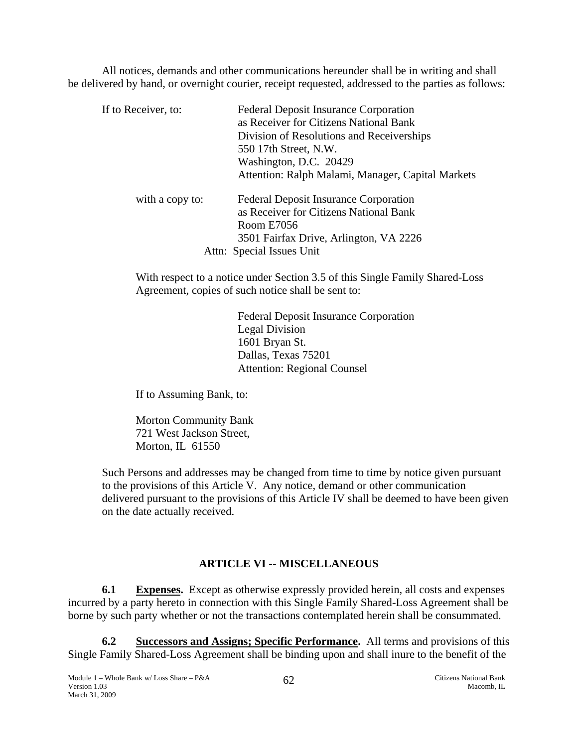All notices, demands and other communications hereunder shall be in writing and shall be delivered by hand, or overnight courier, receipt requested, addressed to the parties as follows:

| If to Receiver, to: | <b>Federal Deposit Insurance Corporation</b><br>as Receiver for Citizens National Bank<br>Division of Resolutions and Receiverships |  |  |  |
|---------------------|-------------------------------------------------------------------------------------------------------------------------------------|--|--|--|
|                     | 550 17th Street, N.W.                                                                                                               |  |  |  |
|                     | Washington, D.C. 20429                                                                                                              |  |  |  |
|                     | Attention: Ralph Malami, Manager, Capital Markets                                                                                   |  |  |  |
| with a copy to:     | <b>Federal Deposit Insurance Corporation</b>                                                                                        |  |  |  |
|                     | as Receiver for Citizens National Bank                                                                                              |  |  |  |
|                     | Room E7056                                                                                                                          |  |  |  |
|                     | 3501 Fairfax Drive, Arlington, VA 2226                                                                                              |  |  |  |
|                     | Attn: Special Issues Unit                                                                                                           |  |  |  |

With respect to a notice under Section 3.5 of this Single Family Shared-Loss Agreement, copies of such notice shall be sent to:

> Federal Deposit Insurance Corporation Legal Division 1601 Bryan St. Dallas, Texas 75201 Attention: Regional Counsel

If to Assuming Bank, to:

Morton Community Bank 721 West Jackson Street, Morton, IL 61550

Such Persons and addresses may be changed from time to time by notice given pursuant to the provisions of this Article V. Any notice, demand or other communication delivered pursuant to the provisions of this Article IV shall be deemed to have been given on the date actually received.

#### **ARTICLE VI -- MISCELLANEOUS**

**6.1 Expenses.** Except as otherwise expressly provided herein, all costs and expenses incurred by a party hereto in connection with this Single Family Shared-Loss Agreement shall be borne by such party whether or not the transactions contemplated herein shall be consummated.

**6.2 Successors and Assigns; Specific Performance.** All terms and provisions of this Single Family Shared-Loss Agreement shall be binding upon and shall inure to the benefit of the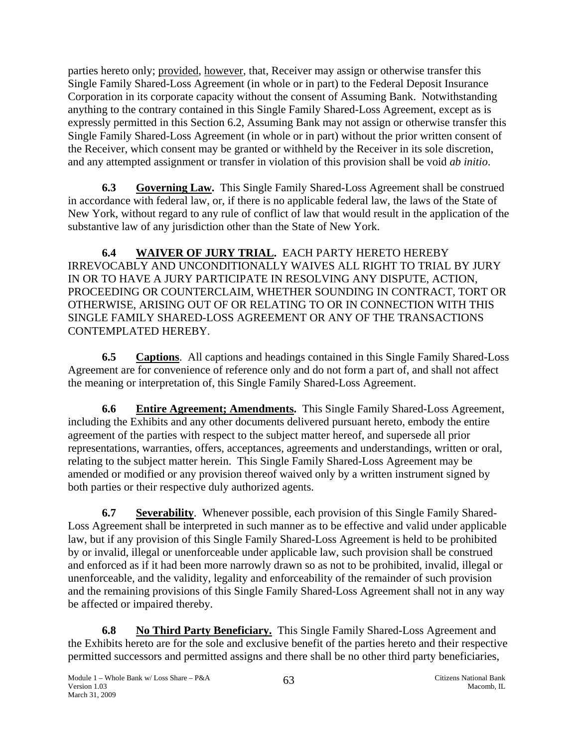parties hereto only; provided, however, that, Receiver may assign or otherwise transfer this Single Family Shared-Loss Agreement (in whole or in part) to the Federal Deposit Insurance Corporation in its corporate capacity without the consent of Assuming Bank. Notwithstanding anything to the contrary contained in this Single Family Shared-Loss Agreement, except as is expressly permitted in this Section 6.2, Assuming Bank may not assign or otherwise transfer this Single Family Shared-Loss Agreement (in whole or in part) without the prior written consent of the Receiver, which consent may be granted or withheld by the Receiver in its sole discretion, and any attempted assignment or transfer in violation of this provision shall be void *ab initio*.

**6.3 Governing Law.** This Single Family Shared-Loss Agreement shall be construed in accordance with federal law, or, if there is no applicable federal law, the laws of the State of New York, without regard to any rule of conflict of law that would result in the application of the substantive law of any jurisdiction other than the State of New York.

**6.4 WAIVER OF JURY TRIAL.** EACH PARTY HERETO HEREBY IRREVOCABLY AND UNCONDITIONALLY WAIVES ALL RIGHT TO TRIAL BY JURY IN OR TO HAVE A JURY PARTICIPATE IN RESOLVING ANY DISPUTE, ACTION, PROCEEDING OR COUNTERCLAIM, WHETHER SOUNDING IN CONTRACT, TORT OR OTHERWISE, ARISING OUT OF OR RELATING TO OR IN CONNECTION WITH THIS SINGLE FAMILY SHARED-LOSS AGREEMENT OR ANY OF THE TRANSACTIONS CONTEMPLATED HEREBY.

**6.5 Captions**. All captions and headings contained in this Single Family Shared-Loss Agreement are for convenience of reference only and do not form a part of, and shall not affect the meaning or interpretation of, this Single Family Shared-Loss Agreement.

**6.6 Entire Agreement; Amendments.** This Single Family Shared-Loss Agreement, including the Exhibits and any other documents delivered pursuant hereto, embody the entire agreement of the parties with respect to the subject matter hereof, and supersede all prior representations, warranties, offers, acceptances, agreements and understandings, written or oral, relating to the subject matter herein. This Single Family Shared-Loss Agreement may be amended or modified or any provision thereof waived only by a written instrument signed by both parties or their respective duly authorized agents.

**6.7** Severability. Whenever possible, each provision of this Single Family Shared-Loss Agreement shall be interpreted in such manner as to be effective and valid under applicable law, but if any provision of this Single Family Shared-Loss Agreement is held to be prohibited by or invalid, illegal or unenforceable under applicable law, such provision shall be construed and enforced as if it had been more narrowly drawn so as not to be prohibited, invalid, illegal or unenforceable, and the validity, legality and enforceability of the remainder of such provision and the remaining provisions of this Single Family Shared-Loss Agreement shall not in any way be affected or impaired thereby.

6.8 No Third Party Beneficiary. This Single Family Shared-Loss Agreement and the Exhibits hereto are for the sole and exclusive benefit of the parties hereto and their respective permitted successors and permitted assigns and there shall be no other third party beneficiaries,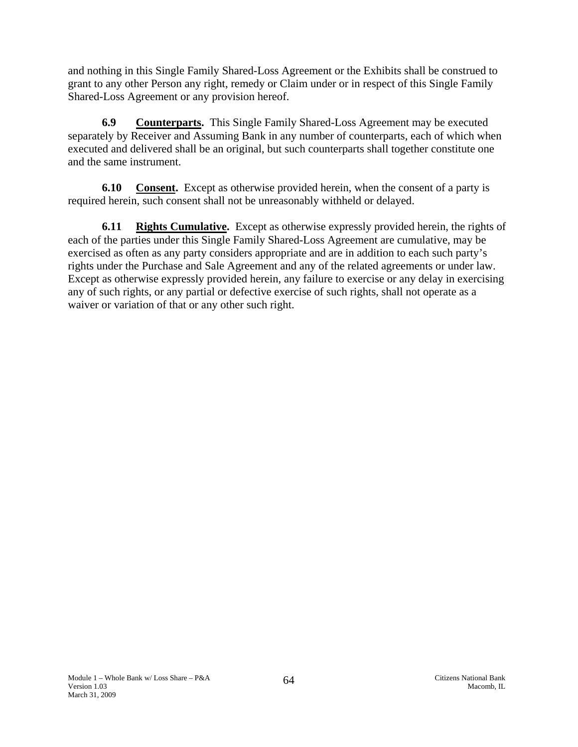and nothing in this Single Family Shared-Loss Agreement or the Exhibits shall be construed to grant to any other Person any right, remedy or Claim under or in respect of this Single Family Shared-Loss Agreement or any provision hereof.

**6.9 Counterparts.** This Single Family Shared-Loss Agreement may be executed separately by Receiver and Assuming Bank in any number of counterparts, each of which when executed and delivered shall be an original, but such counterparts shall together constitute one and the same instrument.

**6.10 Consent.** Except as otherwise provided herein, when the consent of a party is required herein, such consent shall not be unreasonably withheld or delayed.

**6.11 Rights Cumulative.** Except as otherwise expressly provided herein, the rights of each of the parties under this Single Family Shared-Loss Agreement are cumulative, may be exercised as often as any party considers appropriate and are in addition to each such party's rights under the Purchase and Sale Agreement and any of the related agreements or under law. Except as otherwise expressly provided herein, any failure to exercise or any delay in exercising any of such rights, or any partial or defective exercise of such rights, shall not operate as a waiver or variation of that or any other such right.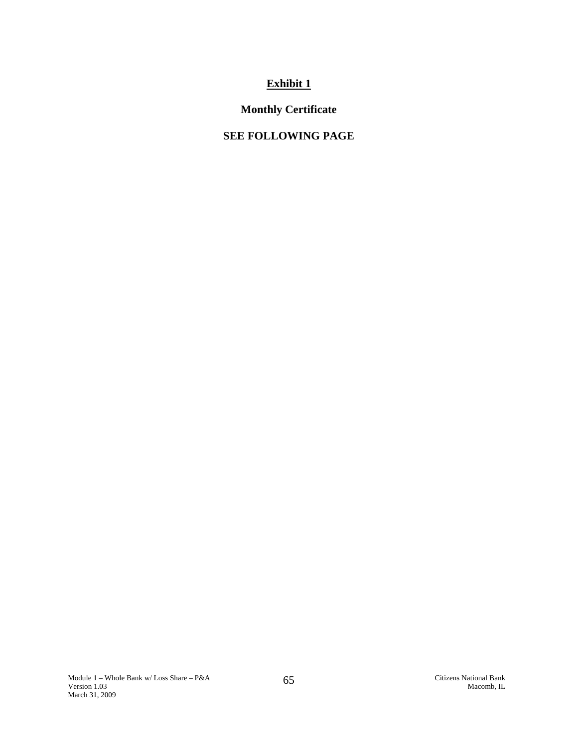## **Exhibit 1**

## **Monthly Certificate**

# **SEE FOLLOWING PAGE**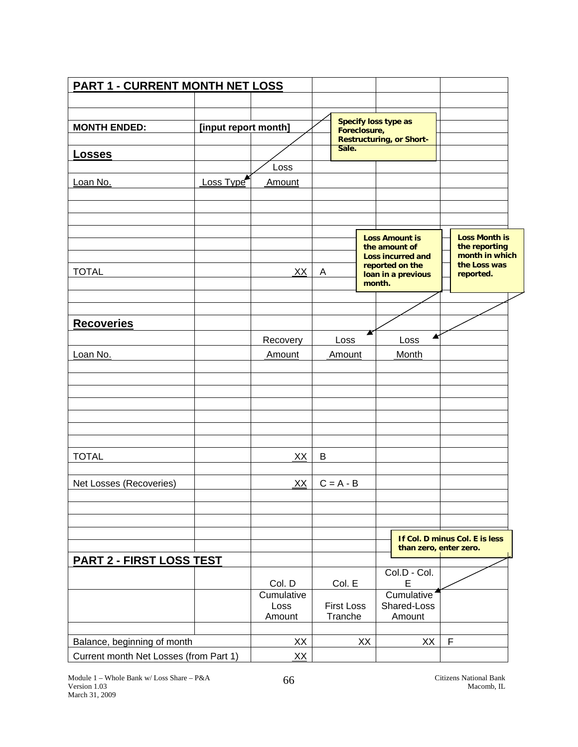| <b>PART 1 - CURRENT MONTH NET LOSS</b> |                      |                |                              |              |                                        |                                       |
|----------------------------------------|----------------------|----------------|------------------------------|--------------|----------------------------------------|---------------------------------------|
|                                        |                      |                |                              |              |                                        |                                       |
|                                        |                      |                |                              |              | Specify loss type as                   |                                       |
| <b>MONTH ENDED:</b>                    | [input report month] |                |                              | Foreclosure, |                                        |                                       |
|                                        |                      |                | Sale.                        |              | <b>Restructuring, or Short-</b>        |                                       |
| <b>Losses</b>                          |                      |                |                              |              |                                        |                                       |
|                                        |                      | Loss           |                              |              |                                        |                                       |
| Loan No.                               | Loss Type            | Amount         |                              |              |                                        |                                       |
|                                        |                      |                |                              |              |                                        |                                       |
|                                        |                      |                |                              |              |                                        |                                       |
|                                        |                      |                |                              |              |                                        |                                       |
|                                        |                      |                |                              |              | <b>Loss Amount is</b><br>the amount of | <b>Loss Month is</b><br>the reporting |
|                                        |                      |                |                              |              | <b>Loss incurred and</b>               | month in which                        |
| <b>TOTAL</b>                           |                      | XX             | A                            |              | reported on the<br>loan in a previous  | the Loss was<br>reported.             |
|                                        |                      |                |                              |              | month.                                 |                                       |
|                                        |                      |                |                              |              |                                        |                                       |
|                                        |                      |                |                              |              |                                        |                                       |
| <b>Recoveries</b>                      |                      |                |                              |              |                                        |                                       |
|                                        |                      | Recovery       | Loss                         | 7            | ×<br>Loss                              |                                       |
| Loan No.                               |                      | Amount         | Amount                       |              | Month                                  |                                       |
|                                        |                      |                |                              |              |                                        |                                       |
|                                        |                      |                |                              |              |                                        |                                       |
|                                        |                      |                |                              |              |                                        |                                       |
|                                        |                      |                |                              |              |                                        |                                       |
|                                        |                      |                |                              |              |                                        |                                       |
|                                        |                      |                |                              |              |                                        |                                       |
|                                        |                      |                |                              |              |                                        |                                       |
| <b>TOTAL</b>                           |                      | XX             | B                            |              |                                        |                                       |
|                                        |                      |                |                              |              |                                        |                                       |
| Net Losses (Recoveries)                |                      | <b>XX</b>      | $C = A - B$                  |              |                                        |                                       |
|                                        |                      |                |                              |              |                                        |                                       |
|                                        |                      |                |                              |              |                                        |                                       |
|                                        |                      |                |                              |              |                                        |                                       |
|                                        |                      |                |                              |              | than zero, enter zero.                 | If Col. D minus Col. E is less        |
| <b>PART 2 - FIRST LOSS TEST</b>        |                      |                |                              |              |                                        |                                       |
|                                        |                      |                |                              |              | $Col.D - Col.$                         |                                       |
|                                        |                      | Col. D         | Col. E                       |              | E                                      |                                       |
|                                        |                      | Cumulative     |                              |              | Cumulative                             |                                       |
|                                        |                      | Loss<br>Amount | <b>First Loss</b><br>Tranche |              | Shared-Loss<br>Amount                  |                                       |
|                                        |                      |                |                              |              |                                        |                                       |
| Balance, beginning of month            |                      | XX             |                              | XX           | XX                                     | F                                     |
| Current month Net Losses (from Part 1) |                      | XX             |                              |              |                                        |                                       |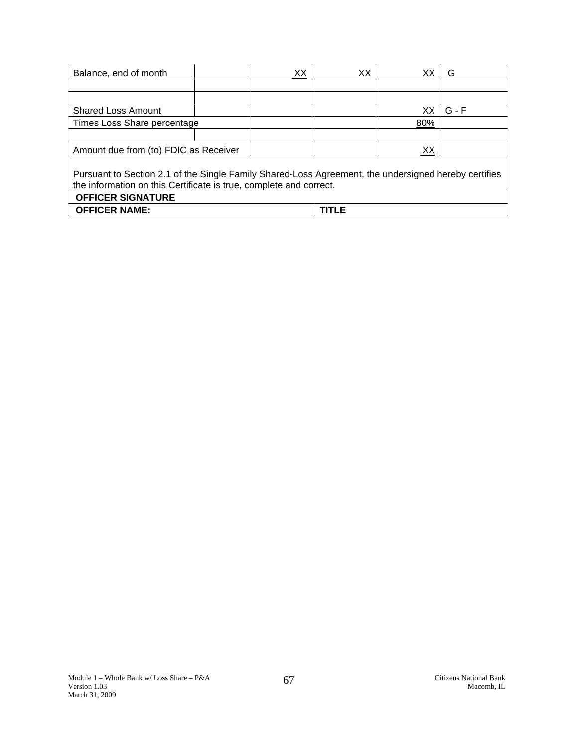| Balance, end of month                                                                                                                                                      |  | XX | XХ  |    | G       |  |
|----------------------------------------------------------------------------------------------------------------------------------------------------------------------------|--|----|-----|----|---------|--|
|                                                                                                                                                                            |  |    |     |    |         |  |
|                                                                                                                                                                            |  |    |     |    |         |  |
| <b>Shared Loss Amount</b>                                                                                                                                                  |  |    |     | xх | $G - F$ |  |
| Times Loss Share percentage                                                                                                                                                |  |    | 80% |    |         |  |
|                                                                                                                                                                            |  |    |     |    |         |  |
| Amount due from (to) FDIC as Receiver                                                                                                                                      |  |    | ХX  |    |         |  |
| Pursuant to Section 2.1 of the Single Family Shared-Loss Agreement, the undersigned hereby certifies<br>the information on this Certificate is true, complete and correct. |  |    |     |    |         |  |
| <b>OFFICER SIGNATURE</b>                                                                                                                                                   |  |    |     |    |         |  |
| <b>OFFICER NAME:</b><br><b>TITLE</b>                                                                                                                                       |  |    |     |    |         |  |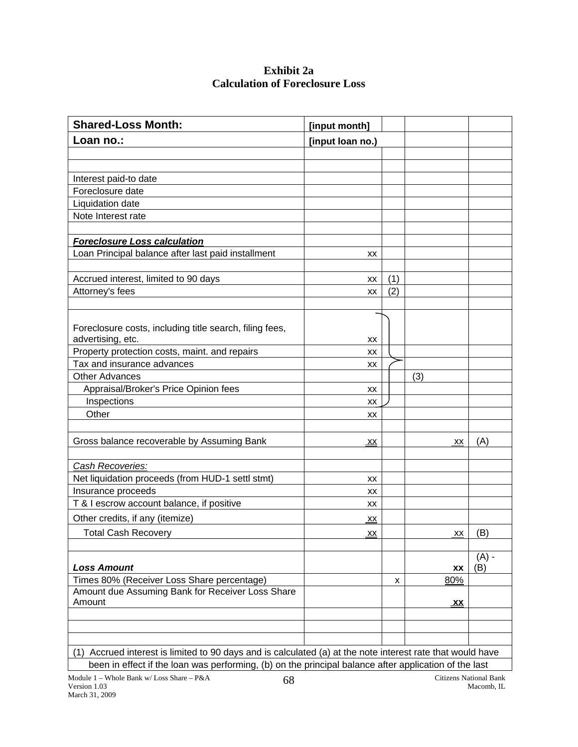### **Exhibit 2a Calculation of Foreclosure Loss**

| <b>Shared-Loss Month:</b>                                                                                  | [input month]    |     |           |         |  |  |  |
|------------------------------------------------------------------------------------------------------------|------------------|-----|-----------|---------|--|--|--|
| Loan no.:                                                                                                  | [input loan no.) |     |           |         |  |  |  |
|                                                                                                            |                  |     |           |         |  |  |  |
|                                                                                                            |                  |     |           |         |  |  |  |
| Interest paid-to date                                                                                      |                  |     |           |         |  |  |  |
| Foreclosure date                                                                                           |                  |     |           |         |  |  |  |
| Liquidation date                                                                                           |                  |     |           |         |  |  |  |
| Note Interest rate                                                                                         |                  |     |           |         |  |  |  |
|                                                                                                            |                  |     |           |         |  |  |  |
| <b>Foreclosure Loss calculation</b>                                                                        |                  |     |           |         |  |  |  |
| Loan Principal balance after last paid installment                                                         | ХX               |     |           |         |  |  |  |
|                                                                                                            |                  |     |           |         |  |  |  |
| Accrued interest, limited to 90 days                                                                       | XХ               | (1) |           |         |  |  |  |
| Attorney's fees                                                                                            | XX               | (2) |           |         |  |  |  |
|                                                                                                            |                  |     |           |         |  |  |  |
|                                                                                                            |                  |     |           |         |  |  |  |
| Foreclosure costs, including title search, filing fees,                                                    |                  |     |           |         |  |  |  |
| advertising, etc.                                                                                          | XХ               |     |           |         |  |  |  |
| Property protection costs, maint. and repairs                                                              | XX               |     |           |         |  |  |  |
| Tax and insurance advances                                                                                 | XX               |     |           |         |  |  |  |
| <b>Other Advances</b>                                                                                      |                  |     | (3)       |         |  |  |  |
| Appraisal/Broker's Price Opinion fees                                                                      | XX               |     |           |         |  |  |  |
| Inspections                                                                                                | XX               |     |           |         |  |  |  |
| Other                                                                                                      | ХX               |     |           |         |  |  |  |
|                                                                                                            |                  |     |           |         |  |  |  |
| Gross balance recoverable by Assuming Bank                                                                 | <u>xx</u>        |     | ХX        | (A)     |  |  |  |
|                                                                                                            |                  |     |           |         |  |  |  |
| Cash Recoveries:                                                                                           |                  |     |           |         |  |  |  |
| Net liquidation proceeds (from HUD-1 settl stmt)                                                           | XX               |     |           |         |  |  |  |
| Insurance proceeds                                                                                         | XX               |     |           |         |  |  |  |
| T & I escrow account balance, if positive                                                                  | XХ               |     |           |         |  |  |  |
| Other credits, if any (itemize)                                                                            | xх               |     |           |         |  |  |  |
| <b>Total Cash Recovery</b>                                                                                 | <u>XX</u>        |     |           | (B)     |  |  |  |
|                                                                                                            |                  |     | <u>XX</u> |         |  |  |  |
|                                                                                                            |                  |     |           | $(A)$ - |  |  |  |
| <b>Loss Amount</b>                                                                                         |                  |     | XX        | (B)     |  |  |  |
| Times 80% (Receiver Loss Share percentage)                                                                 |                  | x   | 80%       |         |  |  |  |
| Amount due Assuming Bank for Receiver Loss Share                                                           |                  |     |           |         |  |  |  |
| Amount                                                                                                     |                  |     | <u>XX</u> |         |  |  |  |
|                                                                                                            |                  |     |           |         |  |  |  |
|                                                                                                            |                  |     |           |         |  |  |  |
|                                                                                                            |                  |     |           |         |  |  |  |
| (1) Accrued interest is limited to 90 days and is calculated (a) at the note interest rate that would have |                  |     |           |         |  |  |  |
| been in effect if the loan was performing, (b) on the principal balance after application of the last      |                  |     |           |         |  |  |  |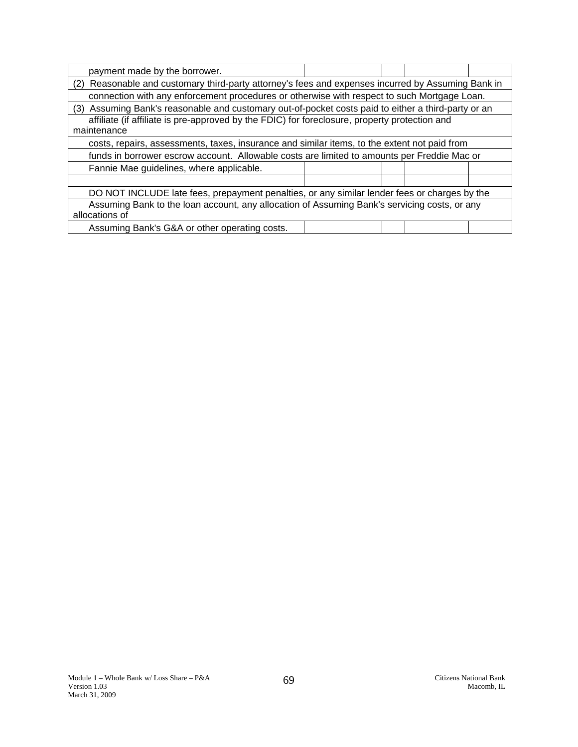| payment made by the borrower.                                                                       |                                                                                                    |  |  |  |  |  |  |
|-----------------------------------------------------------------------------------------------------|----------------------------------------------------------------------------------------------------|--|--|--|--|--|--|
|                                                                                                     | (2) Reasonable and customary third-party attorney's fees and expenses incurred by Assuming Bank in |  |  |  |  |  |  |
| connection with any enforcement procedures or otherwise with respect to such Mortgage Loan.         |                                                                                                    |  |  |  |  |  |  |
| (3) Assuming Bank's reasonable and customary out-of-pocket costs paid to either a third-party or an |                                                                                                    |  |  |  |  |  |  |
| affiliate (if affiliate is pre-approved by the FDIC) for foreclosure, property protection and       |                                                                                                    |  |  |  |  |  |  |
| maintenance                                                                                         |                                                                                                    |  |  |  |  |  |  |
| costs, repairs, assessments, taxes, insurance and similar items, to the extent not paid from        |                                                                                                    |  |  |  |  |  |  |
| funds in borrower escrow account. Allowable costs are limited to amounts per Freddie Mac or         |                                                                                                    |  |  |  |  |  |  |
| Fannie Mae guidelines, where applicable.                                                            |                                                                                                    |  |  |  |  |  |  |
|                                                                                                     |                                                                                                    |  |  |  |  |  |  |
| DO NOT INCLUDE late fees, prepayment penalties, or any similar lender fees or charges by the        |                                                                                                    |  |  |  |  |  |  |
| Assuming Bank to the loan account, any allocation of Assuming Bank's servicing costs, or any        |                                                                                                    |  |  |  |  |  |  |
| allocations of                                                                                      |                                                                                                    |  |  |  |  |  |  |
| Assuming Bank's G&A or other operating costs.                                                       |                                                                                                    |  |  |  |  |  |  |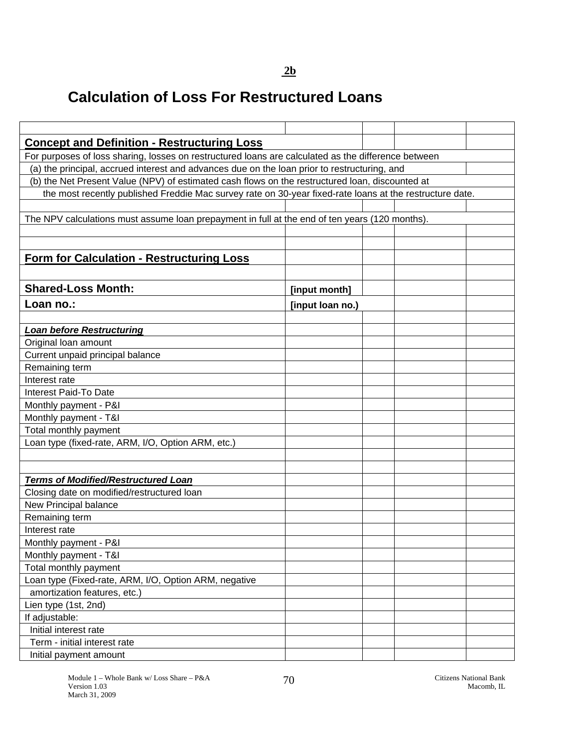# **Calculation of Loss For Restructured Loans**

| <b>Concept and Definition - Restructuring Loss</b>                                                       |                  |  |  |
|----------------------------------------------------------------------------------------------------------|------------------|--|--|
| For purposes of loss sharing, losses on restructured loans are calculated as the difference between      |                  |  |  |
| (a) the principal, accrued interest and advances due on the loan prior to restructuring, and             |                  |  |  |
| (b) the Net Present Value (NPV) of estimated cash flows on the restructured loan, discounted at          |                  |  |  |
| the most recently published Freddie Mac survey rate on 30-year fixed-rate loans at the restructure date. |                  |  |  |
|                                                                                                          |                  |  |  |
| The NPV calculations must assume loan prepayment in full at the end of ten years (120 months).           |                  |  |  |
|                                                                                                          |                  |  |  |
|                                                                                                          |                  |  |  |
| <b>Form for Calculation - Restructuring Loss</b>                                                         |                  |  |  |
|                                                                                                          |                  |  |  |
| <b>Shared-Loss Month:</b>                                                                                | [input month]    |  |  |
| Loan no.:                                                                                                | [input loan no.) |  |  |
|                                                                                                          |                  |  |  |
| <b>Loan before Restructuring</b>                                                                         |                  |  |  |
| Original loan amount                                                                                     |                  |  |  |
| Current unpaid principal balance                                                                         |                  |  |  |
| Remaining term                                                                                           |                  |  |  |
| Interest rate                                                                                            |                  |  |  |
| Interest Paid-To Date                                                                                    |                  |  |  |
| Monthly payment - P&I                                                                                    |                  |  |  |
| Monthly payment - T&I                                                                                    |                  |  |  |
| Total monthly payment                                                                                    |                  |  |  |
| Loan type (fixed-rate, ARM, I/O, Option ARM, etc.)                                                       |                  |  |  |
|                                                                                                          |                  |  |  |
|                                                                                                          |                  |  |  |
| <b>Terms of Modified/Restructured Loan</b>                                                               |                  |  |  |
| Closing date on modified/restructured loan                                                               |                  |  |  |
| New Principal balance                                                                                    |                  |  |  |
| Remaining term                                                                                           |                  |  |  |
| Interest rate                                                                                            |                  |  |  |
| Monthly payment - P&I                                                                                    |                  |  |  |
| Monthly payment - T&I                                                                                    |                  |  |  |
| Total monthly payment                                                                                    |                  |  |  |
| Loan type (Fixed-rate, ARM, I/O, Option ARM, negative                                                    |                  |  |  |
| amortization features, etc.)                                                                             |                  |  |  |
| Lien type (1st, 2nd)                                                                                     |                  |  |  |
| If adjustable:                                                                                           |                  |  |  |
| Initial interest rate                                                                                    |                  |  |  |
| Term - initial interest rate                                                                             |                  |  |  |
| Initial payment amount                                                                                   |                  |  |  |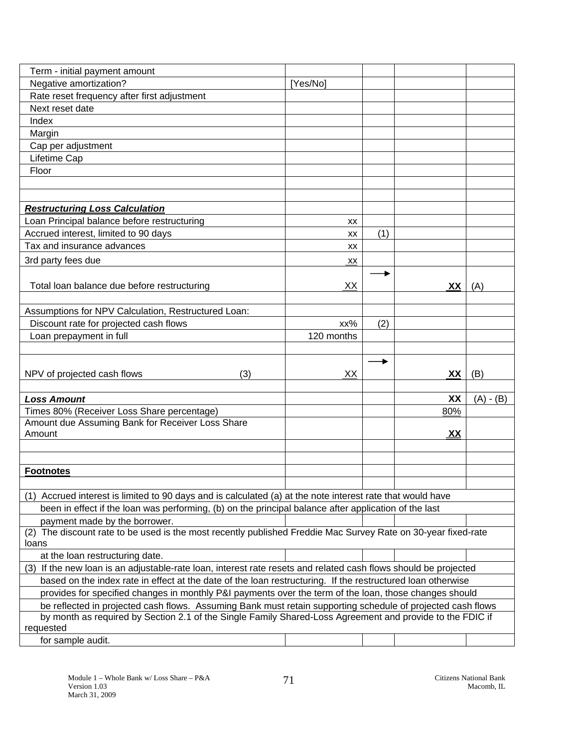| Term - initial payment amount                                                                                   |            |     |     |             |
|-----------------------------------------------------------------------------------------------------------------|------------|-----|-----|-------------|
| Negative amortization?                                                                                          | [Yes/No]   |     |     |             |
| Rate reset frequency after first adjustment                                                                     |            |     |     |             |
| Next reset date                                                                                                 |            |     |     |             |
| Index                                                                                                           |            |     |     |             |
| Margin                                                                                                          |            |     |     |             |
| Cap per adjustment                                                                                              |            |     |     |             |
| Lifetime Cap                                                                                                    |            |     |     |             |
| Floor                                                                                                           |            |     |     |             |
|                                                                                                                 |            |     |     |             |
|                                                                                                                 |            |     |     |             |
| <b>Restructuring Loss Calculation</b>                                                                           |            |     |     |             |
| Loan Principal balance before restructuring                                                                     | XX         |     |     |             |
| Accrued interest, limited to 90 days                                                                            | XX         | (1) |     |             |
| Tax and insurance advances                                                                                      | XX         |     |     |             |
|                                                                                                                 |            |     |     |             |
| 3rd party fees due                                                                                              | XX         |     |     |             |
|                                                                                                                 |            |     |     |             |
| Total loan balance due before restructuring                                                                     | XX         |     | XX  | (A)         |
|                                                                                                                 |            |     |     |             |
| Assumptions for NPV Calculation, Restructured Loan:                                                             |            |     |     |             |
| Discount rate for projected cash flows                                                                          | xx%        | (2) |     |             |
| Loan prepayment in full                                                                                         | 120 months |     |     |             |
|                                                                                                                 |            |     |     |             |
|                                                                                                                 |            |     |     |             |
| NPV of projected cash flows<br>(3)                                                                              | XX         |     | XX  | (B)         |
|                                                                                                                 |            |     |     |             |
| <b>Loss Amount</b>                                                                                              |            |     | XX  | $(A) - (B)$ |
| Times 80% (Receiver Loss Share percentage)                                                                      |            |     | 80% |             |
| Amount due Assuming Bank for Receiver Loss Share<br>Amount                                                      |            |     | XX  |             |
|                                                                                                                 |            |     |     |             |
|                                                                                                                 |            |     |     |             |
|                                                                                                                 |            |     |     |             |
| <b>Footnotes</b>                                                                                                |            |     |     |             |
| (1) Accrued interest is limited to 90 days and is calculated (a) at the note interest rate that would have      |            |     |     |             |
| been in effect if the loan was performing, (b) on the principal balance after application of the last           |            |     |     |             |
| payment made by the borrower.                                                                                   |            |     |     |             |
| (2) The discount rate to be used is the most recently published Freddie Mac Survey Rate on 30-year fixed-rate   |            |     |     |             |
| loans                                                                                                           |            |     |     |             |
| at the loan restructuring date.                                                                                 |            |     |     |             |
| (3) If the new loan is an adjustable-rate loan, interest rate resets and related cash flows should be projected |            |     |     |             |
| based on the index rate in effect at the date of the loan restructuring. If the restructured loan otherwise     |            |     |     |             |
| provides for specified changes in monthly P&I payments over the term of the loan, those changes should          |            |     |     |             |
| be reflected in projected cash flows. Assuming Bank must retain supporting schedule of projected cash flows     |            |     |     |             |
| by month as required by Section 2.1 of the Single Family Shared-Loss Agreement and provide to the FDIC if       |            |     |     |             |
| requested                                                                                                       |            |     |     |             |
| for sample audit.                                                                                               |            |     |     |             |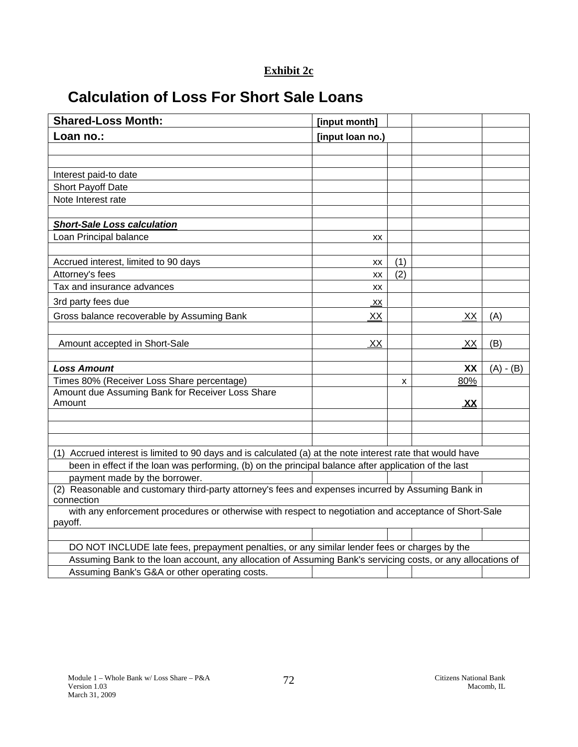| <b>Shared-Loss Month:</b>                                                                                        | [input month]    |     |           |             |
|------------------------------------------------------------------------------------------------------------------|------------------|-----|-----------|-------------|
| Loan no.:                                                                                                        | [input loan no.) |     |           |             |
|                                                                                                                  |                  |     |           |             |
|                                                                                                                  |                  |     |           |             |
| Interest paid-to date                                                                                            |                  |     |           |             |
| Short Payoff Date                                                                                                |                  |     |           |             |
| Note Interest rate                                                                                               |                  |     |           |             |
|                                                                                                                  |                  |     |           |             |
| <b>Short-Sale Loss calculation</b>                                                                               |                  |     |           |             |
| Loan Principal balance                                                                                           | XX               |     |           |             |
| Accrued interest, limited to 90 days                                                                             | XX               | (1) |           |             |
| Attorney's fees                                                                                                  | XX               | (2) |           |             |
| Tax and insurance advances                                                                                       | XX               |     |           |             |
| 3rd party fees due                                                                                               | XX               |     |           |             |
| Gross balance recoverable by Assuming Bank                                                                       | XX               |     | XX        | (A)         |
| Amount accepted in Short-Sale                                                                                    | XX               |     | XX        | (B)         |
|                                                                                                                  |                  |     |           |             |
| <b>Loss Amount</b>                                                                                               |                  |     | XX<br>80% | $(A) - (B)$ |
| Times 80% (Receiver Loss Share percentage)<br>Amount due Assuming Bank for Receiver Loss Share                   |                  | x   |           |             |
| Amount                                                                                                           |                  |     | XX        |             |
|                                                                                                                  |                  |     |           |             |
|                                                                                                                  |                  |     |           |             |
| (1) Accrued interest is limited to 90 days and is calculated (a) at the note interest rate that would have       |                  |     |           |             |
| been in effect if the loan was performing, (b) on the principal balance after application of the last            |                  |     |           |             |
| payment made by the borrower.                                                                                    |                  |     |           |             |
| (2) Reasonable and customary third-party attorney's fees and expenses incurred by Assuming Bank in<br>connection |                  |     |           |             |
| with any enforcement procedures or otherwise with respect to negotiation and acceptance of Short-Sale<br>payoff. |                  |     |           |             |
|                                                                                                                  |                  |     |           |             |
| DO NOT INCLUDE late fees, prepayment penalties, or any similar lender fees or charges by the                     |                  |     |           |             |
| Assuming Bank to the loan account, any allocation of Assuming Bank's servicing costs, or any allocations of      |                  |     |           |             |
| Assuming Bank's G&A or other operating costs.                                                                    |                  |     |           |             |

**Exhibit 2c** 

# **Calculation of Loss For Short Sale Loans**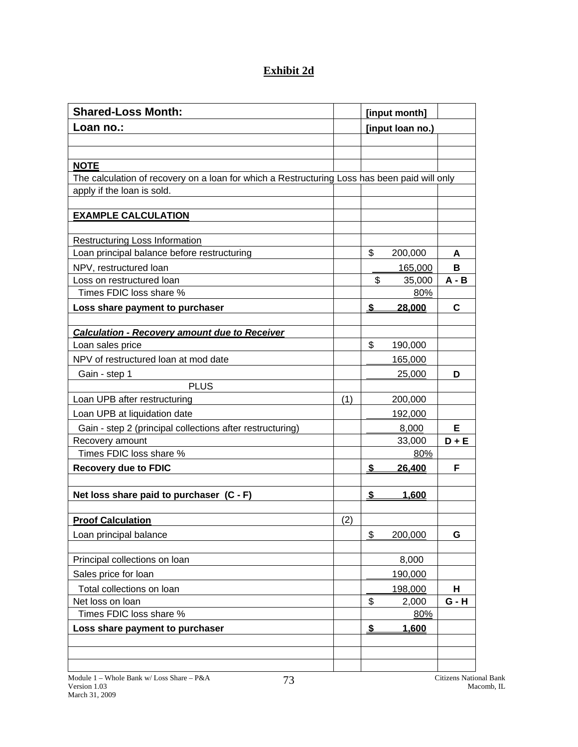# **Exhibit 2d**

| <b>Shared-Loss Month:</b>                                                                    | [input month]    |                           |         |         |
|----------------------------------------------------------------------------------------------|------------------|---------------------------|---------|---------|
| Loan no.:                                                                                    | [input loan no.) |                           |         |         |
|                                                                                              |                  |                           |         |         |
|                                                                                              |                  |                           |         |         |
| <b>NOTE</b>                                                                                  |                  |                           |         |         |
| The calculation of recovery on a loan for which a Restructuring Loss has been paid will only |                  |                           |         |         |
| apply if the loan is sold.                                                                   |                  |                           |         |         |
|                                                                                              |                  |                           |         |         |
| <b>EXAMPLE CALCULATION</b>                                                                   |                  |                           |         |         |
| Restructuring Loss Information                                                               |                  |                           |         |         |
| Loan principal balance before restructuring                                                  |                  | \$                        | 200,000 | A       |
| NPV, restructured loan                                                                       |                  |                           | 165,000 | В       |
| Loss on restructured loan                                                                    |                  | \$                        | 35,000  | $A - B$ |
| Times FDIC loss share %                                                                      |                  |                           | 80%     |         |
| Loss share payment to purchaser                                                              |                  | \$                        | 28.000  | C       |
|                                                                                              |                  |                           |         |         |
| <b>Calculation - Recovery amount due to Receiver</b>                                         |                  |                           |         |         |
| Loan sales price                                                                             |                  | $\mathfrak{S}$            | 190,000 |         |
| NPV of restructured loan at mod date                                                         |                  |                           | 165,000 |         |
| Gain - step 1                                                                                |                  |                           | 25,000  | D       |
| <b>PLUS</b>                                                                                  |                  |                           |         |         |
| Loan UPB after restructuring                                                                 | (1)              |                           | 200,000 |         |
| Loan UPB at liquidation date                                                                 |                  |                           | 192,000 |         |
| Gain - step 2 (principal collections after restructuring)                                    |                  |                           | 8,000   | Е       |
| Recovery amount                                                                              |                  |                           | 33,000  | $D + E$ |
| Times FDIC loss share %                                                                      |                  |                           | 80%     |         |
| <b>Recovery due to FDIC</b>                                                                  |                  | \$                        | 26,400  | F       |
|                                                                                              |                  |                           |         |         |
| Net loss share paid to purchaser (C - F)                                                     |                  | <u>\$</u>                 | 1,600   |         |
| <b>Proof Calculation</b>                                                                     | (2)              |                           |         |         |
| Loan principal balance                                                                       |                  | \$                        | 200,000 | G       |
|                                                                                              |                  |                           |         |         |
| Principal collections on loan                                                                |                  |                           | 8,000   |         |
| Sales price for loan                                                                         |                  |                           | 190,000 |         |
| Total collections on loan                                                                    |                  |                           | 198,000 | н       |
| Net loss on loan                                                                             |                  | \$                        | 2,000   | $G - H$ |
| Times FDIC loss share %                                                                      |                  |                           | 80%     |         |
| Loss share payment to purchaser                                                              |                  | $\boldsymbol{\mathsf{s}}$ | 1,600   |         |
|                                                                                              |                  |                           |         |         |
|                                                                                              |                  |                           |         |         |
|                                                                                              |                  |                           |         |         |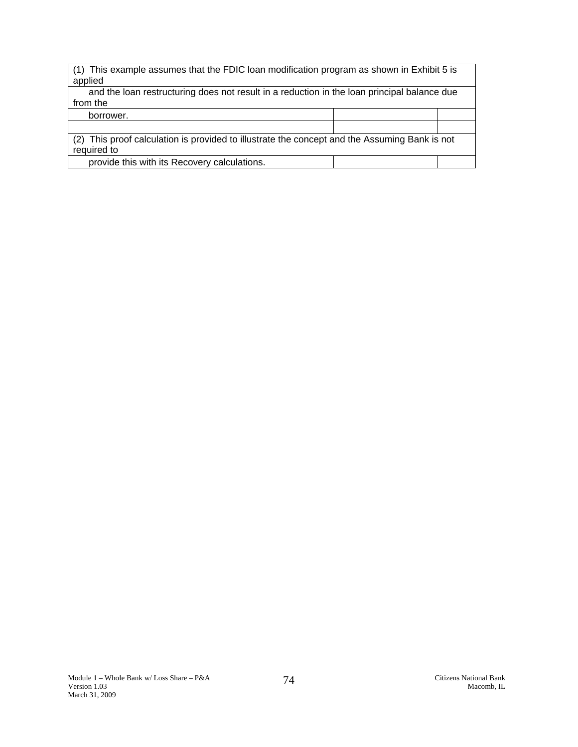| (1) This example assumes that the FDIC loan modification program as shown in Exhibit 5 is<br>applied         |  |  |  |  |  |  |  |
|--------------------------------------------------------------------------------------------------------------|--|--|--|--|--|--|--|
| and the loan restructuring does not result in a reduction in the loan principal balance due                  |  |  |  |  |  |  |  |
| from the                                                                                                     |  |  |  |  |  |  |  |
| borrower.                                                                                                    |  |  |  |  |  |  |  |
|                                                                                                              |  |  |  |  |  |  |  |
| (2) This proof calculation is provided to illustrate the concept and the Assuming Bank is not<br>required to |  |  |  |  |  |  |  |
| provide this with its Recovery calculations.                                                                 |  |  |  |  |  |  |  |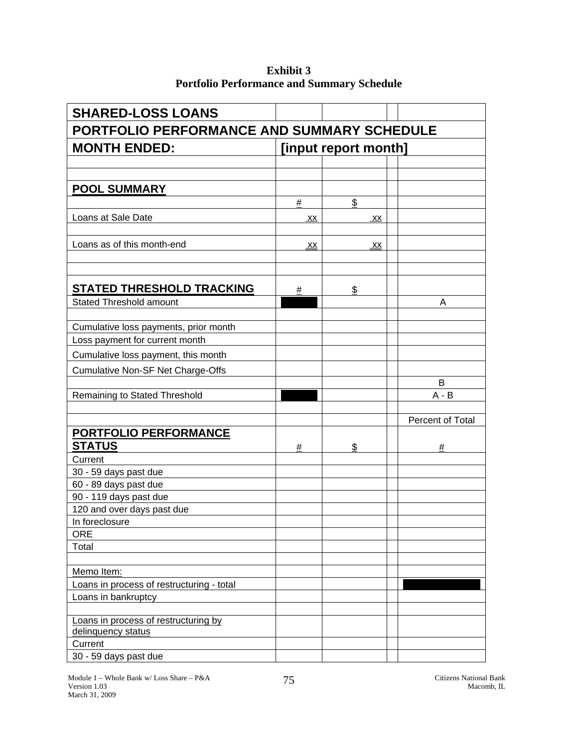| <b>Exhibit 3</b>                                  |
|---------------------------------------------------|
| <b>Portfolio Performance and Summary Schedule</b> |

| <b>SHARED-LOSS LOANS</b>                   |           |                      |                  |
|--------------------------------------------|-----------|----------------------|------------------|
| PORTFOLIO PERFORMANCE AND SUMMARY SCHEDULE |           |                      |                  |
| <b>MONTH ENDED:</b>                        |           |                      |                  |
|                                            |           | [input report month] |                  |
|                                            |           |                      |                  |
| <b>POOL SUMMARY</b>                        |           |                      |                  |
|                                            | #         | $\frac{1}{2}$        |                  |
|                                            |           |                      |                  |
| Loans at Sale Date                         | <u>XX</u> | XX                   |                  |
|                                            |           |                      |                  |
| Loans as of this month-end                 | XX        | xх                   |                  |
|                                            |           |                      |                  |
|                                            |           |                      |                  |
| STATED THRESHOLD TRACKING                  | #         | \$                   |                  |
| <b>Stated Threshold amount</b>             |           |                      | A                |
|                                            |           |                      |                  |
| Cumulative loss payments, prior month      |           |                      |                  |
| Loss payment for current month             |           |                      |                  |
| Cumulative loss payment, this month        |           |                      |                  |
| <b>Cumulative Non-SF Net Charge-Offs</b>   |           |                      |                  |
|                                            |           |                      | B                |
| Remaining to Stated Threshold              |           |                      | $A - B$          |
|                                            |           |                      |                  |
|                                            |           |                      | Percent of Total |
| PORTFOLIO PERFORMANCE                      |           |                      |                  |
| <b>STATUS</b>                              | #         | \$                   | #                |
| Current                                    |           |                      |                  |
| 30 - 59 days past due                      |           |                      |                  |
| 60 - 89 days past due                      |           |                      |                  |
| 90 - 119 days past due                     |           |                      |                  |
| 120 and over days past due                 |           |                      |                  |
| In foreclosure                             |           |                      |                  |
| <b>ORE</b>                                 |           |                      |                  |
| Total                                      |           |                      |                  |
| Memo Item:                                 |           |                      |                  |
| Loans in process of restructuring - total  |           |                      |                  |
| Loans in bankruptcy                        |           |                      |                  |
|                                            |           |                      |                  |
| Loans in process of restructuring by       |           |                      |                  |
| delinquency status                         |           |                      |                  |
| Current                                    |           |                      |                  |
| 30 - 59 days past due                      |           |                      |                  |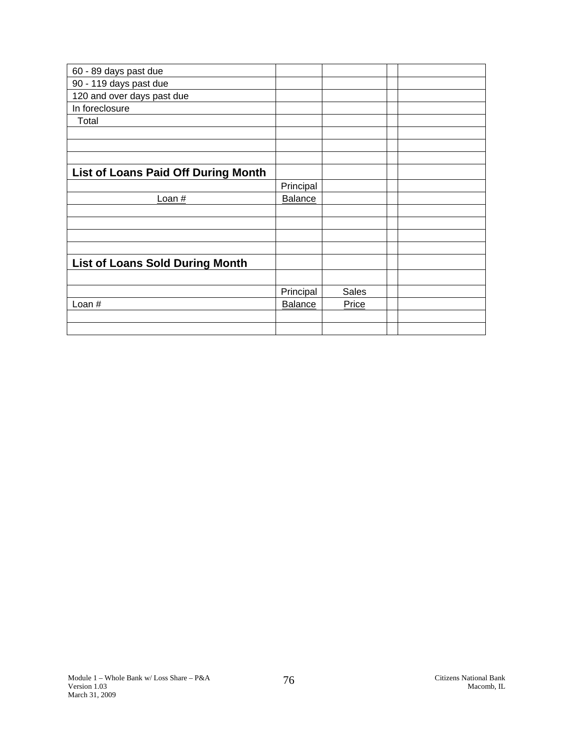| 60 - 89 days past due                      |           |              |  |
|--------------------------------------------|-----------|--------------|--|
| 90 - 119 days past due                     |           |              |  |
| 120 and over days past due                 |           |              |  |
| In foreclosure                             |           |              |  |
| Total                                      |           |              |  |
|                                            |           |              |  |
|                                            |           |              |  |
|                                            |           |              |  |
| <b>List of Loans Paid Off During Month</b> |           |              |  |
|                                            | Principal |              |  |
| Loan $#$                                   | Balance   |              |  |
|                                            |           |              |  |
|                                            |           |              |  |
|                                            |           |              |  |
|                                            |           |              |  |
| <b>List of Loans Sold During Month</b>     |           |              |  |
|                                            |           |              |  |
|                                            | Principal | <b>Sales</b> |  |
| Loan $#$                                   | Balance   | Price        |  |
|                                            |           |              |  |
|                                            |           |              |  |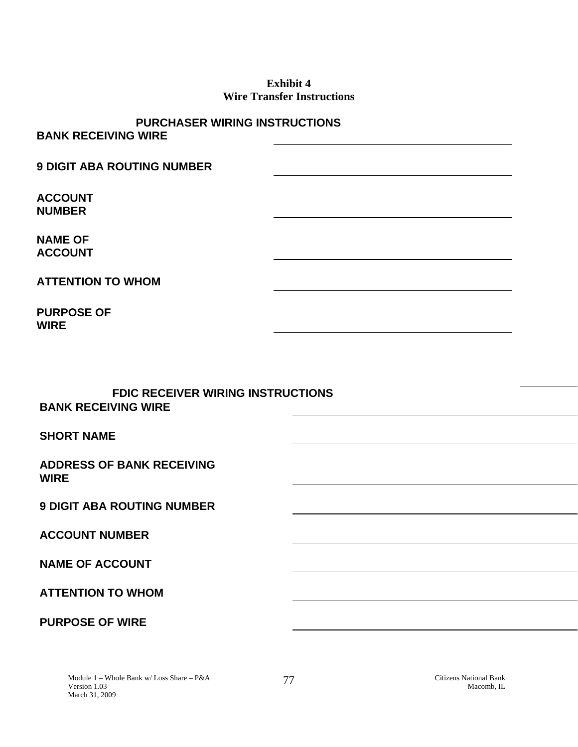#### **Exhibit 4 Wire Transfer Instructions**

#### **PURCHASER WIRING INSTRUCTIONS BANK RECEIVING WIRE**

**9 DIGIT ABA ROUTING NUMBER ACCOUNT NUMBER NAME OF ACCOUNT ATTENTION TO WHOM** 

**PURPOSE OF WIRE** 

#### **FDIC RECEIVER WIRING INSTRUCTIONS BANK RECEIVING WIRE**

**SHORT NAME** 

**ADDRESS OF BANK RECEIVING WIRE** 

**9 DIGIT ABA ROUTING NUMBER** 

**ACCOUNT NUMBER** 

**NAME OF ACCOUNT** 

**ATTENTION TO WHOM** 

**PURPOSE OF WIRE**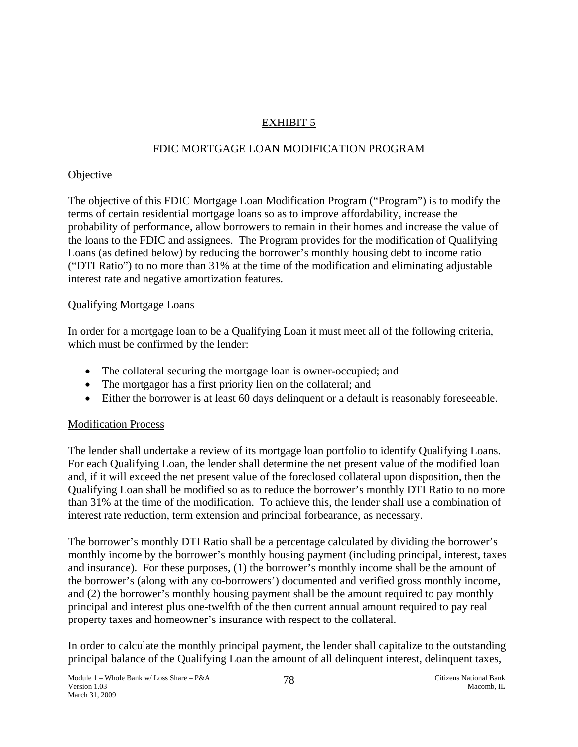# EXHIBIT 5

# FDIC MORTGAGE LOAN MODIFICATION PROGRAM

# **Objective**

The objective of this FDIC Mortgage Loan Modification Program ("Program") is to modify the terms of certain residential mortgage loans so as to improve affordability, increase the probability of performance, allow borrowers to remain in their homes and increase the value of the loans to the FDIC and assignees. The Program provides for the modification of Qualifying Loans (as defined below) by reducing the borrower's monthly housing debt to income ratio ("DTI Ratio") to no more than 31% at the time of the modification and eliminating adjustable interest rate and negative amortization features.

# Qualifying Mortgage Loans

In order for a mortgage loan to be a Qualifying Loan it must meet all of the following criteria, which must be confirmed by the lender:

- The collateral securing the mortgage loan is owner-occupied; and
- The mortgagor has a first priority lien on the collateral; and
- Either the borrower is at least 60 days delinquent or a default is reasonably foreseeable. Modification Process

The lender shall undertake a review of its mortgage loan portfolio to identify Qualifying Loans. For each Qualifying Loan, the lender shall determine the net present value of the modified loan and, if it will exceed the net present value of the foreclosed collateral upon disposition, then the Qualifying Loan shall be modified so as to reduce the borrower's monthly DTI Ratio to no more than 31% at the time of the modification. To achieve this, the lender shall use a combination of interest rate reduction, term extension and principal forbearance, as necessary.

The borrower's monthly DTI Ratio shall be a percentage calculated by dividing the borrower's monthly income by the borrower's monthly housing payment (including principal, interest, taxes and insurance). For these purposes, (1) the borrower's monthly income shall be the amount of the borrower's (along with any co-borrowers') documented and verified gross monthly income, and (2) the borrower's monthly housing payment shall be the amount required to pay monthly principal and interest plus one-twelfth of the then current annual amount required to pay real property taxes and homeowner's insurance with respect to the collateral.

In order to calculate the monthly principal payment, the lender shall capitalize to the outstanding principal balance of the Qualifying Loan the amount of all delinquent interest, delinquent taxes,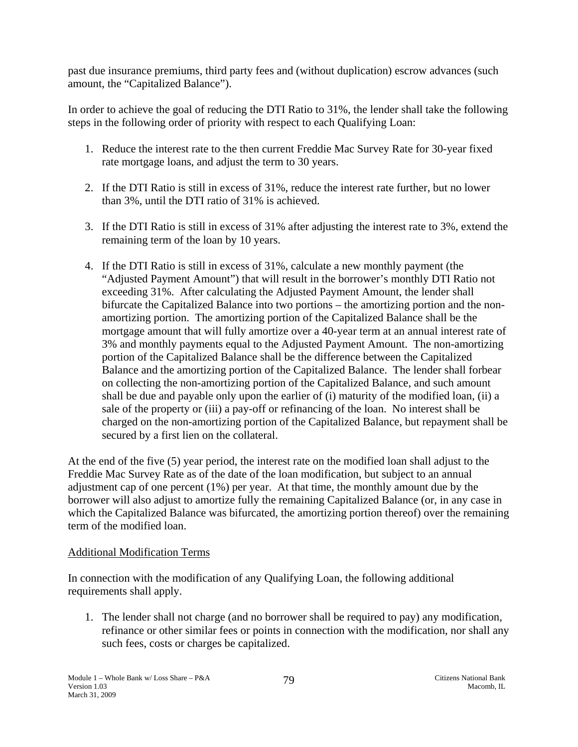past due insurance premiums, third party fees and (without duplication) escrow advances (such amount, the "Capitalized Balance").

In order to achieve the goal of reducing the DTI Ratio to 31%, the lender shall take the following steps in the following order of priority with respect to each Qualifying Loan:

- 1. Reduce the interest rate to the then current Freddie Mac Survey Rate for 30-year fixed rate mortgage loans, and adjust the term to 30 years.
- 2. If the DTI Ratio is still in excess of 31%, reduce the interest rate further, but no lower than 3%, until the DTI ratio of 31% is achieved.
- 3. If the DTI Ratio is still in excess of 31% after adjusting the interest rate to 3%, extend the remaining term of the loan by 10 years.
- 4. If the DTI Ratio is still in excess of 31%, calculate a new monthly payment (the "Adjusted Payment Amount") that will result in the borrower's monthly DTI Ratio not exceeding 31%. After calculating the Adjusted Payment Amount, the lender shall bifurcate the Capitalized Balance into two portions – the amortizing portion and the nonamortizing portion. The amortizing portion of the Capitalized Balance shall be the mortgage amount that will fully amortize over a 40-year term at an annual interest rate of 3% and monthly payments equal to the Adjusted Payment Amount. The non-amortizing portion of the Capitalized Balance shall be the difference between the Capitalized Balance and the amortizing portion of the Capitalized Balance. The lender shall forbear on collecting the non-amortizing portion of the Capitalized Balance, and such amount shall be due and payable only upon the earlier of (i) maturity of the modified loan, (ii) a sale of the property or (iii) a pay-off or refinancing of the loan. No interest shall be charged on the non-amortizing portion of the Capitalized Balance, but repayment shall be secured by a first lien on the collateral.

At the end of the five (5) year period, the interest rate on the modified loan shall adjust to the Freddie Mac Survey Rate as of the date of the loan modification, but subject to an annual adjustment cap of one percent (1%) per year. At that time, the monthly amount due by the borrower will also adjust to amortize fully the remaining Capitalized Balance (or, in any case in which the Capitalized Balance was bifurcated, the amortizing portion thereof) over the remaining term of the modified loan.

#### Additional Modification Terms

In connection with the modification of any Qualifying Loan, the following additional requirements shall apply.

1. The lender shall not charge (and no borrower shall be required to pay) any modification, refinance or other similar fees or points in connection with the modification, nor shall any such fees, costs or charges be capitalized.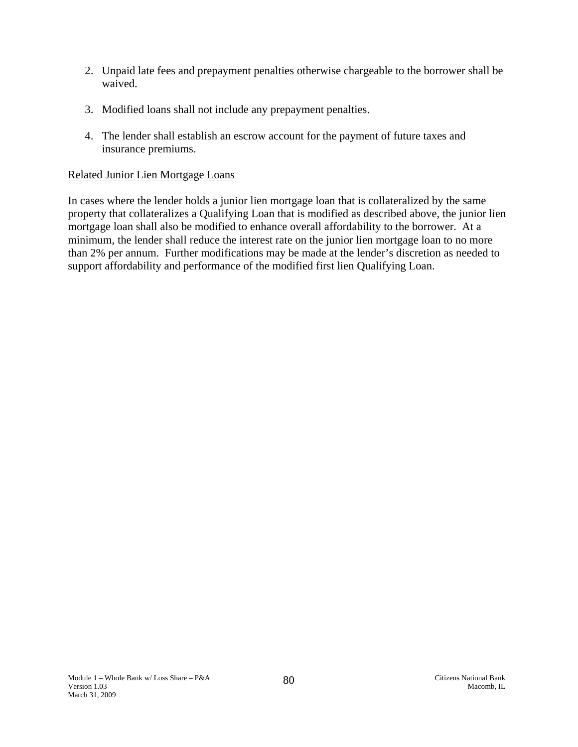- 2. Unpaid late fees and prepayment penalties otherwise chargeable to the borrower shall be waived.
- 3. Modified loans shall not include any prepayment penalties.
- 4. The lender shall establish an escrow account for the payment of future taxes and insurance premiums.

#### Related Junior Lien Mortgage Loans

In cases where the lender holds a junior lien mortgage loan that is collateralized by the same property that collateralizes a Qualifying Loan that is modified as described above, the junior lien mortgage loan shall also be modified to enhance overall affordability to the borrower. At a minimum, the lender shall reduce the interest rate on the junior lien mortgage loan to no more than 2% per annum. Further modifications may be made at the lender's discretion as needed to support affordability and performance of the modified first lien Qualifying Loan.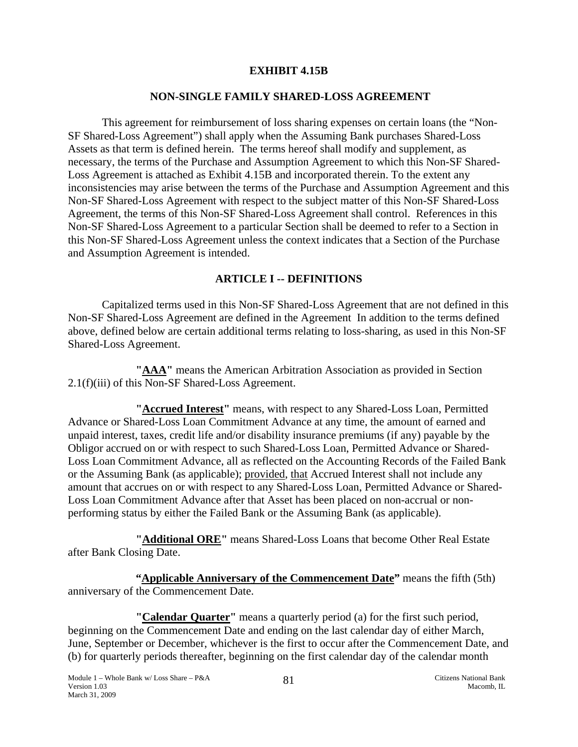#### **EXHIBIT 4.15B**

#### **NON-SINGLE FAMILY SHARED-LOSS AGREEMENT**

This agreement for reimbursement of loss sharing expenses on certain loans (the "Non-SF Shared-Loss Agreement") shall apply when the Assuming Bank purchases Shared-Loss Assets as that term is defined herein. The terms hereof shall modify and supplement, as necessary, the terms of the Purchase and Assumption Agreement to which this Non-SF Shared-Loss Agreement is attached as Exhibit 4.15B and incorporated therein. To the extent any inconsistencies may arise between the terms of the Purchase and Assumption Agreement and this Non-SF Shared-Loss Agreement with respect to the subject matter of this Non-SF Shared-Loss Agreement, the terms of this Non-SF Shared-Loss Agreement shall control. References in this Non-SF Shared-Loss Agreement to a particular Section shall be deemed to refer to a Section in this Non-SF Shared-Loss Agreement unless the context indicates that a Section of the Purchase and Assumption Agreement is intended.

#### **ARTICLE I -- DEFINITIONS**

Capitalized terms used in this Non-SF Shared-Loss Agreement that are not defined in this Non-SF Shared-Loss Agreement are defined in the Agreement In addition to the terms defined above, defined below are certain additional terms relating to loss-sharing, as used in this Non-SF Shared-Loss Agreement.

**"AAA"** means the American Arbitration Association as provided in Section 2.1(f)(iii) of this Non-SF Shared-Loss Agreement.

**"Accrued Interest"** means, with respect to any Shared-Loss Loan, Permitted Advance or Shared-Loss Loan Commitment Advance at any time, the amount of earned and unpaid interest, taxes, credit life and/or disability insurance premiums (if any) payable by the Obligor accrued on or with respect to such Shared-Loss Loan, Permitted Advance or Shared-Loss Loan Commitment Advance, all as reflected on the Accounting Records of the Failed Bank or the Assuming Bank (as applicable); provided, that Accrued Interest shall not include any amount that accrues on or with respect to any Shared-Loss Loan, Permitted Advance or Shared-Loss Loan Commitment Advance after that Asset has been placed on non-accrual or nonperforming status by either the Failed Bank or the Assuming Bank (as applicable).

**"Additional ORE"** means Shared-Loss Loans that become Other Real Estate after Bank Closing Date.

**Examplicable Anniversary of the Commencement Date**" means the fifth (5th) anniversary of the Commencement Date.

**"Calendar Quarter"** means a quarterly period (a) for the first such period, beginning on the Commencement Date and ending on the last calendar day of either March, June, September or December, whichever is the first to occur after the Commencement Date, and (b) for quarterly periods thereafter, beginning on the first calendar day of the calendar month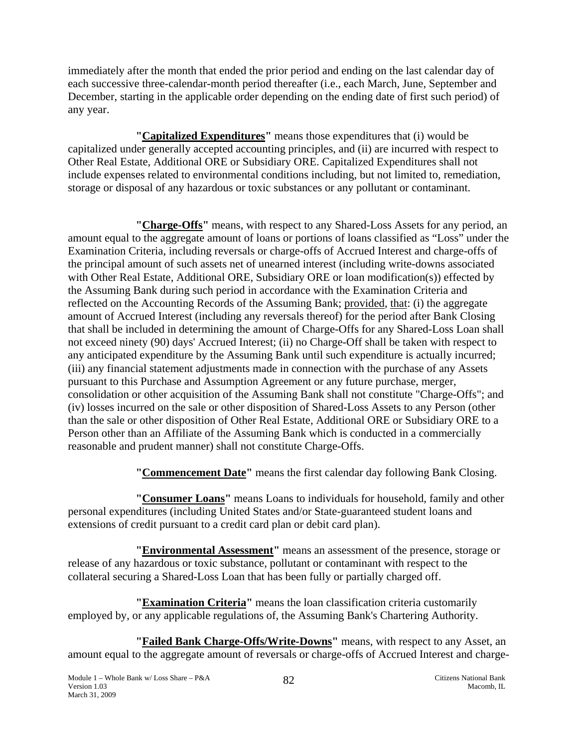immediately after the month that ended the prior period and ending on the last calendar day of each successive three-calendar-month period thereafter (i.e., each March, June, September and December, starting in the applicable order depending on the ending date of first such period) of any year.

**"Capitalized Expenditures"** means those expenditures that (i) would be capitalized under generally accepted accounting principles, and (ii) are incurred with respect to Other Real Estate, Additional ORE or Subsidiary ORE. Capitalized Expenditures shall not include expenses related to environmental conditions including, but not limited to, remediation, storage or disposal of any hazardous or toxic substances or any pollutant or contaminant.

**"Charge-Offs"** means, with respect to any Shared-Loss Assets for any period, an amount equal to the aggregate amount of loans or portions of loans classified as "Loss" under the Examination Criteria, including reversals or charge-offs of Accrued Interest and charge-offs of the principal amount of such assets net of unearned interest (including write-downs associated with Other Real Estate, Additional ORE, Subsidiary ORE or loan modification(s)) effected by the Assuming Bank during such period in accordance with the Examination Criteria and reflected on the Accounting Records of the Assuming Bank; provided, that: (i) the aggregate amount of Accrued Interest (including any reversals thereof) for the period after Bank Closing that shall be included in determining the amount of Charge-Offs for any Shared-Loss Loan shall not exceed ninety (90) days' Accrued Interest; (ii) no Charge-Off shall be taken with respect to any anticipated expenditure by the Assuming Bank until such expenditure is actually incurred; (iii) any financial statement adjustments made in connection with the purchase of any Assets pursuant to this Purchase and Assumption Agreement or any future purchase, merger, consolidation or other acquisition of the Assuming Bank shall not constitute "Charge-Offs"; and (iv) losses incurred on the sale or other disposition of Shared-Loss Assets to any Person (other than the sale or other disposition of Other Real Estate, Additional ORE or Subsidiary ORE to a Person other than an Affiliate of the Assuming Bank which is conducted in a commercially reasonable and prudent manner) shall not constitute Charge-Offs.

**"Commencement Date"** means the first calendar day following Bank Closing.

**"Consumer Loans"** means Loans to individuals for household, family and other personal expenditures (including United States and/or State-guaranteed student loans and extensions of credit pursuant to a credit card plan or debit card plan).

**"Environmental Assessment"** means an assessment of the presence, storage or release of any hazardous or toxic substance, pollutant or contaminant with respect to the collateral securing a Shared-Loss Loan that has been fully or partially charged off.

**"Examination Criteria"** means the loan classification criteria customarily employed by, or any applicable regulations of, the Assuming Bank's Chartering Authority.

**"Failed Bank Charge-Offs/Write-Downs"** means, with respect to any Asset, an amount equal to the aggregate amount of reversals or charge-offs of Accrued Interest and charge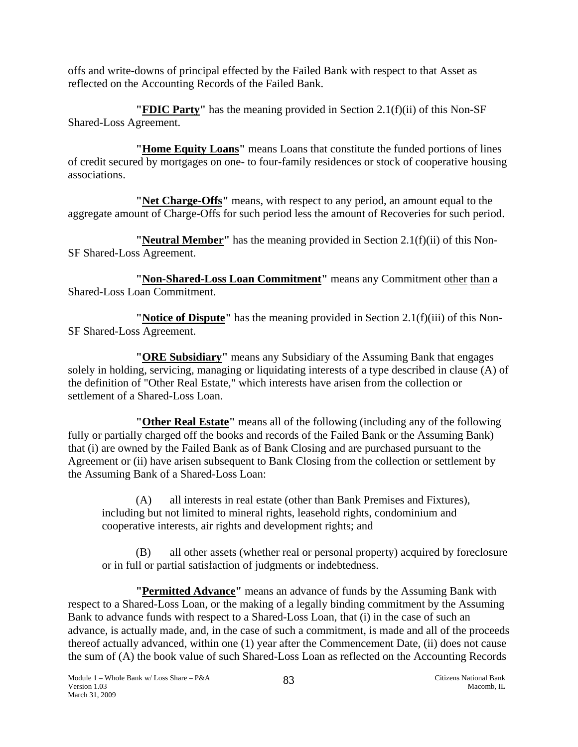offs and write-downs of principal effected by the Failed Bank with respect to that Asset as reflected on the Accounting Records of the Failed Bank.

**"FDIC Party"** has the meaning provided in Section 2.1(f)(ii) of this Non-SF Shared-Loss Agreement.

**"Home Equity Loans"** means Loans that constitute the funded portions of lines of credit secured by mortgages on one- to four-family residences or stock of cooperative housing associations.

**"Net Charge-Offs"** means, with respect to any period, an amount equal to the aggregate amount of Charge-Offs for such period less the amount of Recoveries for such period.

 SF Shared-Loss Agreement. **"Neutral Member"** has the meaning provided in Section 2.1(f)(ii) of this Non-

**"Non-Shared-Loss Loan Commitment"** means any Commitment other than a Shared-Loss Loan Commitment.

**"Notice of Dispute"** has the meaning provided in Section 2.1(f)(iii) of this Non-SF Shared-Loss Agreement.

**"ORE Subsidiary"** means any Subsidiary of the Assuming Bank that engages solely in holding, servicing, managing or liquidating interests of a type described in clause (A) of the definition of "Other Real Estate," which interests have arisen from the collection or settlement of a Shared-Loss Loan.

**"Other Real Estate"** means all of the following (including any of the following fully or partially charged off the books and records of the Failed Bank or the Assuming Bank) that (i) are owned by the Failed Bank as of Bank Closing and are purchased pursuant to the Agreement or (ii) have arisen subsequent to Bank Closing from the collection or settlement by the Assuming Bank of a Shared-Loss Loan:

(A) all interests in real estate (other than Bank Premises and Fixtures), including but not limited to mineral rights, leasehold rights, condominium and cooperative interests, air rights and development rights; and

(B) all other assets (whether real or personal property) acquired by foreclosure or in full or partial satisfaction of judgments or indebtedness.

**"Permitted Advance"** means an advance of funds by the Assuming Bank with respect to a Shared-Loss Loan, or the making of a legally binding commitment by the Assuming Bank to advance funds with respect to a Shared-Loss Loan, that (i) in the case of such an advance, is actually made, and, in the case of such a commitment, is made and all of the proceeds thereof actually advanced, within one (1) year after the Commencement Date, (ii) does not cause the sum of (A) the book value of such Shared-Loss Loan as reflected on the Accounting Records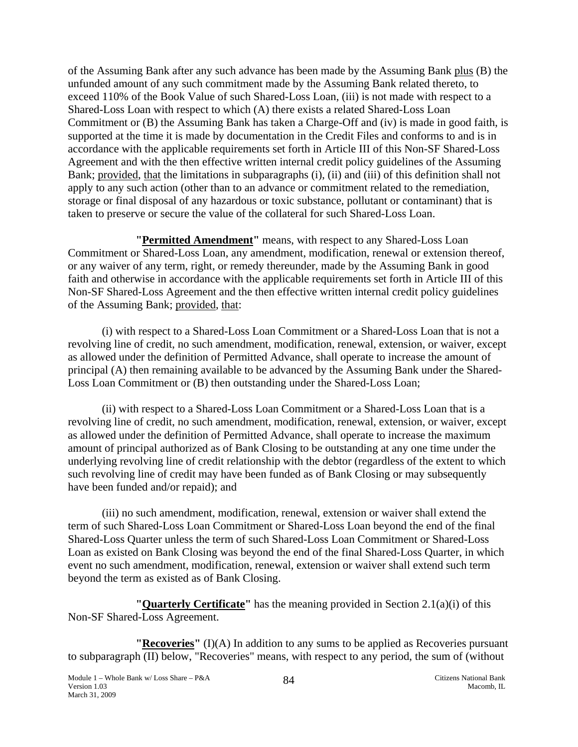of the Assuming Bank after any such advance has been made by the Assuming Bank plus (B) the unfunded amount of any such commitment made by the Assuming Bank related thereto, to exceed 110% of the Book Value of such Shared-Loss Loan, (iii) is not made with respect to a Shared-Loss Loan with respect to which (A) there exists a related Shared-Loss Loan Commitment or (B) the Assuming Bank has taken a Charge-Off and (iv) is made in good faith, is supported at the time it is made by documentation in the Credit Files and conforms to and is in accordance with the applicable requirements set forth in Article III of this Non-SF Shared-Loss Agreement and with the then effective written internal credit policy guidelines of the Assuming Bank; provided, that the limitations in subparagraphs (i), (ii) and (iii) of this definition shall not apply to any such action (other than to an advance or commitment related to the remediation, storage or final disposal of any hazardous or toxic substance, pollutant or contaminant) that is taken to preserve or secure the value of the collateral for such Shared-Loss Loan.

**"Permitted Amendment"** means, with respect to any Shared-Loss Loan Commitment or Shared-Loss Loan, any amendment, modification, renewal or extension thereof, or any waiver of any term, right, or remedy thereunder, made by the Assuming Bank in good faith and otherwise in accordance with the applicable requirements set forth in Article III of this Non-SF Shared-Loss Agreement and the then effective written internal credit policy guidelines of the Assuming Bank; provided, that:

(i) with respect to a Shared-Loss Loan Commitment or a Shared-Loss Loan that is not a revolving line of credit, no such amendment, modification, renewal, extension, or waiver, except as allowed under the definition of Permitted Advance, shall operate to increase the amount of principal (A) then remaining available to be advanced by the Assuming Bank under the Shared-Loss Loan Commitment or (B) then outstanding under the Shared-Loss Loan;

(ii) with respect to a Shared-Loss Loan Commitment or a Shared-Loss Loan that is a revolving line of credit, no such amendment, modification, renewal, extension, or waiver, except as allowed under the definition of Permitted Advance, shall operate to increase the maximum amount of principal authorized as of Bank Closing to be outstanding at any one time under the underlying revolving line of credit relationship with the debtor (regardless of the extent to which such revolving line of credit may have been funded as of Bank Closing or may subsequently have been funded and/or repaid); and

(iii) no such amendment, modification, renewal, extension or waiver shall extend the term of such Shared-Loss Loan Commitment or Shared-Loss Loan beyond the end of the final Shared-Loss Quarter unless the term of such Shared-Loss Loan Commitment or Shared-Loss Loan as existed on Bank Closing was beyond the end of the final Shared-Loss Quarter, in which event no such amendment, modification, renewal, extension or waiver shall extend such term beyond the term as existed as of Bank Closing.

**"Quarterly Certificate"** has the meaning provided in Section 2.1(a)(i) of this Non-SF Shared-Loss Agreement.

**"Recoveries"** (I)(A) In addition to any sums to be applied as Recoveries pursuant to subparagraph (II) below, "Recoveries" means, with respect to any period, the sum of (without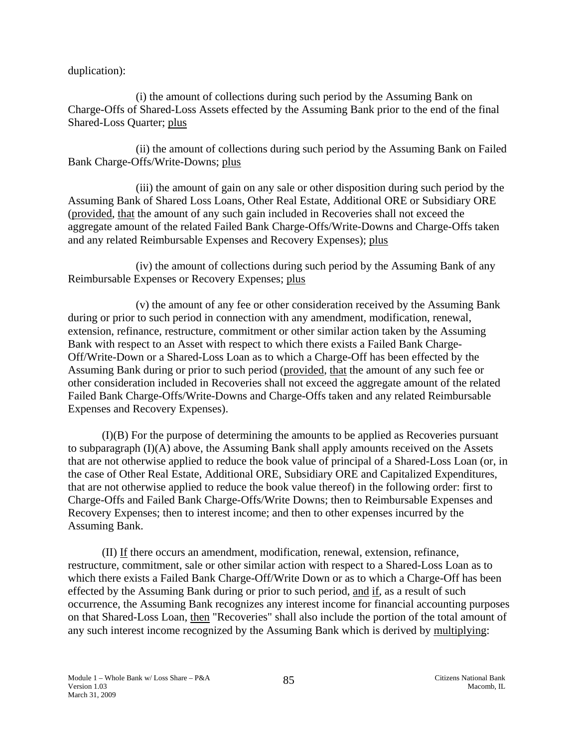duplication):

Shared-Loss Quarter; plus (i) the amount of collections during such period by the Assuming Bank on Charge-Offs of Shared-Loss Assets effected by the Assuming Bank prior to the end of the final

(ii) the amount of collections during such period by the Assuming Bank on Failed Bank Charge-Offs/Write-Downs; plus

(iii) the amount of gain on any sale or other disposition during such period by the Assuming Bank of Shared Loss Loans, Other Real Estate, Additional ORE or Subsidiary ORE (provided, that the amount of any such gain included in Recoveries shall not exceed the aggregate amount of the related Failed Bank Charge-Offs/Write-Downs and Charge-Offs taken and any related Reimbursable Expenses and Recovery Expenses); plus

(iv) the amount of collections during such period by the Assuming Bank of any Reimbursable Expenses or Recovery Expenses; plus

(v) the amount of any fee or other consideration received by the Assuming Bank during or prior to such period in connection with any amendment, modification, renewal, extension, refinance, restructure, commitment or other similar action taken by the Assuming Bank with respect to an Asset with respect to which there exists a Failed Bank Charge-Off/Write-Down or a Shared-Loss Loan as to which a Charge-Off has been effected by the Assuming Bank during or prior to such period (provided, that the amount of any such fee or other consideration included in Recoveries shall not exceed the aggregate amount of the related Failed Bank Charge-Offs/Write-Downs and Charge-Offs taken and any related Reimbursable Expenses and Recovery Expenses).

(I)(B) For the purpose of determining the amounts to be applied as Recoveries pursuant to subparagraph (I)(A) above, the Assuming Bank shall apply amounts received on the Assets that are not otherwise applied to reduce the book value of principal of a Shared-Loss Loan (or, in the case of Other Real Estate, Additional ORE, Subsidiary ORE and Capitalized Expenditures, that are not otherwise applied to reduce the book value thereof) in the following order: first to Charge-Offs and Failed Bank Charge-Offs/Write Downs; then to Reimbursable Expenses and Recovery Expenses; then to interest income; and then to other expenses incurred by the Assuming Bank.

(II) If there occurs an amendment, modification, renewal, extension, refinance, restructure, commitment, sale or other similar action with respect to a Shared-Loss Loan as to which there exists a Failed Bank Charge-Off/Write Down or as to which a Charge-Off has been effected by the Assuming Bank during or prior to such period, and if, as a result of such occurrence, the Assuming Bank recognizes any interest income for financial accounting purposes on that Shared-Loss Loan, then "Recoveries" shall also include the portion of the total amount of any such interest income recognized by the Assuming Bank which is derived by multiplying: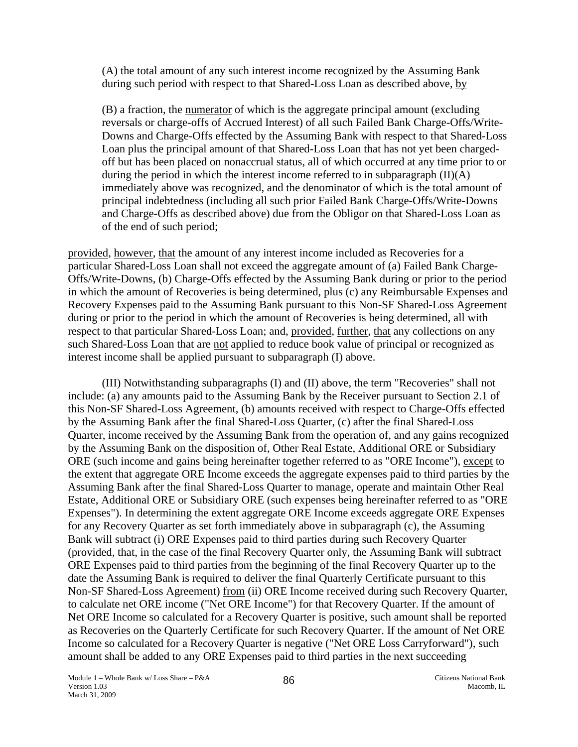(A) the total amount of any such interest income recognized by the Assuming Bank during such period with respect to that Shared-Loss Loan as described above, by

(B) a fraction, the numerator of which is the aggregate principal amount (excluding reversals or charge-offs of Accrued Interest) of all such Failed Bank Charge-Offs/Write-Downs and Charge-Offs effected by the Assuming Bank with respect to that Shared-Loss Loan plus the principal amount of that Shared-Loss Loan that has not yet been chargedoff but has been placed on nonaccrual status, all of which occurred at any time prior to or during the period in which the interest income referred to in subparagraph  $(II)(A)$ immediately above was recognized, and the denominator of which is the total amount of principal indebtedness (including all such prior Failed Bank Charge-Offs/Write-Downs and Charge-Offs as described above) due from the Obligor on that Shared-Loss Loan as of the end of such period;

provided, however, that the amount of any interest income included as Recoveries for a particular Shared-Loss Loan shall not exceed the aggregate amount of (a) Failed Bank Charge-Offs/Write-Downs, (b) Charge-Offs effected by the Assuming Bank during or prior to the period in which the amount of Recoveries is being determined, plus (c) any Reimbursable Expenses and Recovery Expenses paid to the Assuming Bank pursuant to this Non-SF Shared-Loss Agreement during or prior to the period in which the amount of Recoveries is being determined, all with respect to that particular Shared-Loss Loan; and, provided, further, that any collections on any such Shared-Loss Loan that are not applied to reduce book value of principal or recognized as interest income shall be applied pursuant to subparagraph (I) above.

(III) Notwithstanding subparagraphs (I) and (II) above, the term "Recoveries" shall not include: (a) any amounts paid to the Assuming Bank by the Receiver pursuant to Section 2.1 of this Non-SF Shared-Loss Agreement, (b) amounts received with respect to Charge-Offs effected by the Assuming Bank after the final Shared-Loss Quarter, (c) after the final Shared-Loss Quarter, income received by the Assuming Bank from the operation of, and any gains recognized by the Assuming Bank on the disposition of, Other Real Estate, Additional ORE or Subsidiary ORE (such income and gains being hereinafter together referred to as "ORE Income"), except to the extent that aggregate ORE Income exceeds the aggregate expenses paid to third parties by the Assuming Bank after the final Shared-Loss Quarter to manage, operate and maintain Other Real Estate, Additional ORE or Subsidiary ORE (such expenses being hereinafter referred to as "ORE Expenses"). In determining the extent aggregate ORE Income exceeds aggregate ORE Expenses for any Recovery Quarter as set forth immediately above in subparagraph (c), the Assuming Bank will subtract (i) ORE Expenses paid to third parties during such Recovery Quarter (provided, that, in the case of the final Recovery Quarter only, the Assuming Bank will subtract ORE Expenses paid to third parties from the beginning of the final Recovery Quarter up to the date the Assuming Bank is required to deliver the final Quarterly Certificate pursuant to this Non-SF Shared-Loss Agreement) from (ii) ORE Income received during such Recovery Quarter, to calculate net ORE income ("Net ORE Income") for that Recovery Quarter. If the amount of Net ORE Income so calculated for a Recovery Quarter is positive, such amount shall be reported as Recoveries on the Quarterly Certificate for such Recovery Quarter. If the amount of Net ORE Income so calculated for a Recovery Quarter is negative ("Net ORE Loss Carryforward"), such amount shall be added to any ORE Expenses paid to third parties in the next succeeding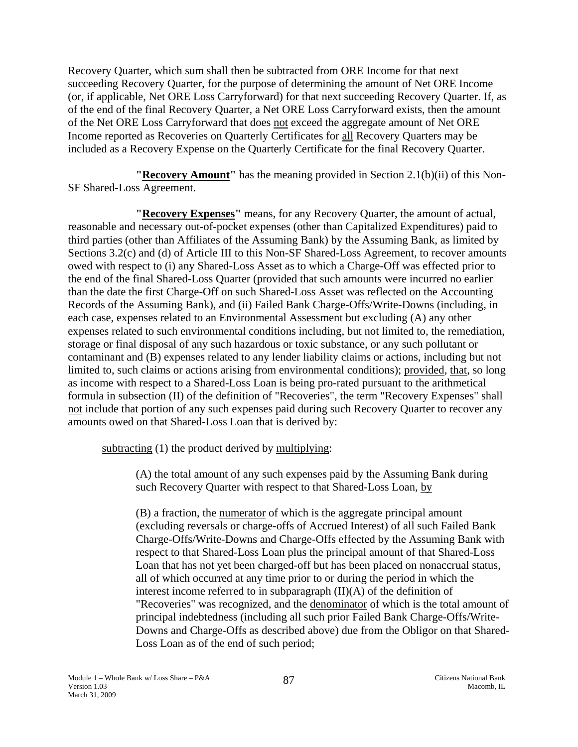Recovery Quarter, which sum shall then be subtracted from ORE Income for that next succeeding Recovery Quarter, for the purpose of determining the amount of Net ORE Income (or, if applicable, Net ORE Loss Carryforward) for that next succeeding Recovery Quarter. If, as of the end of the final Recovery Quarter, a Net ORE Loss Carryforward exists, then the amount of the Net ORE Loss Carryforward that does not exceed the aggregate amount of Net ORE Income reported as Recoveries on Quarterly Certificates for all Recovery Quarters may be included as a Recovery Expense on the Quarterly Certificate for the final Recovery Quarter.

**"Recovery Amount"** has the meaning provided in Section 2.1(b)(ii) of this Non-SF Shared-Loss Agreement.

**"Recovery Expenses"** means, for any Recovery Quarter, the amount of actual, reasonable and necessary out-of-pocket expenses (other than Capitalized Expenditures) paid to third parties (other than Affiliates of the Assuming Bank) by the Assuming Bank, as limited by Sections 3.2(c) and (d) of Article III to this Non-SF Shared-Loss Agreement, to recover amounts owed with respect to (i) any Shared-Loss Asset as to which a Charge-Off was effected prior to the end of the final Shared-Loss Quarter (provided that such amounts were incurred no earlier than the date the first Charge-Off on such Shared-Loss Asset was reflected on the Accounting Records of the Assuming Bank), and (ii) Failed Bank Charge-Offs/Write-Downs (including, in each case, expenses related to an Environmental Assessment but excluding (A) any other expenses related to such environmental conditions including, but not limited to, the remediation, storage or final disposal of any such hazardous or toxic substance, or any such pollutant or contaminant and (B) expenses related to any lender liability claims or actions, including but not limited to, such claims or actions arising from environmental conditions); provided, that, so long as income with respect to a Shared-Loss Loan is being pro-rated pursuant to the arithmetical formula in subsection (II) of the definition of "Recoveries", the term "Recovery Expenses" shall not include that portion of any such expenses paid during such Recovery Quarter to recover any amounts owed on that Shared-Loss Loan that is derived by:

subtracting (1) the product derived by multiplying:

(A) the total amount of any such expenses paid by the Assuming Bank during such Recovery Quarter with respect to that Shared-Loss Loan, by

(B) a fraction, the numerator of which is the aggregate principal amount (excluding reversals or charge-offs of Accrued Interest) of all such Failed Bank Charge-Offs/Write-Downs and Charge-Offs effected by the Assuming Bank with respect to that Shared-Loss Loan plus the principal amount of that Shared-Loss Loan that has not yet been charged-off but has been placed on nonaccrual status, all of which occurred at any time prior to or during the period in which the interest income referred to in subparagraph (II)(A) of the definition of "Recoveries" was recognized, and the denominator of which is the total amount of principal indebtedness (including all such prior Failed Bank Charge-Offs/Write-Downs and Charge-Offs as described above) due from the Obligor on that Shared-Loss Loan as of the end of such period;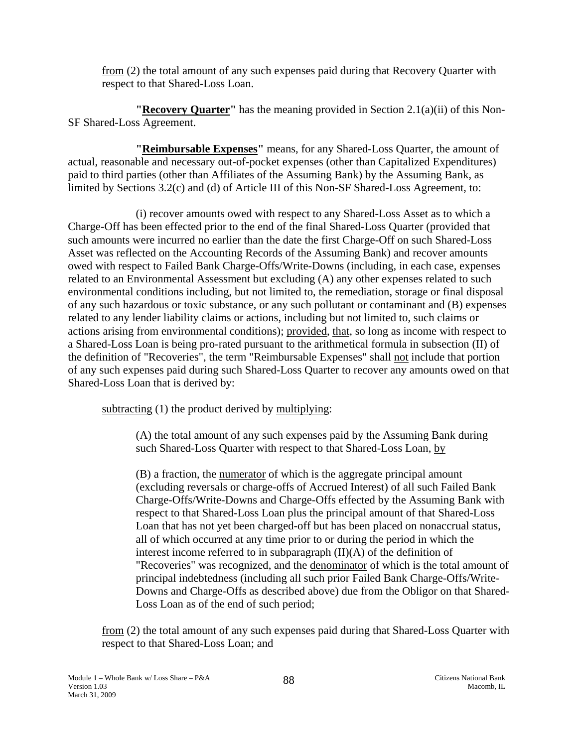from (2) the total amount of any such expenses paid during that Recovery Quarter with respect to that Shared-Loss Loan.

**"Recovery Quarter"** has the meaning provided in Section 2.1(a)(ii) of this Non-SF Shared-Loss Agreement.

**"Reimbursable Expenses"** means, for any Shared-Loss Quarter, the amount of actual, reasonable and necessary out-of-pocket expenses (other than Capitalized Expenditures) paid to third parties (other than Affiliates of the Assuming Bank) by the Assuming Bank, as limited by Sections 3.2(c) and (d) of Article III of this Non-SF Shared-Loss Agreement, to:

(i) recover amounts owed with respect to any Shared-Loss Asset as to which a Charge-Off has been effected prior to the end of the final Shared-Loss Quarter (provided that such amounts were incurred no earlier than the date the first Charge-Off on such Shared-Loss Asset was reflected on the Accounting Records of the Assuming Bank) and recover amounts owed with respect to Failed Bank Charge-Offs/Write-Downs (including, in each case, expenses related to an Environmental Assessment but excluding (A) any other expenses related to such environmental conditions including, but not limited to, the remediation, storage or final disposal of any such hazardous or toxic substance, or any such pollutant or contaminant and (B) expenses related to any lender liability claims or actions, including but not limited to, such claims or actions arising from environmental conditions); provided, that, so long as income with respect to a Shared-Loss Loan is being pro-rated pursuant to the arithmetical formula in subsection (II) of the definition of "Recoveries", the term "Reimbursable Expenses" shall not include that portion of any such expenses paid during such Shared-Loss Quarter to recover any amounts owed on that Shared-Loss Loan that is derived by:

subtracting (1) the product derived by multiplying:

(A) the total amount of any such expenses paid by the Assuming Bank during such Shared-Loss Quarter with respect to that Shared-Loss Loan, by

(B) a fraction, the numerator of which is the aggregate principal amount (excluding reversals or charge-offs of Accrued Interest) of all such Failed Bank Charge-Offs/Write-Downs and Charge-Offs effected by the Assuming Bank with respect to that Shared-Loss Loan plus the principal amount of that Shared-Loss Loan that has not yet been charged-off but has been placed on nonaccrual status, all of which occurred at any time prior to or during the period in which the interest income referred to in subparagraph  $(II)(A)$  of the definition of "Recoveries" was recognized, and the denominator of which is the total amount of principal indebtedness (including all such prior Failed Bank Charge-Offs/Write-Downs and Charge-Offs as described above) due from the Obligor on that Shared-Loss Loan as of the end of such period;

from (2) the total amount of any such expenses paid during that Shared-Loss Quarter with respect to that Shared-Loss Loan; and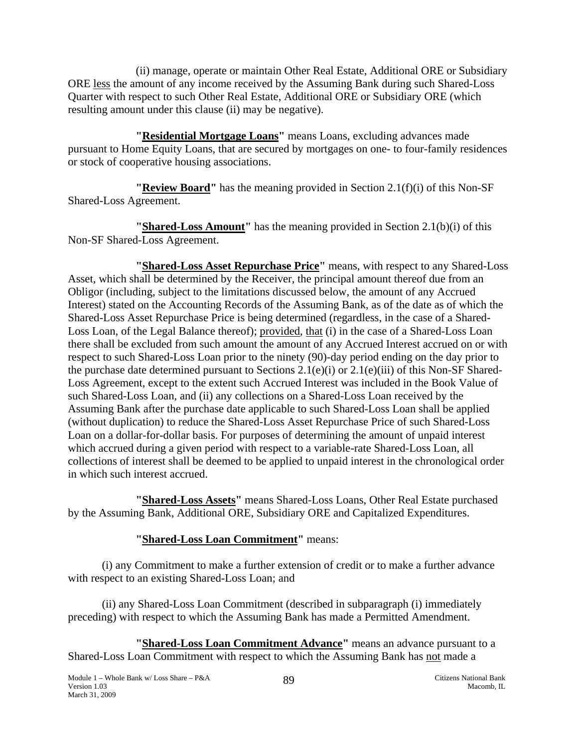(ii) manage, operate or maintain Other Real Estate, Additional ORE or Subsidiary ORE less the amount of any income received by the Assuming Bank during such Shared-Loss Quarter with respect to such Other Real Estate, Additional ORE or Subsidiary ORE (which resulting amount under this clause (ii) may be negative).

**"Residential Mortgage Loans"** means Loans, excluding advances made pursuant to Home Equity Loans, that are secured by mortgages on one- to four-family residences or stock of cooperative housing associations.

**"Review Board"** has the meaning provided in Section 2.1(f)(i) of this Non-SF Shared-Loss Agreement.

**"Shared-Loss Amount"** has the meaning provided in Section 2.1(b)(i) of this Non-SF Shared-Loss Agreement.

 in which such interest accrued. **"Shared-Loss Asset Repurchase Price"** means, with respect to any Shared-Loss Asset, which shall be determined by the Receiver, the principal amount thereof due from an Obligor (including, subject to the limitations discussed below, the amount of any Accrued Interest) stated on the Accounting Records of the Assuming Bank, as of the date as of which the Shared-Loss Asset Repurchase Price is being determined (regardless, in the case of a Shared-Loss Loan, of the Legal Balance thereof); provided, that (i) in the case of a Shared-Loss Loan there shall be excluded from such amount the amount of any Accrued Interest accrued on or with respect to such Shared-Loss Loan prior to the ninety (90)-day period ending on the day prior to the purchase date determined pursuant to Sections  $2.1(e)(i)$  or  $2.1(e)(iii)$  of this Non-SF Shared-Loss Agreement, except to the extent such Accrued Interest was included in the Book Value of such Shared-Loss Loan, and (ii) any collections on a Shared-Loss Loan received by the Assuming Bank after the purchase date applicable to such Shared-Loss Loan shall be applied (without duplication) to reduce the Shared-Loss Asset Repurchase Price of such Shared-Loss Loan on a dollar-for-dollar basis. For purposes of determining the amount of unpaid interest which accrued during a given period with respect to a variable-rate Shared-Loss Loan, all collections of interest shall be deemed to be applied to unpaid interest in the chronological order

**"Shared-Loss Assets"** means Shared-Loss Loans, Other Real Estate purchased by the Assuming Bank, Additional ORE, Subsidiary ORE and Capitalized Expenditures.

# **"Shared-Loss Loan Commitment"** means:

(i) any Commitment to make a further extension of credit or to make a further advance with respect to an existing Shared-Loss Loan; and

(ii) any Shared-Loss Loan Commitment (described in subparagraph (i) immediately preceding) with respect to which the Assuming Bank has made a Permitted Amendment.

**"Shared-Loss Loan Commitment Advance"** means an advance pursuant to a Shared-Loss Loan Commitment with respect to which the Assuming Bank has not made a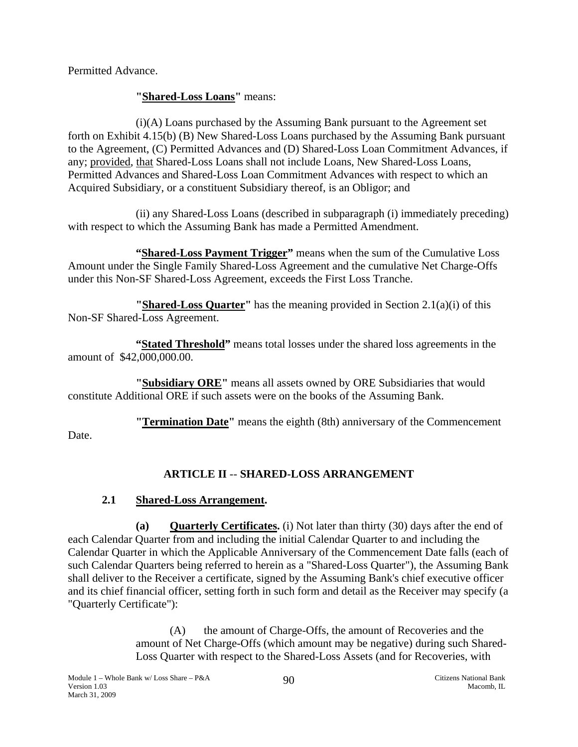Permitted Advance.

# **"Shared-Loss Loans"** means:

(i)(A) Loans purchased by the Assuming Bank pursuant to the Agreement set forth on Exhibit 4.15(b) (B) New Shared-Loss Loans purchased by the Assuming Bank pursuant to the Agreement, (C) Permitted Advances and (D) Shared-Loss Loan Commitment Advances, if any; provided, that Shared-Loss Loans shall not include Loans, New Shared-Loss Loans, Permitted Advances and Shared-Loss Loan Commitment Advances with respect to which an Acquired Subsidiary, or a constituent Subsidiary thereof, is an Obligor; and

(ii) any Shared-Loss Loans (described in subparagraph (i) immediately preceding) with respect to which the Assuming Bank has made a Permitted Amendment.

**"Shared-Loss Payment Trigger"** means when the sum of the Cumulative Loss Amount under the Single Family Shared-Loss Agreement and the cumulative Net Charge-Offs under this Non-SF Shared-Loss Agreement, exceeds the First Loss Tranche.

**"Shared-Loss Quarter"** has the meaning provided in Section 2.1(a)(i) of this Non-SF Shared-Loss Agreement.

**"Stated Threshold"** means total losses under the shared loss agreements in the amount of \$42,000,000.00.

**"Subsidiary ORE"** means all assets owned by ORE Subsidiaries that would constitute Additional ORE if such assets were on the books of the Assuming Bank.

**"Termination Date"** means the eighth (8th) anniversary of the Commencement Date.

# **ARTICLE II** -- **SHARED-LOSS ARRANGEMENT**

# **2.1 Shared-Loss Arrangement.**

**(a) Quarterly Certificates.** (i) Not later than thirty (30) days after the end of each Calendar Quarter from and including the initial Calendar Quarter to and including the Calendar Quarter in which the Applicable Anniversary of the Commencement Date falls (each of such Calendar Quarters being referred to herein as a "Shared-Loss Quarter"), the Assuming Bank shall deliver to the Receiver a certificate, signed by the Assuming Bank's chief executive officer and its chief financial officer, setting forth in such form and detail as the Receiver may specify (a "Quarterly Certificate"):

> (A) the amount of Charge-Offs, the amount of Recoveries and the amount of Net Charge-Offs (which amount may be negative) during such Shared-Loss Quarter with respect to the Shared-Loss Assets (and for Recoveries, with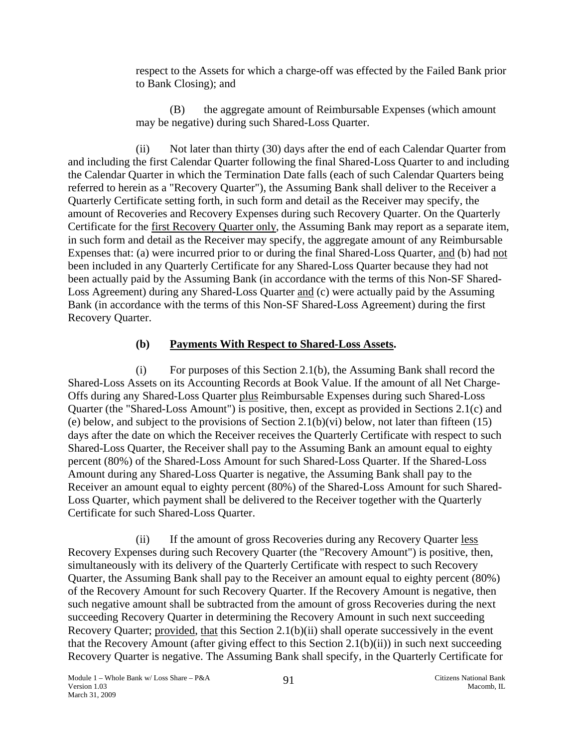respect to the Assets for which a charge-off was effected by the Failed Bank prior to Bank Closing); and

(B) the aggregate amount of Reimbursable Expenses (which amount may be negative) during such Shared-Loss Quarter.

(ii) Not later than thirty (30) days after the end of each Calendar Quarter from and including the first Calendar Quarter following the final Shared-Loss Quarter to and including the Calendar Quarter in which the Termination Date falls (each of such Calendar Quarters being referred to herein as a "Recovery Quarter"), the Assuming Bank shall deliver to the Receiver a Quarterly Certificate setting forth, in such form and detail as the Receiver may specify, the amount of Recoveries and Recovery Expenses during such Recovery Quarter. On the Quarterly Certificate for the first Recovery Quarter only, the Assuming Bank may report as a separate item, in such form and detail as the Receiver may specify, the aggregate amount of any Reimbursable Expenses that: (a) were incurred prior to or during the final Shared-Loss Quarter, and (b) had not been included in any Quarterly Certificate for any Shared-Loss Quarter because they had not been actually paid by the Assuming Bank (in accordance with the terms of this Non-SF Shared-Loss Agreement) during any Shared-Loss Quarter and (c) were actually paid by the Assuming Bank (in accordance with the terms of this Non-SF Shared-Loss Agreement) during the first Recovery Quarter.

### **(b) Payments With Respect to Shared-Loss Assets.**

 $(i)$  For purposes of this Section 2.1(b), the Assuming Bank shall record the Shared-Loss Assets on its Accounting Records at Book Value. If the amount of all Net Charge-Offs during any Shared-Loss Quarter plus Reimbursable Expenses during such Shared-Loss Quarter (the "Shared-Loss Amount") is positive, then, except as provided in Sections 2.1(c) and (e) below, and subject to the provisions of Section 2.1(b)(vi) below, not later than fifteen (15) days after the date on which the Receiver receives the Quarterly Certificate with respect to such Shared-Loss Quarter, the Receiver shall pay to the Assuming Bank an amount equal to eighty percent (80%) of the Shared-Loss Amount for such Shared-Loss Quarter. If the Shared-Loss Amount during any Shared-Loss Quarter is negative, the Assuming Bank shall pay to the Receiver an amount equal to eighty percent (80%) of the Shared-Loss Amount for such Shared-Loss Quarter, which payment shall be delivered to the Receiver together with the Quarterly Certificate for such Shared-Loss Quarter.

(ii) If the amount of gross Recoveries during any Recovery Quarter less Recovery Expenses during such Recovery Quarter (the "Recovery Amount") is positive, then, simultaneously with its delivery of the Quarterly Certificate with respect to such Recovery Quarter, the Assuming Bank shall pay to the Receiver an amount equal to eighty percent (80%) of the Recovery Amount for such Recovery Quarter. If the Recovery Amount is negative, then such negative amount shall be subtracted from the amount of gross Recoveries during the next succeeding Recovery Quarter in determining the Recovery Amount in such next succeeding Recovery Quarter; provided, that this Section 2.1(b)(ii) shall operate successively in the event that the Recovery Amount (after giving effect to this Section 2.1(b)(ii)) in such next succeeding Recovery Quarter is negative. The Assuming Bank shall specify, in the Quarterly Certificate for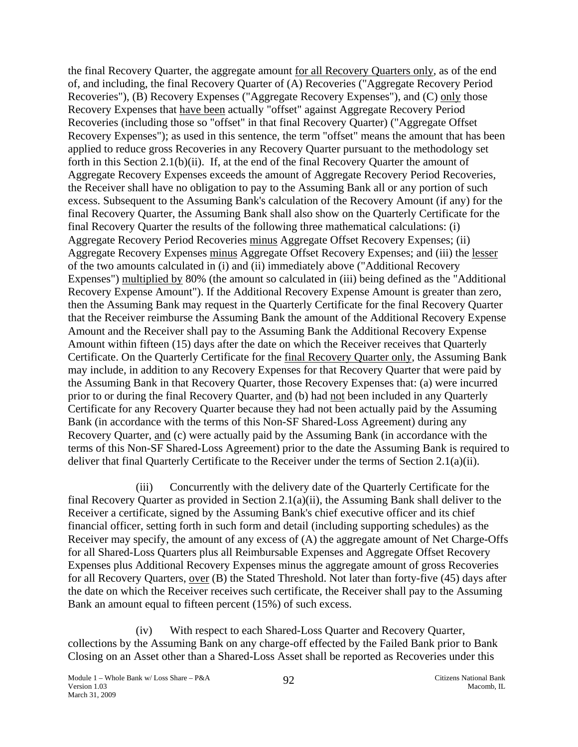the final Recovery Quarter, the aggregate amount for all Recovery Quarters only, as of the end of, and including, the final Recovery Quarter of (A) Recoveries ("Aggregate Recovery Period Recoveries"), (B) Recovery Expenses ("Aggregate Recovery Expenses"), and (C) only those Recovery Expenses that have been actually "offset" against Aggregate Recovery Period Recoveries (including those so "offset" in that final Recovery Quarter) ("Aggregate Offset Recovery Expenses"); as used in this sentence, the term "offset" means the amount that has been applied to reduce gross Recoveries in any Recovery Quarter pursuant to the methodology set forth in this Section 2.1(b)(ii). If, at the end of the final Recovery Quarter the amount of Aggregate Recovery Expenses exceeds the amount of Aggregate Recovery Period Recoveries, the Receiver shall have no obligation to pay to the Assuming Bank all or any portion of such excess. Subsequent to the Assuming Bank's calculation of the Recovery Amount (if any) for the final Recovery Quarter, the Assuming Bank shall also show on the Quarterly Certificate for the final Recovery Quarter the results of the following three mathematical calculations: (i) Aggregate Recovery Period Recoveries minus Aggregate Offset Recovery Expenses; (ii) Aggregate Recovery Expenses minus Aggregate Offset Recovery Expenses; and (iii) the lesser of the two amounts calculated in (i) and (ii) immediately above ("Additional Recovery Expenses") multiplied by 80% (the amount so calculated in (iii) being defined as the "Additional Recovery Expense Amount"). If the Additional Recovery Expense Amount is greater than zero, then the Assuming Bank may request in the Quarterly Certificate for the final Recovery Quarter that the Receiver reimburse the Assuming Bank the amount of the Additional Recovery Expense Amount and the Receiver shall pay to the Assuming Bank the Additional Recovery Expense Amount within fifteen (15) days after the date on which the Receiver receives that Quarterly Certificate. On the Quarterly Certificate for the final Recovery Quarter only, the Assuming Bank may include, in addition to any Recovery Expenses for that Recovery Quarter that were paid by the Assuming Bank in that Recovery Quarter, those Recovery Expenses that: (a) were incurred prior to or during the final Recovery Quarter, and (b) had not been included in any Quarterly Certificate for any Recovery Quarter because they had not been actually paid by the Assuming Bank (in accordance with the terms of this Non-SF Shared-Loss Agreement) during any Recovery Quarter, and (c) were actually paid by the Assuming Bank (in accordance with the terms of this Non-SF Shared-Loss Agreement) prior to the date the Assuming Bank is required to deliver that final Quarterly Certificate to the Receiver under the terms of Section 2.1(a)(ii).

(iii) Concurrently with the delivery date of the Quarterly Certificate for the final Recovery Quarter as provided in Section 2.1(a)(ii), the Assuming Bank shall deliver to the Receiver a certificate, signed by the Assuming Bank's chief executive officer and its chief financial officer, setting forth in such form and detail (including supporting schedules) as the Receiver may specify, the amount of any excess of (A) the aggregate amount of Net Charge-Offs for all Shared-Loss Quarters plus all Reimbursable Expenses and Aggregate Offset Recovery Expenses plus Additional Recovery Expenses minus the aggregate amount of gross Recoveries for all Recovery Quarters, over (B) the Stated Threshold. Not later than forty-five (45) days after the date on which the Receiver receives such certificate, the Receiver shall pay to the Assuming Bank an amount equal to fifteen percent (15%) of such excess.

(iv) With respect to each Shared-Loss Quarter and Recovery Quarter, collections by the Assuming Bank on any charge-off effected by the Failed Bank prior to Bank Closing on an Asset other than a Shared-Loss Asset shall be reported as Recoveries under this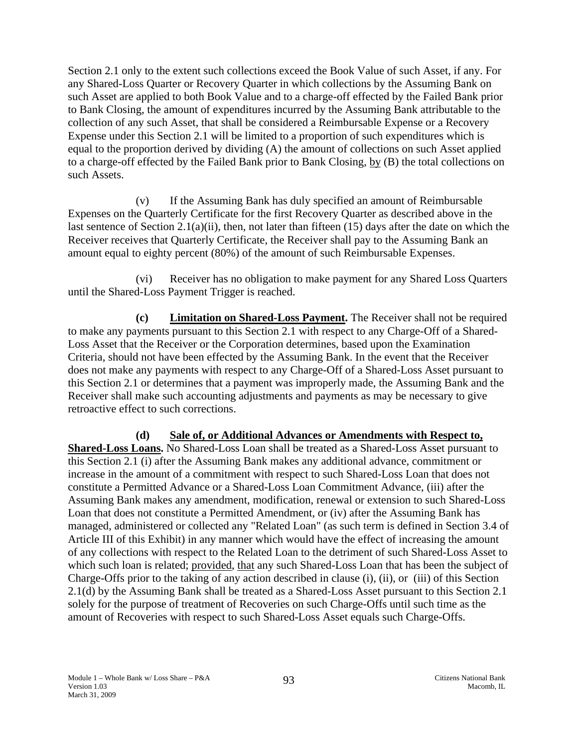Section 2.1 only to the extent such collections exceed the Book Value of such Asset, if any. For any Shared-Loss Quarter or Recovery Quarter in which collections by the Assuming Bank on such Asset are applied to both Book Value and to a charge-off effected by the Failed Bank prior to Bank Closing, the amount of expenditures incurred by the Assuming Bank attributable to the collection of any such Asset, that shall be considered a Reimbursable Expense or a Recovery Expense under this Section 2.1 will be limited to a proportion of such expenditures which is equal to the proportion derived by dividing (A) the amount of collections on such Asset applied to a charge-off effected by the Failed Bank prior to Bank Closing, by (B) the total collections on such Assets.

(v) If the Assuming Bank has duly specified an amount of Reimbursable Expenses on the Quarterly Certificate for the first Recovery Quarter as described above in the last sentence of Section 2.1(a)(ii), then, not later than fifteen (15) days after the date on which the Receiver receives that Quarterly Certificate, the Receiver shall pay to the Assuming Bank an amount equal to eighty percent (80%) of the amount of such Reimbursable Expenses.

(vi) Receiver has no obligation to make payment for any Shared Loss Quarters until the Shared-Loss Payment Trigger is reached.

**(c) Limitation on Shared-Loss Payment.** The Receiver shall not be required to make any payments pursuant to this Section 2.1 with respect to any Charge-Off of a Shared-Loss Asset that the Receiver or the Corporation determines, based upon the Examination Criteria, should not have been effected by the Assuming Bank. In the event that the Receiver does not make any payments with respect to any Charge-Off of a Shared-Loss Asset pursuant to this Section 2.1 or determines that a payment was improperly made, the Assuming Bank and the Receiver shall make such accounting adjustments and payments as may be necessary to give retroactive effect to such corrections.

#### **(d) Sale of, or Additional Advances or Amendments with Respect to,**

**Shared-Loss Loans.** No Shared-Loss Loan shall be treated as a Shared-Loss Asset pursuant to this Section 2.1 (i) after the Assuming Bank makes any additional advance, commitment or increase in the amount of a commitment with respect to such Shared-Loss Loan that does not constitute a Permitted Advance or a Shared-Loss Loan Commitment Advance, (iii) after the Assuming Bank makes any amendment, modification, renewal or extension to such Shared-Loss Loan that does not constitute a Permitted Amendment, or (iv) after the Assuming Bank has managed, administered or collected any "Related Loan" (as such term is defined in Section 3.4 of Article III of this Exhibit) in any manner which would have the effect of increasing the amount of any collections with respect to the Related Loan to the detriment of such Shared-Loss Asset to which such loan is related; provided, that any such Shared-Loss Loan that has been the subject of Charge-Offs prior to the taking of any action described in clause (i), (ii), or (iii) of this Section 2.1(d) by the Assuming Bank shall be treated as a Shared-Loss Asset pursuant to this Section 2.1 solely for the purpose of treatment of Recoveries on such Charge-Offs until such time as the amount of Recoveries with respect to such Shared-Loss Asset equals such Charge-Offs.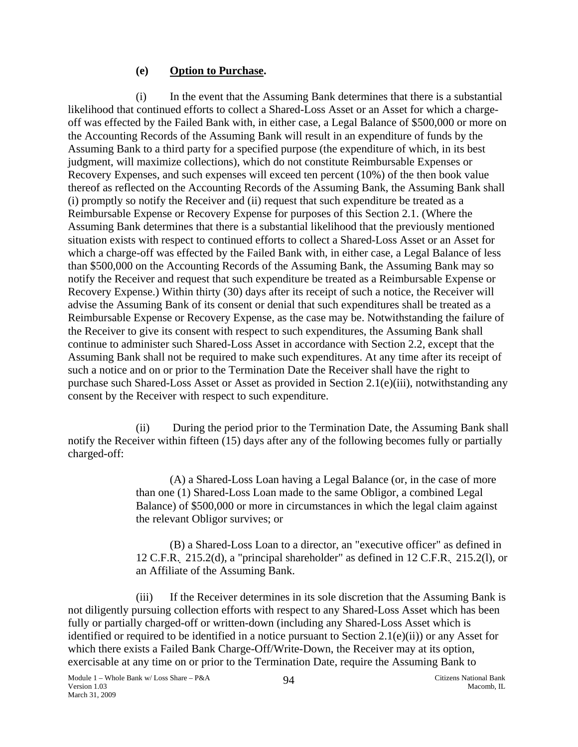#### **(e) Option to Purchase.**

(i) In the event that the Assuming Bank determines that there is a substantial likelihood that continued efforts to collect a Shared-Loss Asset or an Asset for which a chargeoff was effected by the Failed Bank with, in either case, a Legal Balance of \$500,000 or more on the Accounting Records of the Assuming Bank will result in an expenditure of funds by the Assuming Bank to a third party for a specified purpose (the expenditure of which, in its best judgment, will maximize collections), which do not constitute Reimbursable Expenses or Recovery Expenses, and such expenses will exceed ten percent (10%) of the then book value thereof as reflected on the Accounting Records of the Assuming Bank, the Assuming Bank shall (i) promptly so notify the Receiver and (ii) request that such expenditure be treated as a Reimbursable Expense or Recovery Expense for purposes of this Section 2.1. (Where the Assuming Bank determines that there is a substantial likelihood that the previously mentioned situation exists with respect to continued efforts to collect a Shared-Loss Asset or an Asset for which a charge-off was effected by the Failed Bank with, in either case, a Legal Balance of less than \$500,000 on the Accounting Records of the Assuming Bank, the Assuming Bank may so notify the Receiver and request that such expenditure be treated as a Reimbursable Expense or Recovery Expense.) Within thirty (30) days after its receipt of such a notice, the Receiver will advise the Assuming Bank of its consent or denial that such expenditures shall be treated as a Reimbursable Expense or Recovery Expense, as the case may be. Notwithstanding the failure of the Receiver to give its consent with respect to such expenditures, the Assuming Bank shall continue to administer such Shared-Loss Asset in accordance with Section 2.2, except that the Assuming Bank shall not be required to make such expenditures. At any time after its receipt of such a notice and on or prior to the Termination Date the Receiver shall have the right to purchase such Shared-Loss Asset or Asset as provided in Section 2.1(e)(iii), notwithstanding any consent by the Receiver with respect to such expenditure.

(ii) During the period prior to the Termination Date, the Assuming Bank shall notify the Receiver within fifteen (15) days after any of the following becomes fully or partially charged-off:

> (A) a Shared-Loss Loan having a Legal Balance (or, in the case of more than one (1) Shared-Loss Loan made to the same Obligor, a combined Legal Balance) of \$500,000 or more in circumstances in which the legal claim against the relevant Obligor survives; or

(B) a Shared-Loss Loan to a director, an "executive officer" as defined in 12 C.F.R. 215.2(d), a "principal shareholder" as defined in 12 C.F.R. 215.2(l), or an Affiliate of the Assuming Bank.

(iii) If the Receiver determines in its sole discretion that the Assuming Bank is not diligently pursuing collection efforts with respect to any Shared-Loss Asset which has been fully or partially charged-off or written-down (including any Shared-Loss Asset which is identified or required to be identified in a notice pursuant to Section 2.1(e)(ii)) or any Asset for which there exists a Failed Bank Charge-Off/Write-Down, the Receiver may at its option, exercisable at any time on or prior to the Termination Date, require the Assuming Bank to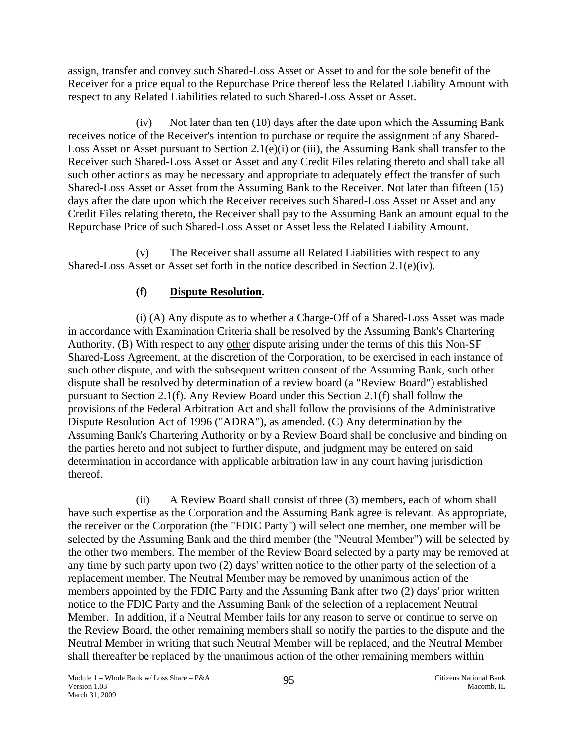assign, transfer and convey such Shared-Loss Asset or Asset to and for the sole benefit of the Receiver for a price equal to the Repurchase Price thereof less the Related Liability Amount with respect to any Related Liabilities related to such Shared-Loss Asset or Asset.

(iv) Not later than ten (10) days after the date upon which the Assuming Bank receives notice of the Receiver's intention to purchase or require the assignment of any Shared-Loss Asset or Asset pursuant to Section 2.1(e)(i) or (iii), the Assuming Bank shall transfer to the Receiver such Shared-Loss Asset or Asset and any Credit Files relating thereto and shall take all such other actions as may be necessary and appropriate to adequately effect the transfer of such Shared-Loss Asset or Asset from the Assuming Bank to the Receiver. Not later than fifteen (15) days after the date upon which the Receiver receives such Shared-Loss Asset or Asset and any Credit Files relating thereto, the Receiver shall pay to the Assuming Bank an amount equal to the Repurchase Price of such Shared-Loss Asset or Asset less the Related Liability Amount.

(v) The Receiver shall assume all Related Liabilities with respect to any Shared-Loss Asset or Asset set forth in the notice described in Section 2.1(e)(iv).

# **(f) Dispute Resolution.**

(i) (A) Any dispute as to whether a Charge-Off of a Shared-Loss Asset was made in accordance with Examination Criteria shall be resolved by the Assuming Bank's Chartering Authority. (B) With respect to any other dispute arising under the terms of this this Non-SF Shared-Loss Agreement, at the discretion of the Corporation, to be exercised in each instance of such other dispute, and with the subsequent written consent of the Assuming Bank, such other dispute shall be resolved by determination of a review board (a "Review Board") established pursuant to Section 2.1(f). Any Review Board under this Section 2.1(f) shall follow the provisions of the Federal Arbitration Act and shall follow the provisions of the Administrative Dispute Resolution Act of 1996 ("ADRA"), as amended. (C) Any determination by the Assuming Bank's Chartering Authority or by a Review Board shall be conclusive and binding on the parties hereto and not subject to further dispute, and judgment may be entered on said determination in accordance with applicable arbitration law in any court having jurisdiction thereof.

(ii) A Review Board shall consist of three (3) members, each of whom shall have such expertise as the Corporation and the Assuming Bank agree is relevant. As appropriate, the receiver or the Corporation (the "FDIC Party") will select one member, one member will be selected by the Assuming Bank and the third member (the "Neutral Member") will be selected by the other two members. The member of the Review Board selected by a party may be removed at any time by such party upon two (2) days' written notice to the other party of the selection of a replacement member. The Neutral Member may be removed by unanimous action of the members appointed by the FDIC Party and the Assuming Bank after two (2) days' prior written notice to the FDIC Party and the Assuming Bank of the selection of a replacement Neutral Member. In addition, if a Neutral Member fails for any reason to serve or continue to serve on the Review Board, the other remaining members shall so notify the parties to the dispute and the Neutral Member in writing that such Neutral Member will be replaced, and the Neutral Member shall thereafter be replaced by the unanimous action of the other remaining members within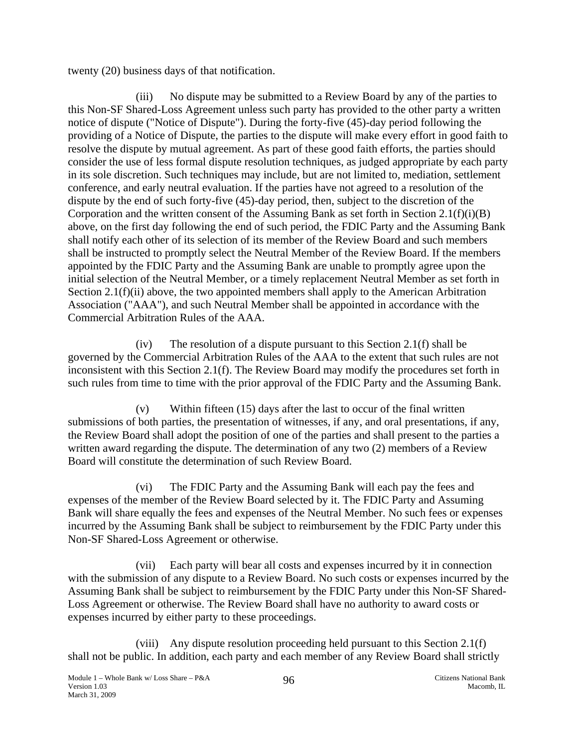twenty (20) business days of that notification.

(iii) No dispute may be submitted to a Review Board by any of the parties to this Non-SF Shared-Loss Agreement unless such party has provided to the other party a written notice of dispute ("Notice of Dispute"). During the forty-five (45)-day period following the providing of a Notice of Dispute, the parties to the dispute will make every effort in good faith to resolve the dispute by mutual agreement. As part of these good faith efforts, the parties should consider the use of less formal dispute resolution techniques, as judged appropriate by each party in its sole discretion. Such techniques may include, but are not limited to, mediation, settlement conference, and early neutral evaluation. If the parties have not agreed to a resolution of the dispute by the end of such forty-five (45)-day period, then, subject to the discretion of the Corporation and the written consent of the Assuming Bank as set forth in Section 2.1(f)(i)(B) above, on the first day following the end of such period, the FDIC Party and the Assuming Bank shall notify each other of its selection of its member of the Review Board and such members shall be instructed to promptly select the Neutral Member of the Review Board. If the members appointed by the FDIC Party and the Assuming Bank are unable to promptly agree upon the initial selection of the Neutral Member, or a timely replacement Neutral Member as set forth in Section 2.1(f)(ii) above, the two appointed members shall apply to the American Arbitration Association ("AAA"), and such Neutral Member shall be appointed in accordance with the Commercial Arbitration Rules of the AAA.

(iv) The resolution of a dispute pursuant to this Section 2.1(f) shall be governed by the Commercial Arbitration Rules of the AAA to the extent that such rules are not inconsistent with this Section 2.1(f). The Review Board may modify the procedures set forth in such rules from time to time with the prior approval of the FDIC Party and the Assuming Bank.

(v) Within fifteen (15) days after the last to occur of the final written submissions of both parties, the presentation of witnesses, if any, and oral presentations, if any, the Review Board shall adopt the position of one of the parties and shall present to the parties a written award regarding the dispute. The determination of any two (2) members of a Review Board will constitute the determination of such Review Board.

(vi) The FDIC Party and the Assuming Bank will each pay the fees and expenses of the member of the Review Board selected by it. The FDIC Party and Assuming Bank will share equally the fees and expenses of the Neutral Member. No such fees or expenses incurred by the Assuming Bank shall be subject to reimbursement by the FDIC Party under this Non-SF Shared-Loss Agreement or otherwise.

(vii) Each party will bear all costs and expenses incurred by it in connection with the submission of any dispute to a Review Board. No such costs or expenses incurred by the Assuming Bank shall be subject to reimbursement by the FDIC Party under this Non-SF Shared-Loss Agreement or otherwise. The Review Board shall have no authority to award costs or expenses incurred by either party to these proceedings.

(viii) Any dispute resolution proceeding held pursuant to this Section 2.1(f) shall not be public. In addition, each party and each member of any Review Board shall strictly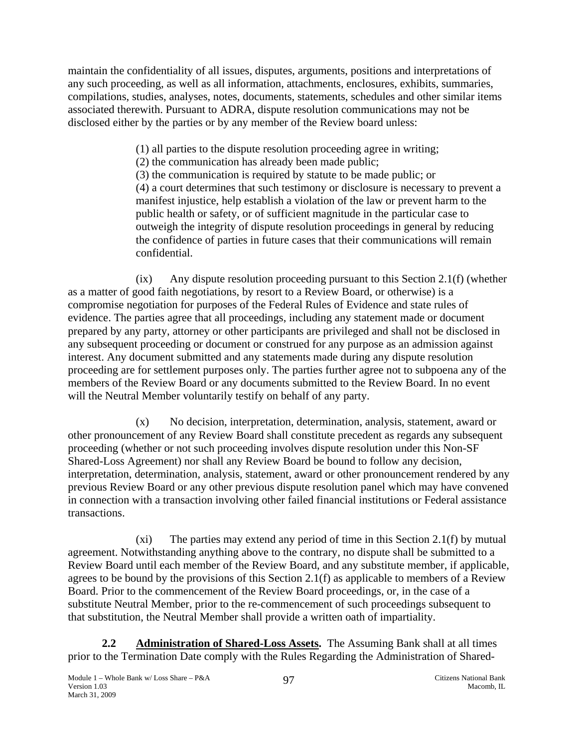maintain the confidentiality of all issues, disputes, arguments, positions and interpretations of any such proceeding, as well as all information, attachments, enclosures, exhibits, summaries, compilations, studies, analyses, notes, documents, statements, schedules and other similar items associated therewith. Pursuant to ADRA, dispute resolution communications may not be disclosed either by the parties or by any member of the Review board unless:

(1) all parties to the dispute resolution proceeding agree in writing;

(2) the communication has already been made public;

(3) the communication is required by statute to be made public; or (4) a court determines that such testimony or disclosure is necessary to prevent a manifest injustice, help establish a violation of the law or prevent harm to the public health or safety, or of sufficient magnitude in the particular case to outweigh the integrity of dispute resolution proceedings in general by reducing the confidence of parties in future cases that their communications will remain confidential.

(ix) Any dispute resolution proceeding pursuant to this Section 2.1(f) (whether as a matter of good faith negotiations, by resort to a Review Board, or otherwise) is a compromise negotiation for purposes of the Federal Rules of Evidence and state rules of evidence. The parties agree that all proceedings, including any statement made or document prepared by any party, attorney or other participants are privileged and shall not be disclosed in any subsequent proceeding or document or construed for any purpose as an admission against interest. Any document submitted and any statements made during any dispute resolution proceeding are for settlement purposes only. The parties further agree not to subpoena any of the members of the Review Board or any documents submitted to the Review Board. In no event will the Neutral Member voluntarily testify on behalf of any party.

(x) No decision, interpretation, determination, analysis, statement, award or other pronouncement of any Review Board shall constitute precedent as regards any subsequent proceeding (whether or not such proceeding involves dispute resolution under this Non-SF Shared-Loss Agreement) nor shall any Review Board be bound to follow any decision, interpretation, determination, analysis, statement, award or other pronouncement rendered by any previous Review Board or any other previous dispute resolution panel which may have convened in connection with a transaction involving other failed financial institutions or Federal assistance transactions.

(xi) The parties may extend any period of time in this Section 2.1(f) by mutual agreement. Notwithstanding anything above to the contrary, no dispute shall be submitted to a Review Board until each member of the Review Board, and any substitute member, if applicable, agrees to be bound by the provisions of this Section 2.1(f) as applicable to members of a Review Board. Prior to the commencement of the Review Board proceedings, or, in the case of a substitute Neutral Member, prior to the re-commencement of such proceedings subsequent to that substitution, the Neutral Member shall provide a written oath of impartiality.

**2.2 Administration of Shared-Loss Assets.** The Assuming Bank shall at all times prior to the Termination Date comply with the Rules Regarding the Administration of Shared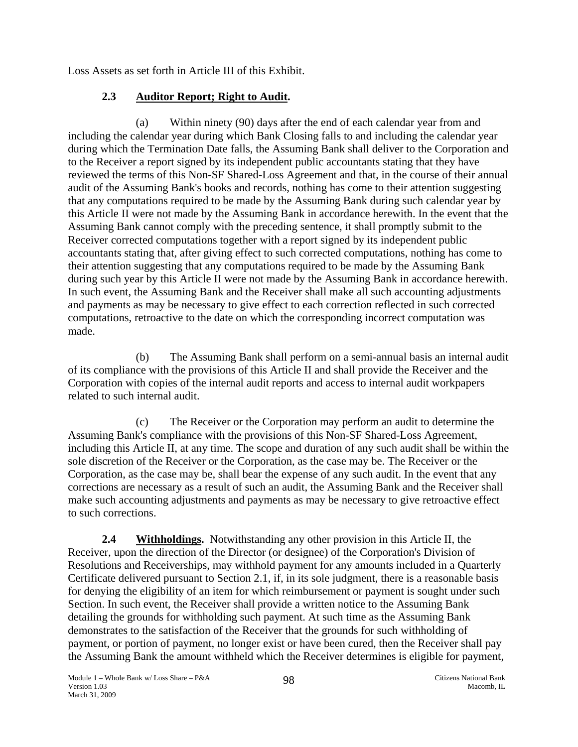Loss Assets as set forth in Article III of this Exhibit.

# **2.3 Auditor Report; Right to Audit.**

(a) Within ninety (90) days after the end of each calendar year from and including the calendar year during which Bank Closing falls to and including the calendar year during which the Termination Date falls, the Assuming Bank shall deliver to the Corporation and to the Receiver a report signed by its independent public accountants stating that they have reviewed the terms of this Non-SF Shared-Loss Agreement and that, in the course of their annual audit of the Assuming Bank's books and records, nothing has come to their attention suggesting that any computations required to be made by the Assuming Bank during such calendar year by this Article II were not made by the Assuming Bank in accordance herewith. In the event that the Assuming Bank cannot comply with the preceding sentence, it shall promptly submit to the Receiver corrected computations together with a report signed by its independent public accountants stating that, after giving effect to such corrected computations, nothing has come to their attention suggesting that any computations required to be made by the Assuming Bank during such year by this Article II were not made by the Assuming Bank in accordance herewith. In such event, the Assuming Bank and the Receiver shall make all such accounting adjustments and payments as may be necessary to give effect to each correction reflected in such corrected computations, retroactive to the date on which the corresponding incorrect computation was made.

(b) The Assuming Bank shall perform on a semi-annual basis an internal audit of its compliance with the provisions of this Article II and shall provide the Receiver and the Corporation with copies of the internal audit reports and access to internal audit workpapers related to such internal audit.

(c) The Receiver or the Corporation may perform an audit to determine the Assuming Bank's compliance with the provisions of this Non-SF Shared-Loss Agreement, including this Article II, at any time. The scope and duration of any such audit shall be within the sole discretion of the Receiver or the Corporation, as the case may be. The Receiver or the Corporation, as the case may be, shall bear the expense of any such audit. In the event that any corrections are necessary as a result of such an audit, the Assuming Bank and the Receiver shall make such accounting adjustments and payments as may be necessary to give retroactive effect to such corrections.

**2.4 Withholdings.** Notwithstanding any other provision in this Article II, the Receiver, upon the direction of the Director (or designee) of the Corporation's Division of Resolutions and Receiverships, may withhold payment for any amounts included in a Quarterly Certificate delivered pursuant to Section 2.1, if, in its sole judgment, there is a reasonable basis for denying the eligibility of an item for which reimbursement or payment is sought under such Section. In such event, the Receiver shall provide a written notice to the Assuming Bank detailing the grounds for withholding such payment. At such time as the Assuming Bank demonstrates to the satisfaction of the Receiver that the grounds for such withholding of payment, or portion of payment, no longer exist or have been cured, then the Receiver shall pay the Assuming Bank the amount withheld which the Receiver determines is eligible for payment,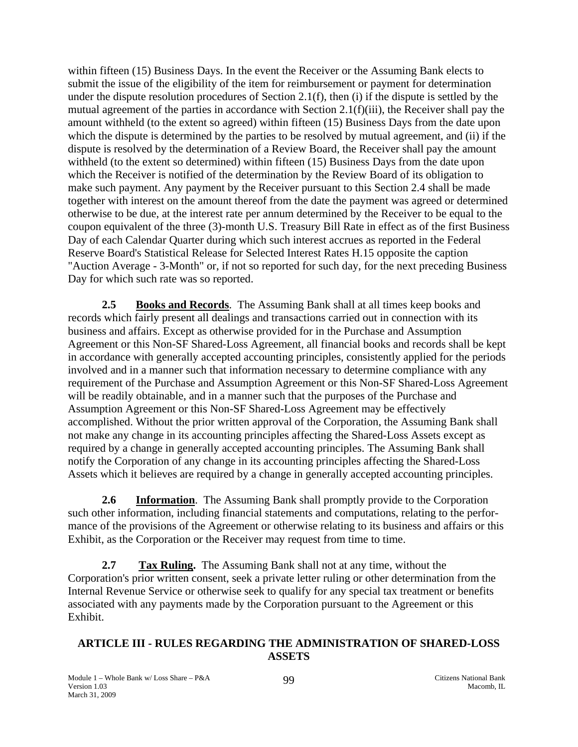within fifteen (15) Business Days. In the event the Receiver or the Assuming Bank elects to submit the issue of the eligibility of the item for reimbursement or payment for determination under the dispute resolution procedures of Section 2.1(f), then (i) if the dispute is settled by the mutual agreement of the parties in accordance with Section 2.1(f)(iii), the Receiver shall pay the amount withheld (to the extent so agreed) within fifteen (15) Business Days from the date upon which the dispute is determined by the parties to be resolved by mutual agreement, and (ii) if the dispute is resolved by the determination of a Review Board, the Receiver shall pay the amount withheld (to the extent so determined) within fifteen (15) Business Days from the date upon which the Receiver is notified of the determination by the Review Board of its obligation to make such payment. Any payment by the Receiver pursuant to this Section 2.4 shall be made together with interest on the amount thereof from the date the payment was agreed or determined otherwise to be due, at the interest rate per annum determined by the Receiver to be equal to the coupon equivalent of the three (3)-month U.S. Treasury Bill Rate in effect as of the first Business Day of each Calendar Quarter during which such interest accrues as reported in the Federal Reserve Board's Statistical Release for Selected Interest Rates H.15 opposite the caption "Auction Average - 3-Month" or, if not so reported for such day, for the next preceding Business Day for which such rate was so reported.

**2.5 Books and Records**. The Assuming Bank shall at all times keep books and records which fairly present all dealings and transactions carried out in connection with its business and affairs. Except as otherwise provided for in the Purchase and Assumption Agreement or this Non-SF Shared-Loss Agreement, all financial books and records shall be kept in accordance with generally accepted accounting principles, consistently applied for the periods involved and in a manner such that information necessary to determine compliance with any requirement of the Purchase and Assumption Agreement or this Non-SF Shared-Loss Agreement will be readily obtainable, and in a manner such that the purposes of the Purchase and Assumption Agreement or this Non-SF Shared-Loss Agreement may be effectively accomplished. Without the prior written approval of the Corporation, the Assuming Bank shall not make any change in its accounting principles affecting the Shared-Loss Assets except as required by a change in generally accepted accounting principles. The Assuming Bank shall notify the Corporation of any change in its accounting principles affecting the Shared-Loss Assets which it believes are required by a change in generally accepted accounting principles.

**2.6 Information**. The Assuming Bank shall promptly provide to the Corporation such other information, including financial statements and computations, relating to the performance of the provisions of the Agreement or otherwise relating to its business and affairs or this Exhibit, as the Corporation or the Receiver may request from time to time.

**2.7 Tax Ruling.** The Assuming Bank shall not at any time, without the Corporation's prior written consent, seek a private letter ruling or other determination from the Internal Revenue Service or otherwise seek to qualify for any special tax treatment or benefits associated with any payments made by the Corporation pursuant to the Agreement or this Exhibit.

# **ARTICLE III - RULES REGARDING THE ADMINISTRATION OF SHARED-LOSS ASSETS**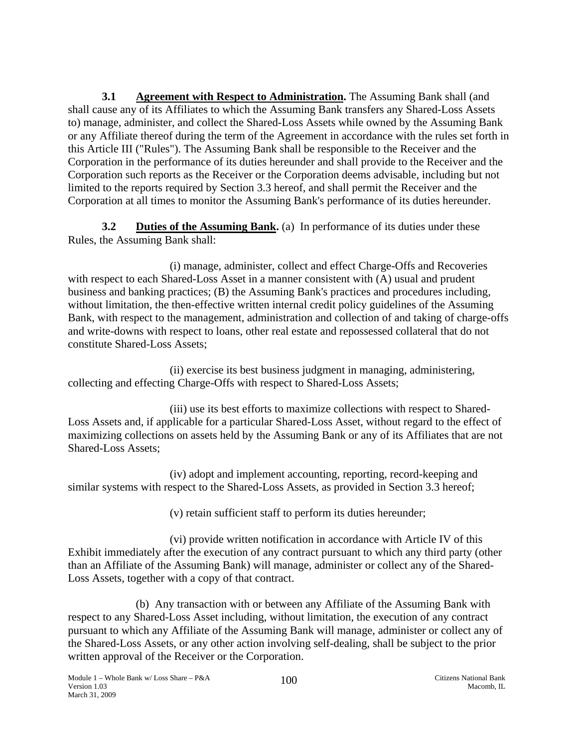**3.1 Agreement with Respect to Administration.** The Assuming Bank shall (and shall cause any of its Affiliates to which the Assuming Bank transfers any Shared-Loss Assets to) manage, administer, and collect the Shared-Loss Assets while owned by the Assuming Bank or any Affiliate thereof during the term of the Agreement in accordance with the rules set forth in this Article III ("Rules"). The Assuming Bank shall be responsible to the Receiver and the Corporation in the performance of its duties hereunder and shall provide to the Receiver and the Corporation such reports as the Receiver or the Corporation deems advisable, including but not limited to the reports required by Section 3.3 hereof, and shall permit the Receiver and the Corporation at all times to monitor the Assuming Bank's performance of its duties hereunder.

**3.2 Duties of the Assuming Bank.** (a) In performance of its duties under these Rules, the Assuming Bank shall:

(i) manage, administer, collect and effect Charge-Offs and Recoveries with respect to each Shared-Loss Asset in a manner consistent with  $(A)$  usual and prudent business and banking practices; (B) the Assuming Bank's practices and procedures including, without limitation, the then-effective written internal credit policy guidelines of the Assuming Bank, with respect to the management, administration and collection of and taking of charge-offs and write-downs with respect to loans, other real estate and repossessed collateral that do not constitute Shared-Loss Assets;

(ii) exercise its best business judgment in managing, administering, collecting and effecting Charge-Offs with respect to Shared-Loss Assets;

(iii) use its best efforts to maximize collections with respect to Shared-Loss Assets and, if applicable for a particular Shared-Loss Asset, without regard to the effect of maximizing collections on assets held by the Assuming Bank or any of its Affiliates that are not Shared-Loss Assets;

(iv) adopt and implement accounting, reporting, record-keeping and similar systems with respect to the Shared-Loss Assets, as provided in Section 3.3 hereof;

(v) retain sufficient staff to perform its duties hereunder;

(vi) provide written notification in accordance with Article IV of this Exhibit immediately after the execution of any contract pursuant to which any third party (other than an Affiliate of the Assuming Bank) will manage, administer or collect any of the Shared-Loss Assets, together with a copy of that contract.

(b) Any transaction with or between any Affiliate of the Assuming Bank with respect to any Shared-Loss Asset including, without limitation, the execution of any contract pursuant to which any Affiliate of the Assuming Bank will manage, administer or collect any of the Shared-Loss Assets, or any other action involving self-dealing, shall be subject to the prior written approval of the Receiver or the Corporation.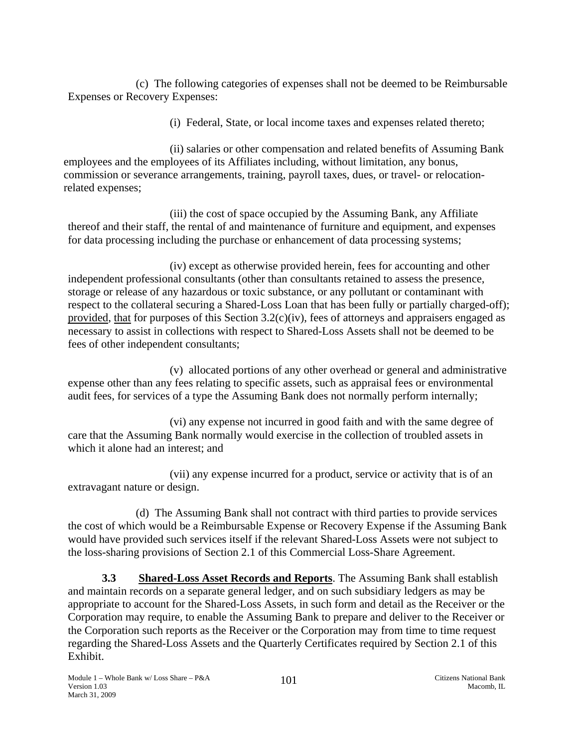(c) The following categories of expenses shall not be deemed to be Reimbursable Expenses or Recovery Expenses:

(i) Federal, State, or local income taxes and expenses related thereto;

(ii) salaries or other compensation and related benefits of Assuming Bank employees and the employees of its Affiliates including, without limitation, any bonus, commission or severance arrangements, training, payroll taxes, dues, or travel- or relocationrelated expenses;

(iii) the cost of space occupied by the Assuming Bank, any Affiliate thereof and their staff, the rental of and maintenance of furniture and equipment, and expenses for data processing including the purchase or enhancement of data processing systems;

(iv) except as otherwise provided herein, fees for accounting and other independent professional consultants (other than consultants retained to assess the presence, storage or release of any hazardous or toxic substance, or any pollutant or contaminant with respect to the collateral securing a Shared-Loss Loan that has been fully or partially charged-off); provided, that for purposes of this Section 3.2(c)(iv), fees of attorneys and appraisers engaged as necessary to assist in collections with respect to Shared-Loss Assets shall not be deemed to be fees of other independent consultants;

(v) allocated portions of any other overhead or general and administrative expense other than any fees relating to specific assets, such as appraisal fees or environmental audit fees, for services of a type the Assuming Bank does not normally perform internally;

(vi) any expense not incurred in good faith and with the same degree of care that the Assuming Bank normally would exercise in the collection of troubled assets in which it alone had an interest; and

(vii) any expense incurred for a product, service or activity that is of an extravagant nature or design.

(d) The Assuming Bank shall not contract with third parties to provide services the cost of which would be a Reimbursable Expense or Recovery Expense if the Assuming Bank would have provided such services itself if the relevant Shared-Loss Assets were not subject to the loss-sharing provisions of Section 2.1 of this Commercial Loss-Share Agreement.

**3.3 Shared-Loss Asset Records and Reports**. The Assuming Bank shall establish and maintain records on a separate general ledger, and on such subsidiary ledgers as may be appropriate to account for the Shared-Loss Assets, in such form and detail as the Receiver or the Corporation may require, to enable the Assuming Bank to prepare and deliver to the Receiver or the Corporation such reports as the Receiver or the Corporation may from time to time request regarding the Shared-Loss Assets and the Quarterly Certificates required by Section 2.1 of this Exhibit.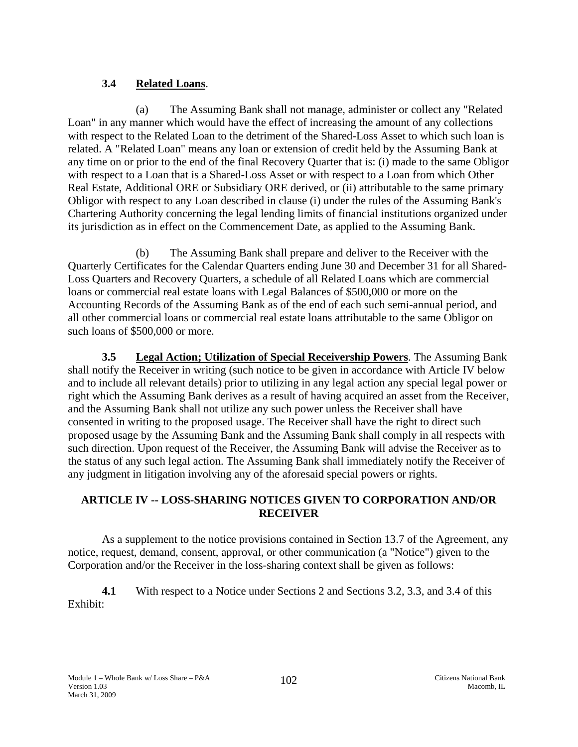# **3.4 Related Loans**.

(a) The Assuming Bank shall not manage, administer or collect any "Related Loan" in any manner which would have the effect of increasing the amount of any collections with respect to the Related Loan to the detriment of the Shared-Loss Asset to which such loan is related. A "Related Loan" means any loan or extension of credit held by the Assuming Bank at any time on or prior to the end of the final Recovery Quarter that is: (i) made to the same Obligor with respect to a Loan that is a Shared-Loss Asset or with respect to a Loan from which Other Real Estate, Additional ORE or Subsidiary ORE derived, or (ii) attributable to the same primary Obligor with respect to any Loan described in clause (i) under the rules of the Assuming Bank's Chartering Authority concerning the legal lending limits of financial institutions organized under its jurisdiction as in effect on the Commencement Date, as applied to the Assuming Bank.

(b) The Assuming Bank shall prepare and deliver to the Receiver with the Quarterly Certificates for the Calendar Quarters ending June 30 and December 31 for all Shared-Loss Quarters and Recovery Quarters, a schedule of all Related Loans which are commercial loans or commercial real estate loans with Legal Balances of \$500,000 or more on the Accounting Records of the Assuming Bank as of the end of each such semi-annual period, and all other commercial loans or commercial real estate loans attributable to the same Obligor on such loans of \$500,000 or more.

**3.5 Legal Action; Utilization of Special Receivership Powers**. The Assuming Bank shall notify the Receiver in writing (such notice to be given in accordance with Article IV below and to include all relevant details) prior to utilizing in any legal action any special legal power or right which the Assuming Bank derives as a result of having acquired an asset from the Receiver, and the Assuming Bank shall not utilize any such power unless the Receiver shall have consented in writing to the proposed usage. The Receiver shall have the right to direct such proposed usage by the Assuming Bank and the Assuming Bank shall comply in all respects with such direction. Upon request of the Receiver, the Assuming Bank will advise the Receiver as to the status of any such legal action. The Assuming Bank shall immediately notify the Receiver of any judgment in litigation involving any of the aforesaid special powers or rights.

# **ARTICLE IV -- LOSS-SHARING NOTICES GIVEN TO CORPORATION AND/OR RECEIVER**

As a supplement to the notice provisions contained in Section 13.7 of the Agreement, any notice, request, demand, consent, approval, or other communication (a "Notice") given to the Corporation and/or the Receiver in the loss-sharing context shall be given as follows:

**4.1** With respect to a Notice under Sections 2 and Sections 3.2, 3.3, and 3.4 of this Exhibit: